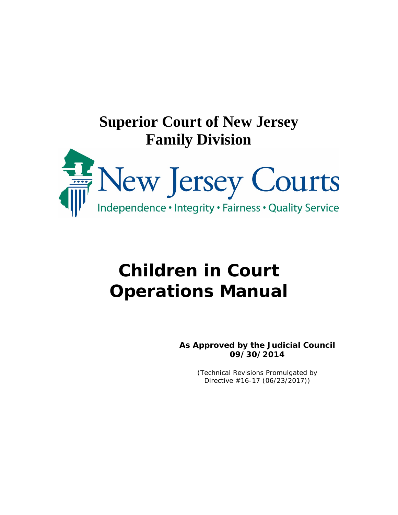

# **Children in Court Operations Manual**

**As Approved by the Judicial Council 09/30/2014**

> (Technical Revisions Promulgated by Directive #16-17 (06/23/2017))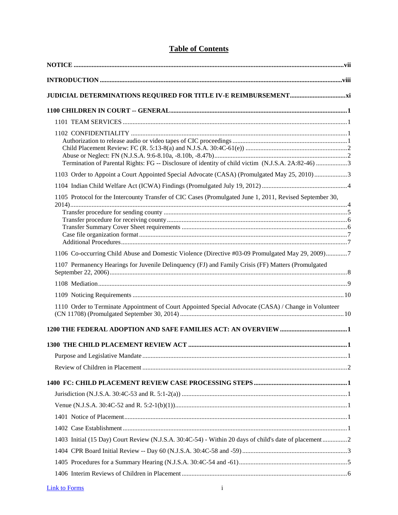### **Table of Contents**

| Termination of Parental Rights: FG -- Disclosure of identity of child victim (N.J.S.A. 2A:82-46) 3       |  |
|----------------------------------------------------------------------------------------------------------|--|
| 1103 Order to Appoint a Court Appointed Special Advocate (CASA) (Promulgated May 25, 2010) 3             |  |
|                                                                                                          |  |
| 1105 Protocol for the Intercounty Transfer of CIC Cases (Promulgated June 1, 2011, Revised September 30, |  |
| 1106 Co-occurring Child Abuse and Domestic Violence (Directive #03-09 Promulgated May 29, 2009)7         |  |
| 1107 Permanency Hearings for Juvenile Delinquency (FJ) and Family Crisis (FF) Matters (Promulgated       |  |
|                                                                                                          |  |
|                                                                                                          |  |
| 1110 Order to Terminate Appointment of Court Appointed Special Advocate (CASA) / Change in Volunteer     |  |
|                                                                                                          |  |
|                                                                                                          |  |
|                                                                                                          |  |
|                                                                                                          |  |
|                                                                                                          |  |
|                                                                                                          |  |
|                                                                                                          |  |
|                                                                                                          |  |
|                                                                                                          |  |
| 1403 Initial (15 Day) Court Review (N.J.S.A. 30:4C-54) - Within 20 days of child's date of placement2    |  |
|                                                                                                          |  |
|                                                                                                          |  |
|                                                                                                          |  |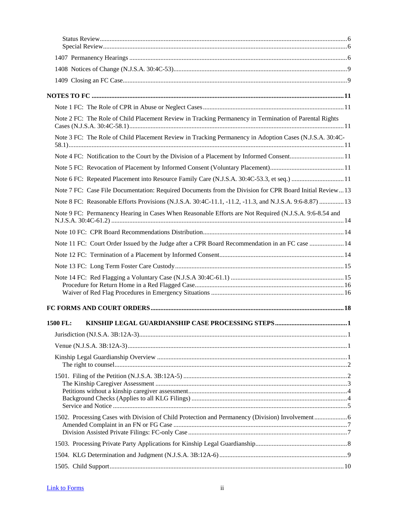| Note 2 FC: The Role of Child Placement Review in Tracking Permanency in Termination of Parental Rights  |  |
|---------------------------------------------------------------------------------------------------------|--|
| Note 3 FC: The Role of Child Placement Review in Tracking Permanency in Adoption Cases (N.J.S.A. 30:4C- |  |
| Note 4 FC: Notification to the Court by the Division of a Placement by Informed Consent 11              |  |
|                                                                                                         |  |
| Note 6 FC: Repeated Placement into Resource Family Care (N.J.S.A. 30:4C-53.3, et seq.)  11              |  |
| Note 7 FC: Case File Documentation: Required Documents from the Division for CPR Board Initial Review13 |  |
| Note 8 FC: Reasonable Efforts Provisions (N.J.S.A. 30:4C-11.1, -11.2, -11.3, and N.J.S.A. 9:6-8.87)  13 |  |
| Note 9 FC: Permanency Hearing in Cases When Reasonable Efforts are Not Required (N.J.S.A. 9:6-8.54 and  |  |
|                                                                                                         |  |
| Note 11 FC: Court Order Issued by the Judge after a CPR Board Recommendation in an FC case  14          |  |
|                                                                                                         |  |
|                                                                                                         |  |
|                                                                                                         |  |
|                                                                                                         |  |
| 1500 FL:                                                                                                |  |
|                                                                                                         |  |
|                                                                                                         |  |
|                                                                                                         |  |
|                                                                                                         |  |
|                                                                                                         |  |
|                                                                                                         |  |
|                                                                                                         |  |
|                                                                                                         |  |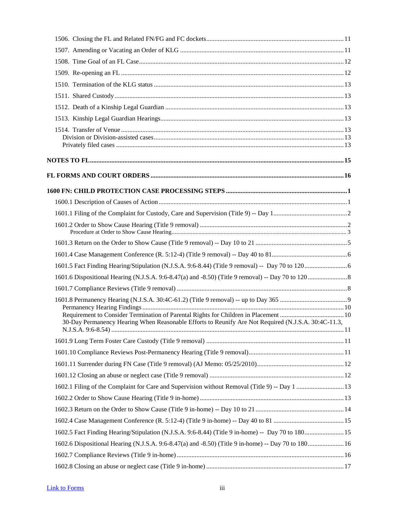| 30-Day Permanency Hearing When Reasonable Efforts to Reunify Are Not Required (N.J.S.A. 30:4C-11.3, |  |
|-----------------------------------------------------------------------------------------------------|--|
|                                                                                                     |  |
|                                                                                                     |  |
|                                                                                                     |  |
|                                                                                                     |  |
|                                                                                                     |  |
|                                                                                                     |  |
|                                                                                                     |  |
|                                                                                                     |  |
|                                                                                                     |  |
| 1602.6 Dispositional Hearing (N.J.S.A. 9:6-8.47(a) and -8.50) (Title 9 in-home) -- Day 70 to 180 16 |  |
|                                                                                                     |  |
|                                                                                                     |  |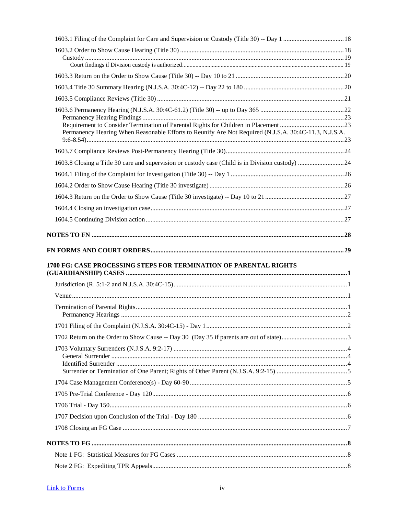| Permanency Hearing When Reasonable Efforts to Reunify Are Not Required (N.J.S.A. 30:4C-11.3, N.J.S.A. |  |
|-------------------------------------------------------------------------------------------------------|--|
|                                                                                                       |  |
|                                                                                                       |  |
|                                                                                                       |  |
|                                                                                                       |  |
|                                                                                                       |  |
|                                                                                                       |  |
|                                                                                                       |  |
|                                                                                                       |  |
|                                                                                                       |  |
| 1700 FG: CASE PROCESSING STEPS FOR TERMINATION OF PARENTAL RIGHTS                                     |  |
|                                                                                                       |  |
|                                                                                                       |  |
|                                                                                                       |  |
|                                                                                                       |  |
|                                                                                                       |  |
|                                                                                                       |  |
|                                                                                                       |  |
|                                                                                                       |  |
|                                                                                                       |  |
|                                                                                                       |  |
|                                                                                                       |  |
|                                                                                                       |  |
|                                                                                                       |  |
|                                                                                                       |  |
|                                                                                                       |  |
|                                                                                                       |  |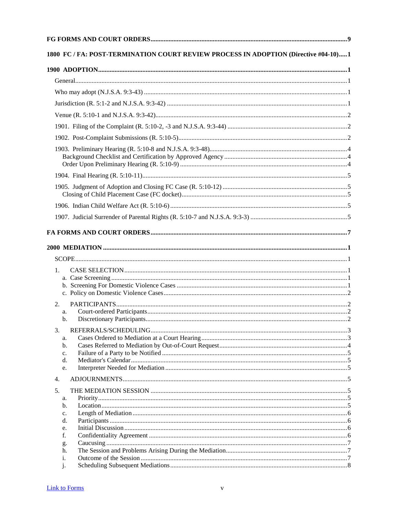|          | 1800 FC / FA: POST-TERMINATION COURT REVIEW PROCESS IN ADOPTION (Directive #04-10)1 |  |
|----------|-------------------------------------------------------------------------------------|--|
|          |                                                                                     |  |
|          |                                                                                     |  |
|          |                                                                                     |  |
|          |                                                                                     |  |
|          |                                                                                     |  |
|          |                                                                                     |  |
|          |                                                                                     |  |
|          |                                                                                     |  |
|          |                                                                                     |  |
|          |                                                                                     |  |
|          |                                                                                     |  |
|          |                                                                                     |  |
|          |                                                                                     |  |
|          |                                                                                     |  |
|          |                                                                                     |  |
|          |                                                                                     |  |
| 1.       |                                                                                     |  |
|          |                                                                                     |  |
|          |                                                                                     |  |
|          |                                                                                     |  |
| 2.<br>a. |                                                                                     |  |
| b.       |                                                                                     |  |
| 3.       |                                                                                     |  |
| a.       |                                                                                     |  |
| b.       |                                                                                     |  |
| c.       |                                                                                     |  |
| d.<br>e. |                                                                                     |  |
| 4.       |                                                                                     |  |
| 5.       |                                                                                     |  |
| a.       |                                                                                     |  |
| b.       |                                                                                     |  |
| c.       |                                                                                     |  |
| d.       |                                                                                     |  |
| e.<br>f. |                                                                                     |  |
|          |                                                                                     |  |
| g.<br>h. |                                                                                     |  |
| i.       |                                                                                     |  |
| j.       |                                                                                     |  |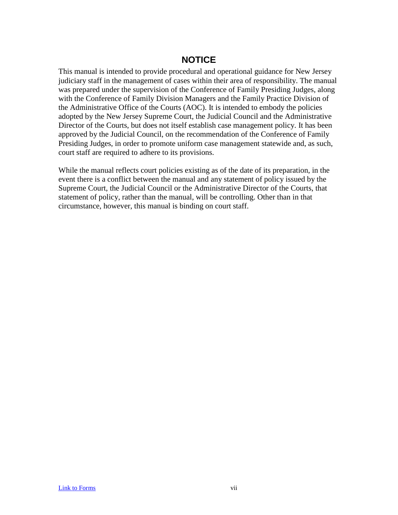### **NOTICE**

<span id="page-7-0"></span>This manual is intended to provide procedural and operational guidance for New Jersey judiciary staff in the management of cases within their area of responsibility. The manual was prepared under the supervision of the Conference of Family Presiding Judges, along with the Conference of Family Division Managers and the Family Practice Division of the Administrative Office of the Courts (AOC). It is intended to embody the policies adopted by the New Jersey Supreme Court, the Judicial Council and the Administrative Director of the Courts, but does not itself establish case management policy. It has been approved by the Judicial Council, on the recommendation of the Conference of Family Presiding Judges, in order to promote uniform case management statewide and, as such, court staff are required to adhere to its provisions.

While the manual reflects court policies existing as of the date of its preparation, in the event there is a conflict between the manual and any statement of policy issued by the Supreme Court, the Judicial Council or the Administrative Director of the Courts, that statement of policy, rather than the manual, will be controlling. Other than in that circumstance, however, this manual is binding on court staff.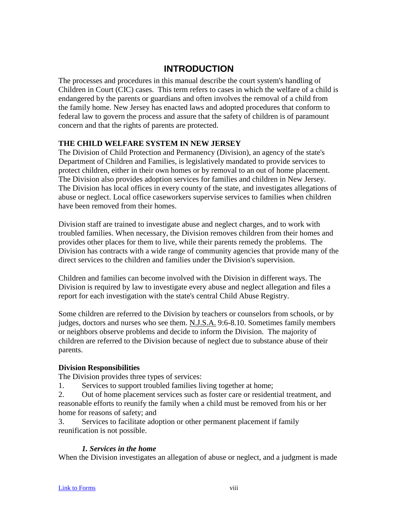### **INTRODUCTION**

<span id="page-8-0"></span>The processes and procedures in this manual describe the court system's handling of Children in Court (CIC) cases. This term refers to cases in which the welfare of a child is endangered by the parents or guardians and often involves the removal of a child from the family home. New Jersey has enacted laws and adopted procedures that conform to federal law to govern the process and assure that the safety of children is of paramount concern and that the rights of parents are protected.

### **THE CHILD WELFARE SYSTEM IN NEW JERSEY**

The Division of Child Protection and Permanency (Division), an agency of the state's Department of Children and Families, is legislatively mandated to provide services to protect children, either in their own homes or by removal to an out of home placement. The Division also provides adoption services for families and children in New Jersey. The Division has local offices in every county of the state, and investigates allegations of abuse or neglect. Local office caseworkers supervise services to families when children have been removed from their homes.

Division staff are trained to investigate abuse and neglect charges, and to work with troubled families. When necessary, the Division removes children from their homes and provides other places for them to live, while their parents remedy the problems. The Division has contracts with a wide range of community agencies that provide many of the direct services to the children and families under the Division's supervision.

Children and families can become involved with the Division in different ways. The Division is required by law to investigate every abuse and neglect allegation and files a report for each investigation with the state's central Child Abuse Registry.

Some children are referred to the Division by teachers or counselors from schools, or by judges, doctors and nurses who see them. N.J.S.A. 9:6-8.10. Sometimes family members or neighbors observe problems and decide to inform the Division. The majority of children are referred to the Division because of neglect due to substance abuse of their parents.

### **Division Responsibilities**

The Division provides three types of services:

1. Services to support troubled families living together at home;

2. Out of home placement services such as foster care or residential treatment, and reasonable efforts to reunify the family when a child must be removed from his or her home for reasons of safety; and

3. Services to facilitate adoption or other permanent placement if family reunification is not possible.

### *1. Services in the home*

When the Division investigates an allegation of abuse or neglect, and a judgment is made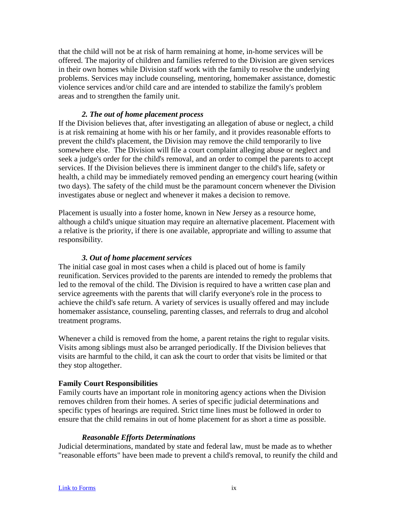that the child will not be at risk of harm remaining at home, in-home services will be offered. The majority of children and families referred to the Division are given services in their own homes while Division staff work with the family to resolve the underlying problems. Services may include counseling, mentoring, homemaker assistance, domestic violence services and/or child care and are intended to stabilize the family's problem areas and to strengthen the family unit.

#### *2. The out of home placement process*

If the Division believes that, after investigating an allegation of abuse or neglect, a child is at risk remaining at home with his or her family, and it provides reasonable efforts to prevent the child's placement, the Division may remove the child temporarily to live somewhere else. The Division will file a court complaint alleging abuse or neglect and seek a judge's order for the child's removal, and an order to compel the parents to accept services. If the Division believes there is imminent danger to the child's life, safety or health, a child may be immediately removed pending an emergency court hearing (within two days). The safety of the child must be the paramount concern whenever the Division investigates abuse or neglect and whenever it makes a decision to remove.

Placement is usually into a foster home, known in New Jersey as a resource home, although a child's unique situation may require an alternative placement. Placement with a relative is the priority, if there is one available, appropriate and willing to assume that responsibility.

#### *3. Out of home placement services*

The initial case goal in most cases when a child is placed out of home is family reunification. Services provided to the parents are intended to remedy the problems that led to the removal of the child. The Division is required to have a written case plan and service agreements with the parents that will clarify everyone's role in the process to achieve the child's safe return. A variety of services is usually offered and may include homemaker assistance, counseling, parenting classes, and referrals to drug and alcohol treatment programs.

Whenever a child is removed from the home, a parent retains the right to regular visits. Visits among siblings must also be arranged periodically. If the Division believes that visits are harmful to the child, it can ask the court to order that visits be limited or that they stop altogether.

#### **Family Court Responsibilities**

Family courts have an important role in monitoring agency actions when the Division removes children from their homes. A series of specific judicial determinations and specific types of hearings are required. Strict time lines must be followed in order to ensure that the child remains in out of home placement for as short a time as possible.

#### *Reasonable Efforts Determinations*

Judicial determinations, mandated by state and federal law, must be made as to whether "reasonable efforts" have been made to prevent a child's removal, to reunify the child and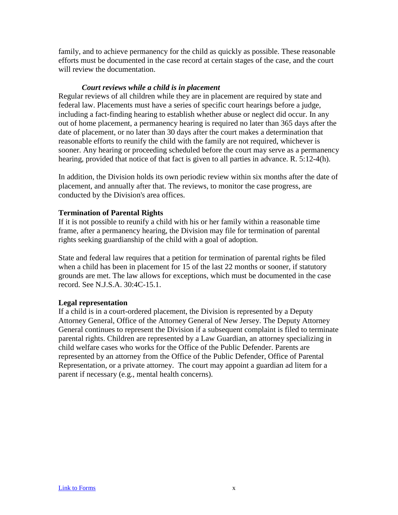family, and to achieve permanency for the child as quickly as possible. These reasonable efforts must be documented in the case record at certain stages of the case, and the court will review the documentation.

### *Court reviews while a child is in placement*

Regular reviews of all children while they are in placement are required by state and federal law. Placements must have a series of specific court hearings before a judge, including a fact-finding hearing to establish whether abuse or neglect did occur. In any out of home placement, a permanency hearing is required no later than 365 days after the date of placement, or no later than 30 days after the court makes a determination that reasonable efforts to reunify the child with the family are not required, whichever is sooner. Any hearing or proceeding scheduled before the court may serve as a permanency hearing, provided that notice of that fact is given to all parties in advance. R. 5:12-4(h).

In addition, the Division holds its own periodic review within six months after the date of placement, and annually after that. The reviews, to monitor the case progress, are conducted by the Division's area offices.

### **Termination of Parental Rights**

If it is not possible to reunify a child with his or her family within a reasonable time frame, after a permanency hearing, the Division may file for termination of parental rights seeking guardianship of the child with a goal of adoption.

State and federal law requires that a petition for termination of parental rights be filed when a child has been in placement for 15 of the last 22 months or sooner, if statutory grounds are met. The law allows for exceptions, which must be documented in the case record. See N.J.S.A. 30:4C-15.1.

### **Legal representation**

If a child is in a court-ordered placement, the Division is represented by a Deputy Attorney General, Office of the Attorney General of New Jersey. The Deputy Attorney General continues to represent the Division if a subsequent complaint is filed to terminate parental rights. Children are represented by a Law Guardian, an attorney specializing in child welfare cases who works for the Office of the Public Defender. Parents are represented by an attorney from the Office of the Public Defender, Office of Parental Representation, or a private attorney. The court may appoint a guardian ad litem for a parent if necessary (e.g., mental health concerns).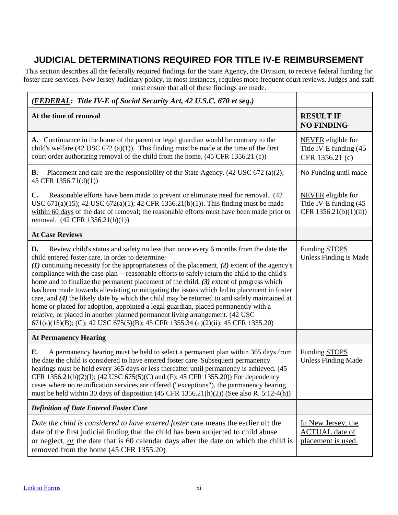# <span id="page-11-0"></span>**JUDICIAL DETERMINATIONS REQUIRED FOR TITLE IV-E REIMBURSEMENT**

This section describes all the federally required findings for the State Agency, the Division, to receive federal funding for foster care services. New Jersey Judiciary policy, in most instances, requires more frequent court reviews. Judges and staff must ensure that all of these findings are made.

| ( <b>FEDERAL:</b> Title IV-E of Social Security Act, 42 U.S.C. 670 et seq.)                                                                                                                                                                                                                                                                                                                                                                                                                                                                                                                                                                                                                                                                                                                                                                                                                                  |                                                                                |
|--------------------------------------------------------------------------------------------------------------------------------------------------------------------------------------------------------------------------------------------------------------------------------------------------------------------------------------------------------------------------------------------------------------------------------------------------------------------------------------------------------------------------------------------------------------------------------------------------------------------------------------------------------------------------------------------------------------------------------------------------------------------------------------------------------------------------------------------------------------------------------------------------------------|--------------------------------------------------------------------------------|
| At the time of removal                                                                                                                                                                                                                                                                                                                                                                                                                                                                                                                                                                                                                                                                                                                                                                                                                                                                                       | <b>RESULT IF</b><br><b>NO FINDING</b>                                          |
| A. Continuance in the home of the parent or legal guardian would be contrary to the<br>child's welfare (42 USC 672 (a)(1)). This finding must be made at the time of the first<br>court order authorizing removal of the child from the home. (45 CFR 1356.21 (c))                                                                                                                                                                                                                                                                                                                                                                                                                                                                                                                                                                                                                                           | <b>NEVER</b> eligible for<br>Title IV-E funding (45<br>CFR 1356.21 (c)         |
| Placement and care are the responsibility of the State Agency. (42 USC 672 (a)(2);<br><b>B.</b><br>45 CFR 1356.71(d)(1))                                                                                                                                                                                                                                                                                                                                                                                                                                                                                                                                                                                                                                                                                                                                                                                     | No Funding until made                                                          |
| C.<br>Reasonable efforts have been made to prevent or eliminate need for removal. (42)<br>USC 671(a)(15); 42 USC 672(a)(1); 42 CFR 1356.21(b)(1)). This finding must be made<br>within 60 days of the date of removal; the reasonable efforts must have been made prior to<br>removal. (42 CFR 1356.21(b)(1))                                                                                                                                                                                                                                                                                                                                                                                                                                                                                                                                                                                                | <b>NEVER</b> eligible for<br>Title IV-E funding (45<br>CFR $1356.21(b)(1)(ii)$ |
| <b>At Case Reviews</b>                                                                                                                                                                                                                                                                                                                                                                                                                                                                                                                                                                                                                                                                                                                                                                                                                                                                                       |                                                                                |
| Review child's status and safety no less than once every 6 months from the date the<br>D.<br>child entered foster care, in order to determine:<br>$(1)$ continuing necessity for the appropriateness of the placement, $(2)$ extent of the agency's<br>compliance with the case plan -- reasonable efforts to safely return the child to the child's<br>home and to finalize the permanent placement of the child, $(3)$ extent of progress which<br>has been made towards alleviating or mitigating the issues which led to placement in foster<br>care, and $(4)$ the likely date by which the child may be returned to and safely maintained at<br>home or placed for adoption, appointed a legal guardian, placed permanently with a<br>relative, or placed in another planned permanent living arrangement. (42 USC<br>671(a)(15)(B); (C); 42 USC 675(5)(B); 45 CFR 1355.34 (c)(2)(ii); 45 CFR 1355.20) | Funding STOPS<br>Unless Finding is Made                                        |
| <b>At Permanency Hearing</b>                                                                                                                                                                                                                                                                                                                                                                                                                                                                                                                                                                                                                                                                                                                                                                                                                                                                                 |                                                                                |
| E.<br>A permanency hearing must be held to select a permanent plan within 365 days from<br>the date the child is considered to have entered foster care. Subsequent permanency<br>hearings must be held every 365 days or less thereafter until permanency is achieved. (45<br>CFR 1356.21(b)(2)(I); (42 USC 675(5)(C) and (F); 45 CFR 1355.20)) For dependency<br>cases where no reunification services are offered ("exceptions"), the permanency hearing<br>must be held within 30 days of disposition $(45 \text{ CFR } 1356.21(h)(2))$ (See also R. 5:12-4(h))                                                                                                                                                                                                                                                                                                                                          | Funding STOPS<br><b>Unless Finding Made</b>                                    |
| <b>Definition of Date Entered Foster Care</b>                                                                                                                                                                                                                                                                                                                                                                                                                                                                                                                                                                                                                                                                                                                                                                                                                                                                |                                                                                |
| Date the child is considered to have entered foster care means the earlier of: the<br>date of the first judicial finding that the child has been subjected to child abuse<br>or neglect, $or$ the date that is 60 calendar days after the date on which the child is<br>removed from the home (45 CFR 1355.20)                                                                                                                                                                                                                                                                                                                                                                                                                                                                                                                                                                                               | In New Jersey, the<br><b>ACTUAL</b> date of<br>placement is used.              |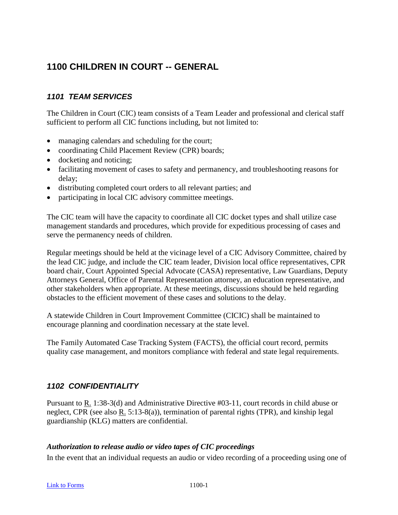# <span id="page-12-0"></span>**1100 CHILDREN IN COURT -- GENERAL**

### <span id="page-12-1"></span>*1101 TEAM SERVICES*

The Children in Court (CIC) team consists of a Team Leader and professional and clerical staff sufficient to perform all CIC functions including, but not limited to:

- managing calendars and scheduling for the court;
- coordinating Child Placement Review (CPR) boards;
- docketing and noticing;
- facilitating movement of cases to safety and permanency, and troubleshooting reasons for delay;
- distributing completed court orders to all relevant parties; and
- participating in local CIC advisory committee meetings.

The CIC team will have the capacity to coordinate all CIC docket types and shall utilize case management standards and procedures, which provide for expeditious processing of cases and serve the permanency needs of children.

Regular meetings should be held at the vicinage level of a CIC Advisory Committee, chaired by the lead CIC judge, and include the CIC team leader, Division local office representatives, CPR board chair, Court Appointed Special Advocate (CASA) representative, Law Guardians, Deputy Attorneys General, Office of Parental Representation attorney, an education representative, and other stakeholders when appropriate. At these meetings, discussions should be held regarding obstacles to the efficient movement of these cases and solutions to the delay.

A statewide Children in Court Improvement Committee (CICIC) shall be maintained to encourage planning and coordination necessary at the state level.

The Family Automated Case Tracking System (FACTS), the official court record, permits quality case management, and monitors compliance with federal and state legal requirements.

### <span id="page-12-2"></span>*1102 CONFIDENTIALITY*

Pursuant to R. 1:38-3(d) and Administrative Directive #03-11, court records in child abuse or neglect, CPR (see also R. 5:13-8(a)), termination of parental rights (TPR), and kinship legal guardianship (KLG) matters are confidential.

### <span id="page-12-3"></span>*Authorization to release audio or video tapes of CIC proceedings*

In the event that an individual requests an audio or video recording of a proceeding using one of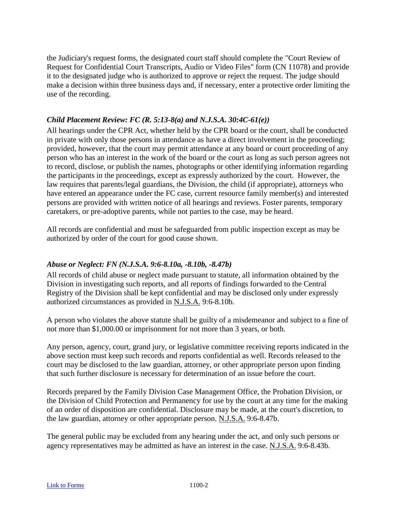the Judiciary's request forms, the designated court staff should complete the "Court Review of Request for Confidential Court Transcripts, Audio or Video Files" form (CN 11078) and provide it to the designated judge who is authorized to approve or reject the request. The judge should make a decision within three business days and, if necessary, enter a protective order limiting the use of the recording.

### <span id="page-13-0"></span>*Child Placement Review: FC (R. 5:13-8(a) and N.J.S.A. 30:4C-61(e))*

All hearings under the CPR Act, whether held by the CPR board or the court, shall be conducted in private with only those persons in attendance as have a direct involvement in the proceeding; provided, however, that the court may permit attendance at any board or court proceeding of any person who has an interest in the work of the board or the court as long as such person agrees not to record, disclose, or publish the names, photographs or other identifying information regarding the participants in the proceedings, except as expressly authorized by the court. However, the law requires that parents/legal guardians, the Division, the child (if appropriate), attorneys who have entered an appearance under the FC case, current resource family member(s) and interested persons are provided with written notice of all hearings and reviews. Foster parents, temporary caretakers, or pre-adoptive parents, while not parties to the case, may be heard.

All records are confidential and must be safeguarded from public inspection except as may be authorized by order of the court for good cause shown.

### <span id="page-13-1"></span>*Abuse or Neglect: FN (N.J.S.A. 9:6-8.10a, -8.10b, -8.47b)*

All records of child abuse or neglect made pursuant to statute, all information obtained by the Division in investigating such reports, and all reports of findings forwarded to the Central Registry of the Division shall be kept confidential and may be disclosed only under expressly authorized circumstances as provided in N.J.S.A. 9:6-8.10b*.*

A person who violates the above statute shall be guilty of a misdemeanor and subject to a fine of not more than \$1,000.00 or imprisonment for not more than 3 years, or both.

Any person, agency, court, grand jury, or legislative committee receiving reports indicated in the above section must keep such records and reports confidential as well. Records released to the court may be disclosed to the law guardian, attorney, or other appropriate person upon finding that such further disclosure is necessary for determination of an issue before the court.

Records prepared by the Family Division Case Management Office, the Probation Division, or the Division of Child Protection and Permanency for use by the court at any time for the making of an order of disposition are confidential. Disclosure may be made, at the court's discretion, to the law guardian, attorney or other appropriate person. N.J.S.A. 9:6-8.47b.

The general public may be excluded from any hearing under the act, and only such persons or agency representatives may be admitted as have an interest in the case. N.J.S.A. 9:6-8.43b.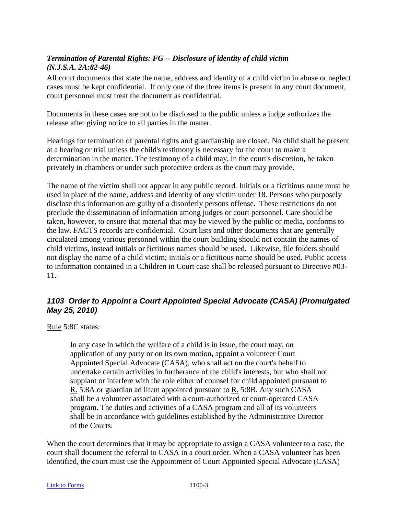### <span id="page-14-0"></span>*Termination of Parental Rights: FG -- Disclosure of identity of child victim (N.J.S.A. 2A:82-46)*

All court documents that state the name, address and identity of a child victim in abuse or neglect cases must be kept confidential. If only one of the three items is present in any court document, court personnel must treat the document as confidential.

Documents in these cases are not to be disclosed to the public unless a judge authorizes the release after giving notice to all parties in the matter.

Hearings for termination of parental rights and guardianship are closed. No child shall be present at a hearing or trial unless the child's testimony is necessary for the court to make a determination in the matter. The testimony of a child may, in the court's discretion, be taken privately in chambers or under such protective orders as the court may provide.

The name of the victim shall not appear in any public record. Initials or a fictitious name must be used in place of the name, address and identity of any victim under 18. Persons who purposely disclose this information are guilty of a disorderly persons offense. These restrictions do not preclude the dissemination of information among judges or court personnel. Care should be taken, however, to ensure that material that may be viewed by the public or media, conforms to the law. FACTS records are confidential. Court lists and other documents that are generally circulated among various personnel within the court building should not contain the names of child victims, instead initials or fictitious names should be used. Likewise, file folders should not display the name of a child victim; initials or a fictitious name should be used. Public access to information contained in a Children in Court case shall be released pursuant to Directive #03- 11.

### <span id="page-14-1"></span>*1103 Order to Appoint a Court Appointed Special Advocate (CASA) (Promulgated May 25, 2010)*

Rule 5:8C states:

In any case in which the welfare of a child is in issue, the court may, on application of any party or on its own motion, appoint a volunteer Court Appointed Special Advocate (CASA), who shall act on the court's behalf to undertake certain activities in furtherance of the child's interests, but who shall not supplant or interfere with the role either of counsel for child appointed pursuant to R. 5:8A or guardian ad litem appointed pursuant to R. 5:8B. Any such CASA shall be a volunteer associated with a court-authorized or court-operated CASA program. The duties and activities of a CASA program and all of its volunteers shall be in accordance with guidelines established by the Administrative Director of the Courts.

When the court determines that it may be appropriate to assign a CASA volunteer to a case, the court shall document the referral to CASA in a court order. When a CASA volunteer has been identified, the court must use the Appointment of Court Appointed Special Advocate (CASA)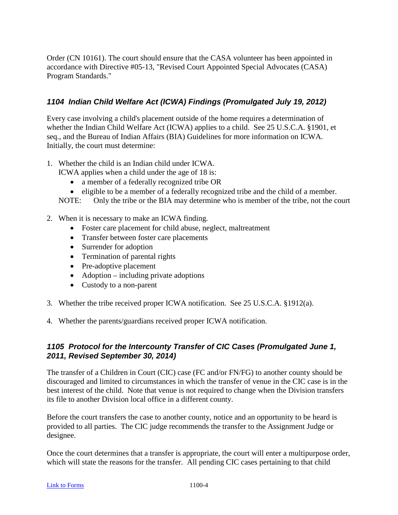Order (CN 10161). The court should ensure that the CASA volunteer has been appointed in accordance with Directive #05-13, "Revised Court Appointed Special Advocates (CASA) Program Standards."

### <span id="page-15-0"></span>*1104 Indian Child Welfare Act (ICWA) Findings (Promulgated July 19, 2012)*

Every case involving a child's placement outside of the home requires a determination of whether the Indian Child Welfare Act (ICWA) applies to a child. See 25 U.S.C.A. §1901, et seq., and the Bureau of Indian Affairs (BIA) Guidelines for more information on ICWA. Initially, the court must determine:

1. Whether the child is an Indian child under ICWA.

ICWA applies when a child under the age of 18 is:

- a member of a federally recognized tribe OR
- eligible to be a member of a federally recognized tribe and the child of a member.

NOTE: Only the tribe or the BIA may determine who is member of the tribe, not the court

- 2. When it is necessary to make an ICWA finding.
	- Foster care placement for child abuse, neglect, maltreatment
	- Transfer between foster care placements
	- Surrender for adoption
	- Termination of parental rights
	- Pre-adoptive placement
	- Adoption including private adoptions
	- Custody to a non-parent
- 3. Whether the tribe received proper ICWA notification. See 25 U.S.C.A. §1912(a).
- 4. Whether the parents/guardians received proper ICWA notification.

### <span id="page-15-1"></span>*1105 Protocol for the Intercounty Transfer of CIC Cases (Promulgated June 1, 2011, Revised September 30, 2014)*

The transfer of a Children in Court (CIC) case (FC and/or FN/FG) to another county should be discouraged and limited to circumstances in which the transfer of venue in the CIC case is in the best interest of the child. Note that venue is not required to change when the Division transfers its file to another Division local office in a different county.

Before the court transfers the case to another county, notice and an opportunity to be heard is provided to all parties. The CIC judge recommends the transfer to the Assignment Judge or designee.

Once the court determines that a transfer is appropriate, the court will enter a multipurpose order, which will state the reasons for the transfer. All pending CIC cases pertaining to that child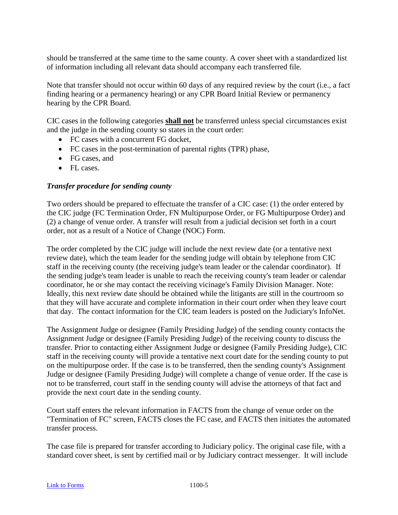should be transferred at the same time to the same county. A cover sheet with a standardized list of information including all relevant data should accompany each transferred file.

Note that transfer should not occur within 60 days of any required review by the court (i.e., a fact finding hearing or a permanency hearing) or any CPR Board Initial Review or permanency hearing by the CPR Board.

CIC cases in the following categories **shall not** be transferred unless special circumstances exist and the judge in the sending county so states in the court order:

- FC cases with a concurrent FG docket.
- FC cases in the post-termination of parental rights (TPR) phase,
- FG cases, and
- FL cases.

### <span id="page-16-0"></span>*Transfer procedure for sending county*

Two orders should be prepared to effectuate the transfer of a CIC case: (1) the order entered by the CIC judge (FC Termination Order, FN Multipurpose Order, or FG Multipurpose Order) and (2) a change of venue order. A transfer will result from a judicial decision set forth in a court order, not as a result of a Notice of Change (NOC) Form.

The order completed by the CIC judge will include the next review date (or a tentative next review date), which the team leader for the sending judge will obtain by telephone from CIC staff in the receiving county (the receiving judge's team leader or the calendar coordinator). If the sending judge's team leader is unable to reach the receiving county's team leader or calendar coordinator, he or she may contact the receiving vicinage's Family Division Manager. Note: Ideally, this next review date should be obtained while the litigants are still in the courtroom so that they will have accurate and complete information in their court order when they leave court that day. The contact information for the CIC team leaders is posted on the Judiciary's InfoNet.

The Assignment Judge or designee (Family Presiding Judge) of the sending county contacts the Assignment Judge or designee (Family Presiding Judge) of the receiving county to discuss the transfer. Prior to contacting either Assignment Judge or designee (Family Presiding Judge), CIC staff in the receiving county will provide a tentative next court date for the sending county to put on the multipurpose order. If the case is to be transferred, then the sending county's Assignment Judge or designee (Family Presiding Judge) will complete a change of venue order. If the case is not to be transferred, court staff in the sending county will advise the attorneys of that fact and provide the next court date in the sending county.

Court staff enters the relevant information in FACTS from the change of venue order on the "Termination of FC" screen, FACTS closes the FC case, and FACTS then initiates the automated transfer process.

The case file is prepared for transfer according to Judiciary policy. The original case file, with a standard cover sheet, is sent by certified mail or by Judiciary contract messenger. It will include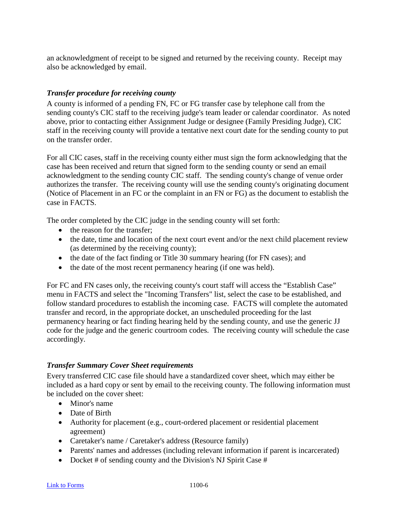an acknowledgment of receipt to be signed and returned by the receiving county. Receipt may also be acknowledged by email.

### <span id="page-17-0"></span>*Transfer procedure for receiving county*

A county is informed of a pending FN, FC or FG transfer case by telephone call from the sending county's CIC staff to the receiving judge's team leader or calendar coordinator. As noted above, prior to contacting either Assignment Judge or designee (Family Presiding Judge), CIC staff in the receiving county will provide a tentative next court date for the sending county to put on the transfer order.

For all CIC cases, staff in the receiving county either must sign the form acknowledging that the case has been received and return that signed form to the sending county or send an email acknowledgment to the sending county CIC staff. The sending county's change of venue order authorizes the transfer. The receiving county will use the sending county's originating document (Notice of Placement in an FC or the complaint in an FN or FG) as the document to establish the case in FACTS.

The order completed by the CIC judge in the sending county will set forth:

- the reason for the transfer;
- the date, time and location of the next court event and/or the next child placement review (as determined by the receiving county);
- the date of the fact finding or Title 30 summary hearing (for FN cases); and
- the date of the most recent permanency hearing (if one was held).

For FC and FN cases only, the receiving county's court staff will access the "Establish Case" menu in FACTS and select the "Incoming Transfers" list, select the case to be established, and follow standard procedures to establish the incoming case. FACTS will complete the automated transfer and record, in the appropriate docket, an unscheduled proceeding for the last permanency hearing or fact finding hearing held by the sending county, and use the generic JJ code for the judge and the generic courtroom codes. The receiving county will schedule the case accordingly.

### <span id="page-17-1"></span>*Transfer Summary Cover Sheet requirements*

Every transferred CIC case file should have a standardized cover sheet, which may either be included as a hard copy or sent by email to the receiving county. The following information must be included on the cover sheet:

- Minor's name
- Date of Birth
- Authority for placement (e.g., court-ordered placement or residential placement agreement)
- Caretaker's name / Caretaker's address (Resource family)
- Parents' names and addresses (including relevant information if parent is incarcerated)
- Docket # of sending county and the Division's NJ Spirit Case #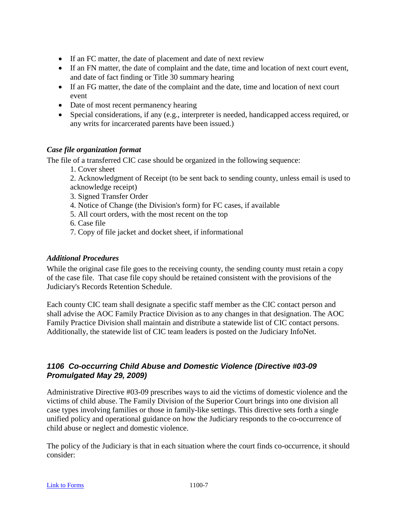- If an FC matter, the date of placement and date of next review
- If an FN matter, the date of complaint and the date, time and location of next court event, and date of fact finding or Title 30 summary hearing
- If an FG matter, the date of the complaint and the date, time and location of next court event
- Date of most recent permanency hearing
- Special considerations, if any (e.g., interpreter is needed, handicapped access required, or any writs for incarcerated parents have been issued.)

### <span id="page-18-0"></span>*Case file organization format*

The file of a transferred CIC case should be organized in the following sequence:

1. Cover sheet

2. Acknowledgment of Receipt (to be sent back to sending county, unless email is used to acknowledge receipt)

- 3. Signed Transfer Order
- 4. Notice of Change (the Division's form) for FC cases, if available
- 5. All court orders, with the most recent on the top
- 6. Case file
- 7. Copy of file jacket and docket sheet, if informational

### <span id="page-18-1"></span>*Additional Procedures*

While the original case file goes to the receiving county, the sending county must retain a copy of the case file. That case file copy should be retained consistent with the provisions of the Judiciary's Records Retention Schedule.

Each county CIC team shall designate a specific staff member as the CIC contact person and shall advise the AOC Family Practice Division as to any changes in that designation. The AOC Family Practice Division shall maintain and distribute a statewide list of CIC contact persons. Additionally, the statewide list of CIC team leaders is posted on the Judiciary InfoNet.

### <span id="page-18-2"></span>*1106 Co-occurring Child Abuse and Domestic Violence (Directive #03-09 Promulgated May 29, 2009)*

Administrative Directive #03-09 prescribes ways to aid the victims of domestic violence and the victims of child abuse. The Family Division of the Superior Court brings into one division all case types involving families or those in family-like settings. This directive sets forth a single unified policy and operational guidance on how the Judiciary responds to the co-occurrence of child abuse or neglect and domestic violence.

The policy of the Judiciary is that in each situation where the court finds co-occurrence, it should consider: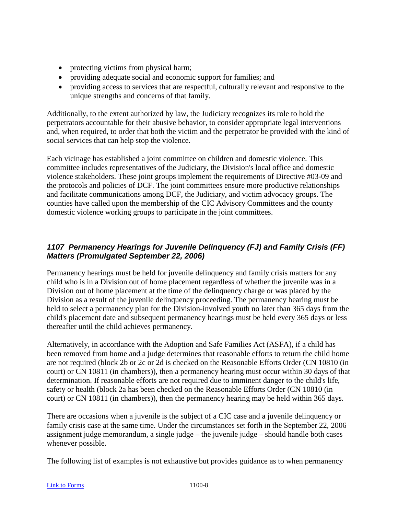- protecting victims from physical harm;
- providing adequate social and economic support for families; and
- providing access to services that are respectful, culturally relevant and responsive to the unique strengths and concerns of that family.

Additionally, to the extent authorized by law, the Judiciary recognizes its role to hold the perpetrators accountable for their abusive behavior, to consider appropriate legal interventions and, when required, to order that both the victim and the perpetrator be provided with the kind of social services that can help stop the violence.

Each vicinage has established a joint committee on children and domestic violence. This committee includes representatives of the Judiciary, the Division's local office and domestic violence stakeholders. These joint groups implement the requirements of Directive #03-09 and the protocols and policies of DCF. The joint committees ensure more productive relationships and facilitate communications among DCF, the Judiciary, and victim advocacy groups. The counties have called upon the membership of the CIC Advisory Committees and the county domestic violence working groups to participate in the joint committees.

### <span id="page-19-0"></span>*1107 Permanency Hearings for Juvenile Delinquency (FJ) and Family Crisis (FF) Matters (Promulgated September 22, 2006)*

Permanency hearings must be held for juvenile delinquency and family crisis matters for any child who is in a Division out of home placement regardless of whether the juvenile was in a Division out of home placement at the time of the delinquency charge or was placed by the Division as a result of the juvenile delinquency proceeding. The permanency hearing must be held to select a permanency plan for the Division-involved youth no later than 365 days from the child's placement date and subsequent permanency hearings must be held every 365 days or less thereafter until the child achieves permanency.

Alternatively, in accordance with the Adoption and Safe Families Act (ASFA), if a child has been removed from home and a judge determines that reasonable efforts to return the child home are not required (block 2b or 2c or 2d is checked on the Reasonable Efforts Order (CN 10810 (in court) or CN 10811 (in chambers)), then a permanency hearing must occur within 30 days of that determination. If reasonable efforts are not required due to imminent danger to the child's life, safety or health (block 2a has been checked on the Reasonable Efforts Order (CN 10810 (in court) or CN 10811 (in chambers)), then the permanency hearing may be held within 365 days.

There are occasions when a juvenile is the subject of a CIC case and a juvenile delinquency or family crisis case at the same time. Under the circumstances set forth in the September 22, 2006 assignment judge memorandum, a single judge – the juvenile judge – should handle both cases whenever possible.

The following list of examples is not exhaustive but provides guidance as to when permanency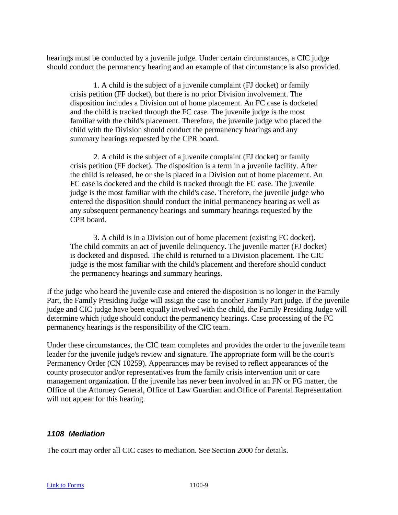hearings must be conducted by a juvenile judge. Under certain circumstances, a CIC judge should conduct the permanency hearing and an example of that circumstance is also provided.

1. A child is the subject of a juvenile complaint (FJ docket) or family crisis petition (FF docket), but there is no prior Division involvement. The disposition includes a Division out of home placement. An FC case is docketed and the child is tracked through the FC case. The juvenile judge is the most familiar with the child's placement. Therefore, the juvenile judge who placed the child with the Division should conduct the permanency hearings and any summary hearings requested by the CPR board.

2. A child is the subject of a juvenile complaint (FJ docket) or family crisis petition (FF docket). The disposition is a term in a juvenile facility. After the child is released, he or she is placed in a Division out of home placement. An FC case is docketed and the child is tracked through the FC case. The juvenile judge is the most familiar with the child's case. Therefore, the juvenile judge who entered the disposition should conduct the initial permanency hearing as well as any subsequent permanency hearings and summary hearings requested by the CPR board.

3. A child is in a Division out of home placement (existing FC docket). The child commits an act of juvenile delinquency. The juvenile matter (FJ docket) is docketed and disposed. The child is returned to a Division placement. The CIC judge is the most familiar with the child's placement and therefore should conduct the permanency hearings and summary hearings.

If the judge who heard the juvenile case and entered the disposition is no longer in the Family Part, the Family Presiding Judge will assign the case to another Family Part judge. If the juvenile judge and CIC judge have been equally involved with the child, the Family Presiding Judge will determine which judge should conduct the permanency hearings. Case processing of the FC permanency hearings is the responsibility of the CIC team.

Under these circumstances, the CIC team completes and provides the order to the juvenile team leader for the juvenile judge's review and signature. The appropriate form will be the court's Permanency Order (CN 10259). Appearances may be revised to reflect appearances of the county prosecutor and/or representatives from the family crisis intervention unit or care management organization. If the juvenile has never been involved in an FN or FG matter, the Office of the Attorney General, Office of Law Guardian and Office of Parental Representation will not appear for this hearing.

### <span id="page-20-0"></span>*1108 Mediation*

The court may order all CIC cases to mediation. See Section 2000 for details.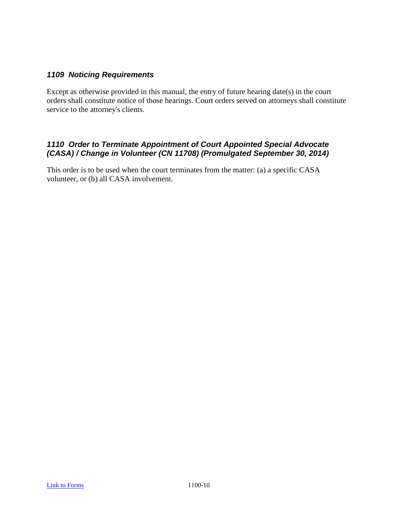### <span id="page-21-0"></span>*1109 Noticing Requirements*

Except as otherwise provided in this manual, the entry of future hearing date(s) in the court orders shall constitute notice of those hearings. Court orders served on attorneys shall constitute service to the attorney's clients.

### <span id="page-21-1"></span>*1110 Order to Terminate Appointment of Court Appointed Special Advocate (CASA) / Change in Volunteer (CN 11708) (Promulgated September 30, 2014)*

This order is to be used when the court terminates from the matter: (a) a specific CASA volunteer, or (b) all CASA involvement.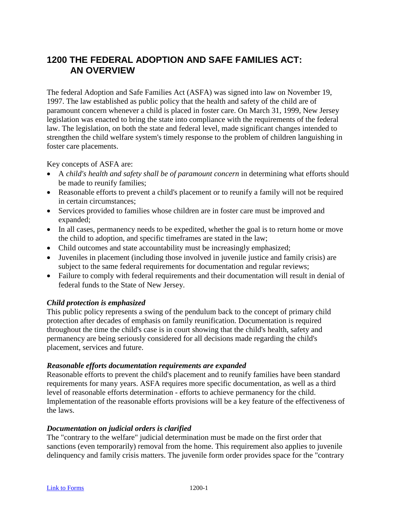# <span id="page-22-0"></span>**1200 THE FEDERAL ADOPTION AND SAFE FAMILIES ACT: AN OVERVIEW**

The federal Adoption and Safe Families Act (ASFA) was signed into law on November 19, 1997. The law established as public policy that the health and safety of the child are of paramount concern whenever a child is placed in foster care. On March 31, 1999, New Jersey legislation was enacted to bring the state into compliance with the requirements of the federal law. The legislation, on both the state and federal level, made significant changes intended to strengthen the child welfare system's timely response to the problem of children languishing in foster care placements.

Key concepts of ASFA are:

- A *child's health and safety shall be of paramount concern* in determining what efforts should be made to reunify families;
- Reasonable efforts to prevent a child's placement or to reunify a family will not be required in certain circumstances;
- Services provided to families whose children are in foster care must be improved and expanded;
- In all cases, permanency needs to be expedited, whether the goal is to return home or move the child to adoption, and specific timeframes are stated in the law;
- Child outcomes and state accountability must be increasingly emphasized;
- Juveniles in placement (including those involved in juvenile justice and family crisis) are subject to the same federal requirements for documentation and regular reviews;
- Failure to comply with federal requirements and their documentation will result in denial of federal funds to the State of New Jersey.

### *Child protection is emphasized*

This public policy represents a swing of the pendulum back to the concept of primary child protection after decades of emphasis on family reunification. Documentation is required throughout the time the child's case is in court showing that the child's health, safety and permanency are being seriously considered for all decisions made regarding the child's placement, services and future.

### *Reasonable efforts documentation requirements are expanded*

Reasonable efforts to prevent the child's placement and to reunify families have been standard requirements for many years. ASFA requires more specific documentation, as well as a third level of reasonable efforts determination - efforts to achieve permanency for the child. Implementation of the reasonable efforts provisions will be a key feature of the effectiveness of the laws.

### *Documentation on judicial orders is clarified*

The "contrary to the welfare" judicial determination must be made on the first order that sanctions (even temporarily) removal from the home. This requirement also applies to juvenile delinquency and family crisis matters. The juvenile form order provides space for the "contrary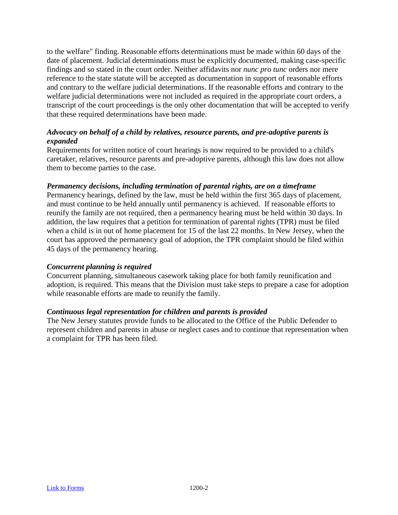to the welfare" finding. Reasonable efforts determinations must be made within 60 days of the date of placement. Judicial determinations must be explicitly documented, making case-specific findings and so stated in the court order. Neither affidavits nor *nunc pro tunc* orders nor mere reference to the state statute will be accepted as documentation in support of reasonable efforts and contrary to the welfare judicial determinations. If the reasonable efforts and contrary to the welfare judicial determinations were not included as required in the appropriate court orders, a transcript of the court proceedings is the only other documentation that will be accepted to verify that these required determinations have been made.

### *Advocacy on behalf of a child by relatives, resource parents, and pre-adoptive parents is expanded*

Requirements for written notice of court hearings is now required to be provided to a child's caretaker, relatives, resource parents and pre-adoptive parents, although this law does not allow them to become parties to the case.

### *Permanency decisions, including termination of parental rights, are on a timeframe*

Permanency hearings, defined by the law, must be held within the first 365 days of placement, and must continue to be held annually until permanency is achieved. If reasonable efforts to reunify the family are not required, then a permanency hearing must be held within 30 days. In addition, the law requires that a petition for termination of parental rights (TPR) must be filed when a child is in out of home placement for 15 of the last 22 months. In New Jersey, when the court has approved the permanency goal of adoption, the TPR complaint should be filed within 45 days of the permanency hearing.

### *Concurrent planning is required*

Concurrent planning, simultaneous casework taking place for both family reunification and adoption, is required. This means that the Division must take steps to prepare a case for adoption while reasonable efforts are made to reunify the family.

### *Continuous legal representation for children and parents is provided*

The New Jersey statutes provide funds to be allocated to the Office of the Public Defender to represent children and parents in abuse or neglect cases and to continue that representation when a complaint for TPR has been filed.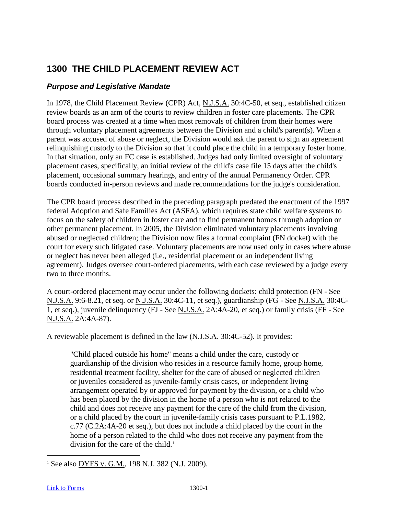# <span id="page-24-0"></span>**1300 THE CHILD PLACEMENT REVIEW ACT**

### <span id="page-24-1"></span>*Purpose and Legislative Mandate*

In 1978, the Child Placement Review (CPR) Act, N.J.S.A. 30:4C-50, et seq., established citizen review boards as an arm of the courts to review children in foster care placements. The CPR board process was created at a time when most removals of children from their homes were through voluntary placement agreements between the Division and a child's parent(s). When a parent was accused of abuse or neglect, the Division would ask the parent to sign an agreement relinquishing custody to the Division so that it could place the child in a temporary foster home. In that situation, only an FC case is established. Judges had only limited oversight of voluntary placement cases, specifically, an initial review of the child's case file 15 days after the child's placement, occasional summary hearings, and entry of the annual Permanency Order. CPR boards conducted in-person reviews and made recommendations for the judge's consideration.

The CPR board process described in the preceding paragraph predated the enactment of the 1997 federal Adoption and Safe Families Act (ASFA), which requires state child welfare systems to focus on the safety of children in foster care and to find permanent homes through adoption or other permanent placement. In 2005, the Division eliminated voluntary placements involving abused or neglected children; the Division now files a formal complaint (FN docket) with the court for every such litigated case. Voluntary placements are now used only in cases where abuse or neglect has never been alleged (i.e., residential placement or an independent living agreement). Judges oversee court-ordered placements, with each case reviewed by a judge every two to three months.

A court-ordered placement may occur under the following dockets: child protection (FN - See N.J.S.A. 9:6-8.21, et seq. or N.J.S.A. 30:4C-11, et seq.), guardianship (FG - See N.J.S.A. 30:4C-1, et seq.), juvenile delinquency (FJ - See N.J.S.A. 2A:4A-20, et seq.) or family crisis (FF - See N.J.S.A. 2A:4A-87).

A reviewable placement is defined in the law (N.J.S.A. 30:4C-52). It provides:

"Child placed outside his home" means a child under the care, custody or guardianship of the division who resides in a resource family home, group home, residential treatment facility, shelter for the care of abused or neglected children or juveniles considered as juvenile-family crisis cases, or independent living arrangement operated by or approved for payment by the division, or a child who has been placed by the division in the home of a person who is not related to the child and does not receive any payment for the care of the child from the division, or a child placed by the court in juvenile-family crisis cases pursuant to P.L.1982, c.77 (C.2A:4A-20 et seq.), but does not include a child placed by the court in the home of a person related to the child who does not receive any payment from the division for the care of the child.<sup>[1](#page-24-2)</sup>

<span id="page-24-2"></span><sup>&</sup>lt;sup>1</sup> See also DYFS v. G.M., 198 N.J. 382 (N.J. 2009).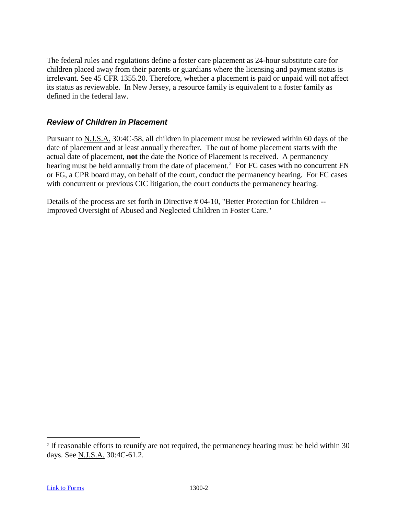The federal rules and regulations define a foster care placement as 24-hour substitute care for children placed away from their parents or guardians where the licensing and payment status is irrelevant. See 45 CFR 1355.20. Therefore, whether a placement is paid or unpaid will not affect its status as reviewable. In New Jersey, a resource family is equivalent to a foster family as defined in the federal law.

### <span id="page-25-0"></span>*Review of Children in Placement*

Pursuant to N.J.S.A. 30:4C-58, all children in placement must be reviewed within 60 days of the date of placement and at least annually thereafter. The out of home placement starts with the actual date of placement, **not** the date the Notice of Placement is received.A permanency hearing must be held annually from the date of placement.<sup>[2](#page-25-1)</sup> For FC cases with no concurrent FN or FG, a CPR board may, on behalf of the court, conduct the permanency hearing. For FC cases with concurrent or previous CIC litigation, the court conducts the permanency hearing.

Details of the process are set forth in Directive # 04-10, "Better Protection for Children -- Improved Oversight of Abused and Neglected Children in Foster Care."

<span id="page-25-1"></span><sup>&</sup>lt;sup>2</sup> If reasonable efforts to reunify are not required, the permanency hearing must be held within 30 days. See N.J.S.A. 30:4C-61.2.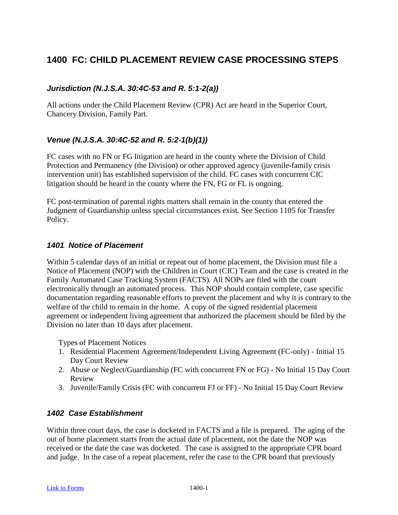# <span id="page-26-0"></span>**1400 FC: CHILD PLACEMENT REVIEW CASE PROCESSING STEPS**

### <span id="page-26-1"></span>*Jurisdiction (N.J.S.A. 30:4C-53 and R. 5:1-2(a))*

All actions under the Child Placement Review (CPR) Act are heard in the Superior Court, Chancery Division, Family Part.

### <span id="page-26-2"></span>*Venue (N.J.S.A. 30:4C-52 and R. 5:2-1(b)(1))*

FC cases with no FN or FG litigation are heard in the county where the Division of Child Protection and Permanency (the Division) or other approved agency (juvenile-family crisis intervention unit) has established supervision of the child. FC cases with concurrent CIC litigation should be heard in the county where the FN, FG or FL is ongoing.

FC post-termination of parental rights matters shall remain in the county that entered the Judgment of Guardianship unless special circumstances exist. See Section 1105 for Transfer Policy.

### <span id="page-26-3"></span>*1401 Notice of Placement*

Within 5 calendar days of an initial or repeat out of home placement, the Division must file a Notice of Placement (NOP) with the Children in Court (CIC) Team and the case is created in the Family Automated Case Tracking System (FACTS). All NOPs are filed with the court electronically through an automated process. This NOP should contain complete, case specific documentation regarding reasonable efforts to prevent the placement and why it is contrary to the welfare of the child to remain in the home. A copy of the signed residential placement agreement or independent living agreement that authorized the placement should be filed by the Division no later than 10 days after placement.

Types of Placement Notices

- 1. Residential Placement Agreement/Independent Living Agreement (FC-only) Initial 15 Day Court Review
- 2. Abuse or Neglect/Guardianship (FC with concurrent FN or FG) No Initial 15 Day Court Review
- 3. Juvenile/Family Crisis (FC with concurrent FJ or FF) No Initial 15 Day Court Review

### <span id="page-26-4"></span>*1402 Case Establishment*

Within three court days, the case is docketed in FACTS and a file is prepared. The aging of the out of home placement starts from the actual date of placement, not the date the NOP was received or the date the case was docketed. The case is assigned to the appropriate CPR board and judge. In the case of a repeat placement, refer the case to the CPR board that previously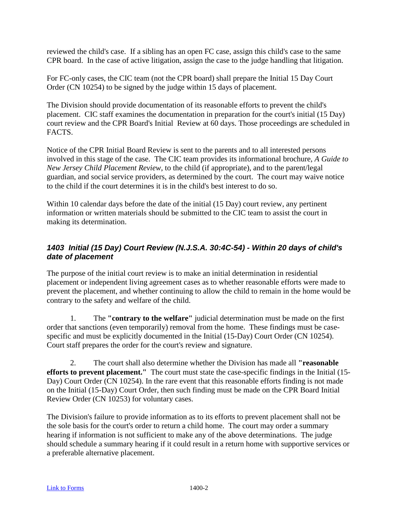reviewed the child's case. If a sibling has an open FC case, assign this child's case to the same CPR board. In the case of active litigation, assign the case to the judge handling that litigation.

For FC-only cases, the CIC team (not the CPR board) shall prepare the Initial 15 Day Court Order (CN 10254) to be signed by the judge within 15 days of placement.

The Division should provide documentation of its reasonable efforts to prevent the child's placement. CIC staff examines the documentation in preparation for the court's initial (15 Day) court review and the CPR Board's Initial Review at 60 days. Those proceedings are scheduled in FACTS.

Notice of the CPR Initial Board Review is sent to the parents and to all interested persons involved in this stage of the case. The CIC team provides its informational brochure, *A Guide to New Jersey Child Placement Review*, to the child (if appropriate), and to the parent/legal guardian, and social service providers, as determined by the court. The court may waive notice to the child if the court determines it is in the child's best interest to do so.

Within 10 calendar days before the date of the initial (15 Day) court review, any pertinent information or written materials should be submitted to the CIC team to assist the court in making its determination.

### <span id="page-27-0"></span>*1403 Initial (15 Day) Court Review (N.J.S.A. 30:4C-54) - Within 20 days of child's date of placement*

The purpose of the initial court review is to make an initial determination in residential placement or independent living agreement cases as to whether reasonable efforts were made to prevent the placement, and whether continuing to allow the child to remain in the home would be contrary to the safety and welfare of the child.

1. The **"contrary to the welfare"** judicial determination must be made on the first order that sanctions (even temporarily) removal from the home. These findings must be casespecific and must be explicitly documented in the Initial (15-Day) Court Order (CN 10254). Court staff prepares the order for the court's review and signature.

2. The court shall also determine whether the Division has made all **"reasonable efforts to prevent placement."** The court must state the case-specific findings in the Initial (15- Day) Court Order (CN 10254). In the rare event that this reasonable efforts finding is not made on the Initial (15-Day) Court Order, then such finding must be made on the CPR Board Initial Review Order (CN 10253) for voluntary cases.

The Division's failure to provide information as to its efforts to prevent placement shall not be the sole basis for the court's order to return a child home. The court may order a summary hearing if information is not sufficient to make any of the above determinations. The judge should schedule a summary hearing if it could result in a return home with supportive services or a preferable alternative placement.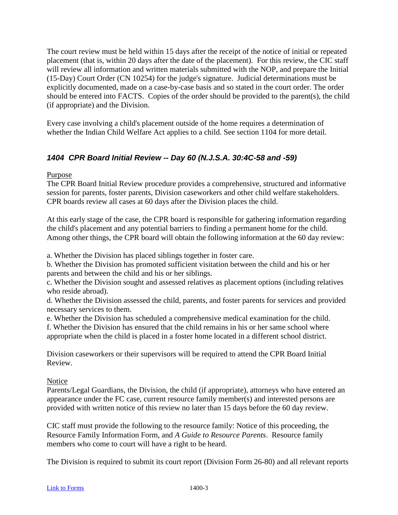The court review must be held within 15 days after the receipt of the notice of initial or repeated placement (that is, within 20 days after the date of the placement). For this review, the CIC staff will review all information and written materials submitted with the NOP, and prepare the Initial (15-Day) Court Order (CN 10254) for the judge's signature. Judicial determinations must be explicitly documented, made on a case-by-case basis and so stated in the court order. The order should be entered into FACTS. Copies of the order should be provided to the parent(s), the child (if appropriate) and the Division.

Every case involving a child's placement outside of the home requires a determination of whether the Indian Child Welfare Act applies to a child. See section 1104 for more detail.

### <span id="page-28-0"></span>*1404 CPR Board Initial Review -- Day 60 (N.J.S.A. 30:4C-58 and -59)*

Purpose

The CPR Board Initial Review procedure provides a comprehensive, structured and informative session for parents, foster parents, Division caseworkers and other child welfare stakeholders. CPR boards review all cases at 60 days after the Division places the child.

At this early stage of the case, the CPR board is responsible for gathering information regarding the child's placement and any potential barriers to finding a permanent home for the child. Among other things, the CPR board will obtain the following information at the 60 day review:

a. Whether the Division has placed siblings together in foster care.

b. Whether the Division has promoted sufficient visitation between the child and his or her parents and between the child and his or her siblings.

c. Whether the Division sought and assessed relatives as placement options (including relatives who reside abroad).

d. Whether the Division assessed the child, parents, and foster parents for services and provided necessary services to them.

e. Whether the Division has scheduled a comprehensive medical examination for the child.

f. Whether the Division has ensured that the child remains in his or her same school where appropriate when the child is placed in a foster home located in a different school district.

Division caseworkers or their supervisors will be required to attend the CPR Board Initial Review.

Notice

Parents/Legal Guardians, the Division, the child (if appropriate), attorneys who have entered an appearance under the FC case, current resource family member(s) and interested persons are provided with written notice of this review no later than 15 days before the 60 day review.

CIC staff must provide the following to the resource family: Notice of this proceeding, the Resource Family Information Form, and *A Guide to Resource Parents*. Resource family members who come to court will have a right to be heard.

The Division is required to submit its court report (Division Form 26-80) and all relevant reports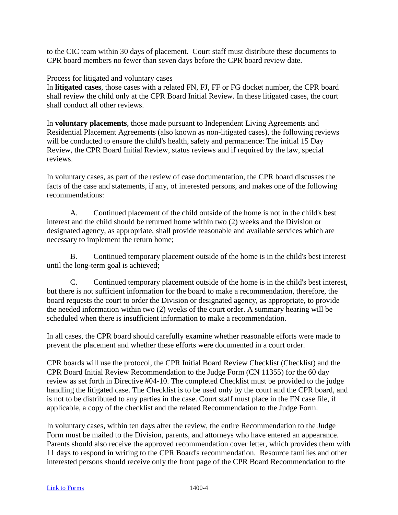to the CIC team within 30 days of placement. Court staff must distribute these documents to CPR board members no fewer than seven days before the CPR board review date.

### Process for litigated and voluntary cases

In **litigated cases**, those cases with a related FN, FJ, FF or FG docket number, the CPR board shall review the child only at the CPR Board Initial Review. In these litigated cases, the court shall conduct all other reviews.

In **voluntary placements**, those made pursuant to Independent Living Agreements and Residential Placement Agreements (also known as non-litigated cases), the following reviews will be conducted to ensure the child's health, safety and permanence: The initial 15 Day Review, the CPR Board Initial Review, status reviews and if required by the law, special reviews.

In voluntary cases, as part of the review of case documentation, the CPR board discusses the facts of the case and statements, if any, of interested persons, and makes one of the following recommendations:

A. Continued placement of the child outside of the home is not in the child's best interest and the child should be returned home within two (2) weeks and the Division or designated agency, as appropriate, shall provide reasonable and available services which are necessary to implement the return home;

B. Continued temporary placement outside of the home is in the child's best interest until the long-term goal is achieved;

C. Continued temporary placement outside of the home is in the child's best interest, but there is not sufficient information for the board to make a recommendation, therefore, the board requests the court to order the Division or designated agency, as appropriate, to provide the needed information within two (2) weeks of the court order. A summary hearing will be scheduled when there is insufficient information to make a recommendation.

In all cases, the CPR board should carefully examine whether reasonable efforts were made to prevent the placement and whether these efforts were documented in a court order.

CPR boards will use the protocol, the CPR Initial Board Review Checklist (Checklist) and the CPR Board Initial Review Recommendation to the Judge Form (CN 11355) for the 60 day review as set forth in Directive #04-10. The completed Checklist must be provided to the judge handling the litigated case. The Checklist is to be used only by the court and the CPR board, and is not to be distributed to any parties in the case. Court staff must place in the FN case file, if applicable, a copy of the checklist and the related Recommendation to the Judge Form.

In voluntary cases, within ten days after the review, the entire Recommendation to the Judge Form must be mailed to the Division, parents, and attorneys who have entered an appearance. Parents should also receive the approved recommendation cover letter, which provides them with 11 days to respond in writing to the CPR Board's recommendation. Resource families and other interested persons should receive only the front page of the CPR Board Recommendation to the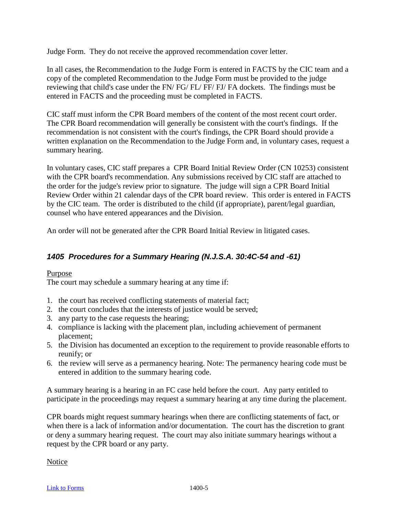Judge Form. They do not receive the approved recommendation cover letter.

In all cases, the Recommendation to the Judge Form is entered in FACTS by the CIC team and a copy of the completed Recommendation to the Judge Form must be provided to the judge reviewing that child's case under the FN/ FG/ FL/ FF/ FJ/ FA dockets. The findings must be entered in FACTS and the proceeding must be completed in FACTS.

CIC staff must inform the CPR Board members of the content of the most recent court order. The CPR Board recommendation will generally be consistent with the court's findings. If the recommendation is not consistent with the court's findings, the CPR Board should provide a written explanation on the Recommendation to the Judge Form and, in voluntary cases, request a summary hearing.

In voluntary cases, CIC staff prepares a CPR Board Initial Review Order (CN 10253) consistent with the CPR board's recommendation. Any submissions received by CIC staff are attached to the order for the judge's review prior to signature. The judge will sign a CPR Board Initial Review Order within 21 calendar days of the CPR board review. This order is entered in FACTS by the CIC team. The order is distributed to the child (if appropriate), parent/legal guardian, counsel who have entered appearances and the Division.

An order will not be generated after the CPR Board Initial Review in litigated cases.

### <span id="page-30-0"></span>*1405 Procedures for a Summary Hearing (N.J.S.A. 30:4C-54 and -61)*

### Purpose The court may schedule a summary hearing at any time if:

- 1. the court has received conflicting statements of material fact;
- 2. the court concludes that the interests of justice would be served;
- 3. any party to the case requests the hearing;
- 4. compliance is lacking with the placement plan, including achievement of permanent placement;
- 5. the Division has documented an exception to the requirement to provide reasonable efforts to reunify; or
- 6. the review will serve as a permanency hearing. Note: The permanency hearing code must be entered in addition to the summary hearing code.

A summary hearing is a hearing in an FC case held before the court. Any party entitled to participate in the proceedings may request a summary hearing at any time during the placement.

CPR boards might request summary hearings when there are conflicting statements of fact, or when there is a lack of information and/or documentation. The court has the discretion to grant or deny a summary hearing request. The court may also initiate summary hearings without a request by the CPR board or any party.

Notice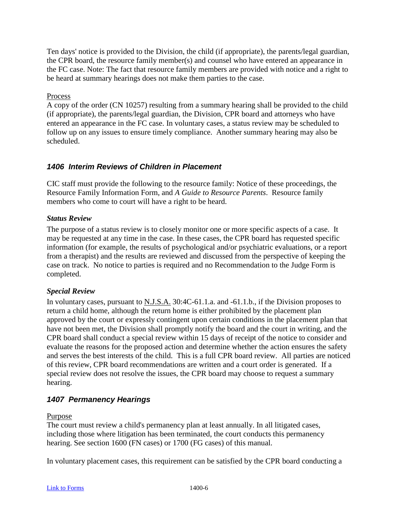Ten days' notice is provided to the Division, the child (if appropriate), the parents/legal guardian, the CPR board, the resource family member(s) and counsel who have entered an appearance in the FC case. Note: The fact that resource family members are provided with notice and a right to be heard at summary hearings does not make them parties to the case.

### Process

A copy of the order (CN 10257) resulting from a summary hearing shall be provided to the child (if appropriate), the parents/legal guardian, the Division, CPR board and attorneys who have entered an appearance in the FC case. In voluntary cases, a status review may be scheduled to follow up on any issues to ensure timely compliance. Another summary hearing may also be scheduled.

### <span id="page-31-0"></span>*1406 Interim Reviews of Children in Placement*

CIC staff must provide the following to the resource family: Notice of these proceedings, the Resource Family Information Form, and *A Guide to Resource Parents*. Resource family members who come to court will have a right to be heard.

### <span id="page-31-1"></span>*Status Review*

The purpose of a status review is to closely monitor one or more specific aspects of a case. It may be requested at any time in the case. In these cases, the CPR board has requested specific information (for example, the results of psychological and/or psychiatric evaluations, or a report from a therapist) and the results are reviewed and discussed from the perspective of keeping the case on track. No notice to parties is required and no Recommendation to the Judge Form is completed.

### <span id="page-31-2"></span>*Special Review*

In voluntary cases, pursuant to N.J.S.A. 30:4C-61.1.a. and -61.1.b., if the Division proposes to return a child home, although the return home is either prohibited by the placement plan approved by the court or expressly contingent upon certain conditions in the placement plan that have not been met, the Division shall promptly notify the board and the court in writing, and the CPR board shall conduct a special review within 15 days of receipt of the notice to consider and evaluate the reasons for the proposed action and determine whether the action ensures the safety and serves the best interests of the child. This is a full CPR board review. All parties are noticed of this review, CPR board recommendations are written and a court order is generated. If a special review does not resolve the issues, the CPR board may choose to request a summary hearing.

### <span id="page-31-3"></span>*1407 Permanency Hearings*

Purpose

The court must review a child's permanency plan at least annually. In all litigated cases, including those where litigation has been terminated, the court conducts this permanency hearing. See section 1600 (FN cases) or 1700 (FG cases) of this manual.

In voluntary placement cases, this requirement can be satisfied by the CPR board conducting a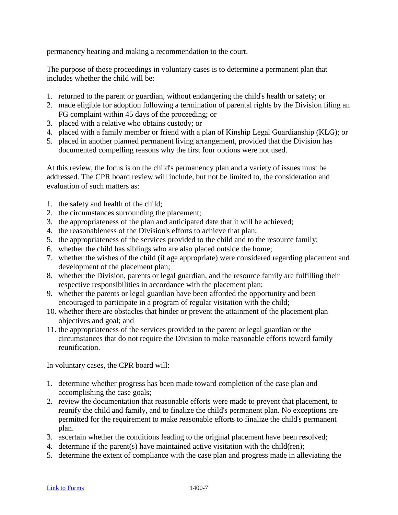permanency hearing and making a recommendation to the court.

The purpose of these proceedings in voluntary cases is to determine a permanent plan that includes whether the child will be:

- 1. returned to the parent or guardian, without endangering the child's health or safety; or
- 2. made eligible for adoption following a termination of parental rights by the Division filing an FG complaint within 45 days of the proceeding; or
- 3. placed with a relative who obtains custody; or
- 4. placed with a family member or friend with a plan of Kinship Legal Guardianship (KLG); or
- 5. placed in another planned permanent living arrangement, provided that the Division has documented compelling reasons why the first four options were not used.

At this review, the focus is on the child's permanency plan and a variety of issues must be addressed. The CPR board review will include, but not be limited to, the consideration and evaluation of such matters as:

- 1. the safety and health of the child;
- 2. the circumstances surrounding the placement;
- 3. the appropriateness of the plan and anticipated date that it will be achieved;
- 4. the reasonableness of the Division's efforts to achieve that plan;
- 5. the appropriateness of the services provided to the child and to the resource family;
- 6. whether the child has siblings who are also placed outside the home;
- 7. whether the wishes of the child (if age appropriate) were considered regarding placement and development of the placement plan;
- 8. whether the Division, parents or legal guardian, and the resource family are fulfilling their respective responsibilities in accordance with the placement plan;
- 9. whether the parents or legal guardian have been afforded the opportunity and been encouraged to participate in a program of regular visitation with the child;
- 10. whether there are obstacles that hinder or prevent the attainment of the placement plan objectives and goal; and
- 11. the appropriateness of the services provided to the parent or legal guardian or the circumstances that do not require the Division to make reasonable efforts toward family reunification.

In voluntary cases, the CPR board will:

- 1. determine whether progress has been made toward completion of the case plan and accomplishing the case goals;
- 2. review the documentation that reasonable efforts were made to prevent that placement, to reunify the child and family, and to finalize the child's permanent plan. No exceptions are permitted for the requirement to make reasonable efforts to finalize the child's permanent plan.
- 3. ascertain whether the conditions leading to the original placement have been resolved;
- 4. determine if the parent(s) have maintained active visitation with the child(ren);
- 5. determine the extent of compliance with the case plan and progress made in alleviating the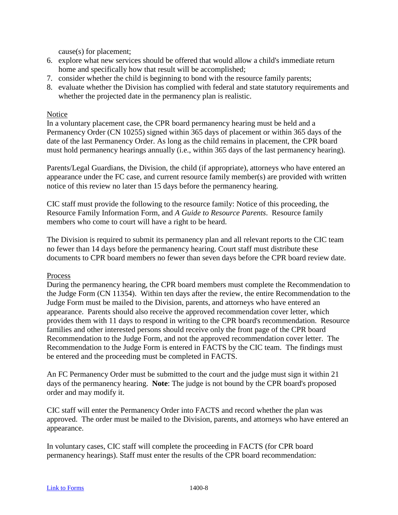cause(s) for placement;

- 6. explore what new services should be offered that would allow a child's immediate return home and specifically how that result will be accomplished;
- 7. consider whether the child is beginning to bond with the resource family parents;
- 8. evaluate whether the Division has complied with federal and state statutory requirements and whether the projected date in the permanency plan is realistic.

### Notice

In a voluntary placement case, the CPR board permanency hearing must be held and a Permanency Order (CN 10255) signed within 365 days of placement or within 365 days of the date of the last Permanency Order. As long as the child remains in placement, the CPR board must hold permanency hearings annually (i.e., within 365 days of the last permanency hearing).

Parents/Legal Guardians, the Division, the child (if appropriate), attorneys who have entered an appearance under the FC case, and current resource family member(s) are provided with written notice of this review no later than 15 days before the permanency hearing.

CIC staff must provide the following to the resource family: Notice of this proceeding, the Resource Family Information Form, and *A Guide to Resource Parents*. Resource family members who come to court will have a right to be heard.

The Division is required to submit its permanency plan and all relevant reports to the CIC team no fewer than 14 days before the permanency hearing. Court staff must distribute these documents to CPR board members no fewer than seven days before the CPR board review date.

#### Process

During the permanency hearing, the CPR board members must complete the Recommendation to the Judge Form (CN 11354). Within ten days after the review, the entire Recommendation to the Judge Form must be mailed to the Division, parents, and attorneys who have entered an appearance. Parents should also receive the approved recommendation cover letter, which provides them with 11 days to respond in writing to the CPR board's recommendation. Resource families and other interested persons should receive only the front page of the CPR board Recommendation to the Judge Form, and not the approved recommendation cover letter. The Recommendation to the Judge Form is entered in FACTS by the CIC team. The findings must be entered and the proceeding must be completed in FACTS.

An FC Permanency Order must be submitted to the court and the judge must sign it within 21 days of the permanency hearing. **Note**: The judge is not bound by the CPR board's proposed order and may modify it.

CIC staff will enter the Permanency Order into FACTS and record whether the plan was approved. The order must be mailed to the Division, parents, and attorneys who have entered an appearance.

In voluntary cases, CIC staff will complete the proceeding in FACTS (for CPR board permanency hearings). Staff must enter the results of the CPR board recommendation: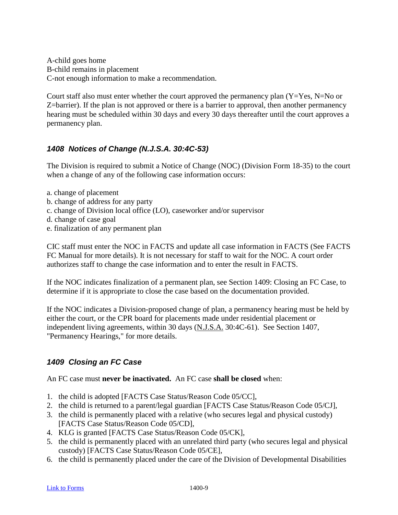A-child goes home B-child remains in placement C-not enough information to make a recommendation.

Court staff also must enter whether the court approved the permanency plan  $(Y=Yes, N=No \text{ or } )$ Z=barrier). If the plan is not approved or there is a barrier to approval, then another permanency hearing must be scheduled within 30 days and every 30 days thereafter until the court approves a permanency plan.

### <span id="page-34-0"></span>*1408 Notices of Change (N.J.S.A. 30:4C-53)*

The Division is required to submit a Notice of Change (NOC) (Division Form 18-35) to the court when a change of any of the following case information occurs:

- a. change of placement
- b. change of address for any party
- c. change of Division local office (LO), caseworker and/or supervisor
- d. change of case goal
- e. finalization of any permanent plan

CIC staff must enter the NOC in FACTS and update all case information in FACTS (See FACTS FC Manual for more details). It is not necessary for staff to wait for the NOC. A court order authorizes staff to change the case information and to enter the result in FACTS.

If the NOC indicates finalization of a permanent plan, see Section 1409: Closing an FC Case, to determine if it is appropriate to close the case based on the documentation provided.

If the NOC indicates a Division-proposed change of plan, a permanency hearing must be held by either the court, or the CPR board for placements made under residential placement or independent living agreements, within 30 days (N.J.S.A. 30:4C-61). See Section 1407, "Permanency Hearings," for more details.

### <span id="page-34-1"></span>*1409 Closing an FC Case*

An FC case must **never be inactivated.** An FC case **shall be closed** when:

- 1. the child is adopted [FACTS Case Status/Reason Code 05/CC],
- 2. the child is returned to a parent/legal guardian [FACTS Case Status/Reason Code 05/CJ],
- 3. the child is permanently placed with a relative (who secures legal and physical custody) [FACTS Case Status/Reason Code 05/CD],
- 4. KLG is granted [FACTS Case Status/Reason Code 05/CK],
- 5. the child is permanently placed with an unrelated third party (who secures legal and physical custody) [FACTS Case Status/Reason Code 05/CE],
- 6. the child is permanently placed under the care of the Division of Developmental Disabilities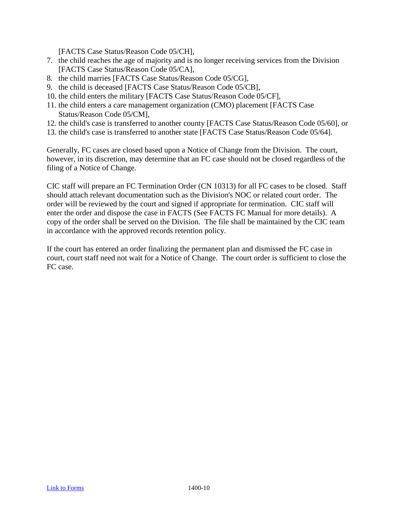[FACTS Case Status/Reason Code 05/CH],

- 7. the child reaches the age of majority and is no longer receiving services from the Division [FACTS Case Status/Reason Code 05/CA],
- 8. the child marries [FACTS Case Status/Reason Code 05/CG],
- 9. the child is deceased [FACTS Case Status/Reason Code 05/CB],
- 10. the child enters the military [FACTS Case Status/Reason Code 05/CF],
- 11. the child enters a care management organization (CMO) placement [FACTS Case Status/Reason Code 05/CM],
- 12. the child's case is transferred to another county [FACTS Case Status/Reason Code 05/60], or
- 13. the child's case is transferred to another state [FACTS Case Status/Reason Code 05/64].

Generally, FC cases are closed based upon a Notice of Change from the Division. The court, however, in its discretion, may determine that an FC case should not be closed regardless of the filing of a Notice of Change.

CIC staff will prepare an FC Termination Order (CN 10313) for all FC cases to be closed. Staff should attach relevant documentation such as the Division's NOC or related court order. The order will be reviewed by the court and signed if appropriate for termination. CIC staff will enter the order and dispose the case in FACTS (See FACTS FC Manual for more details). A copy of the order shall be served on the Division. The file shall be maintained by the CIC team in accordance with the approved records retention policy.

If the court has entered an order finalizing the permanent plan and dismissed the FC case in court, court staff need not wait for a Notice of Change. The court order is sufficient to close the FC case.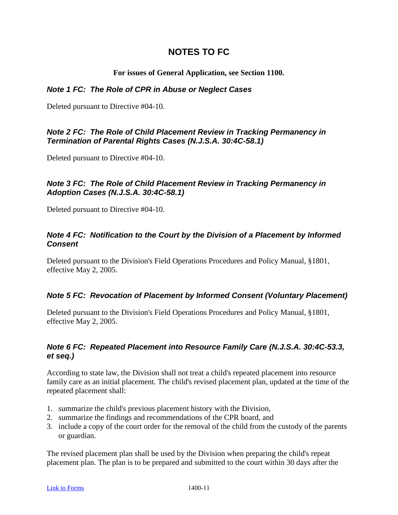# **NOTES TO FC**

#### **For issues of General Application, see Section 1100.**

#### *Note 1 FC: The Role of CPR in Abuse or Neglect Cases*

Deleted pursuant to Directive #04-10.

### *Note 2 FC: The Role of Child Placement Review in Tracking Permanency in Termination of Parental Rights Cases (N.J.S.A. 30:4C-58.1)*

Deleted pursuant to Directive #04-10.

### *Note 3 FC: The Role of Child Placement Review in Tracking Permanency in Adoption Cases (N.J.S.A. 30:4C-58.1)*

Deleted pursuant to Directive #04-10.

### *Note 4 FC: Notification to the Court by the Division of a Placement by Informed Consent*

Deleted pursuant to the Division's Field Operations Procedures and Policy Manual, §1801, effective May 2, 2005.

### *Note 5 FC: Revocation of Placement by Informed Consent (Voluntary Placement)*

Deleted pursuant to the Division's Field Operations Procedures and Policy Manual, §1801, effective May 2, 2005.

### *Note 6 FC: Repeated Placement into Resource Family Care (N.J.S.A. 30:4C-53.3, et seq.)*

According to state law, the Division shall not treat a child's repeated placement into resource family care as an initial placement. The child's revised placement plan, updated at the time of the repeated placement shall:

- 1. summarize the child's previous placement history with the Division,
- 2. summarize the findings and recommendations of the CPR board, and
- 3. include a copy of the court order for the removal of the child from the custody of the parents or guardian.

The revised placement plan shall be used by the Division when preparing the child's repeat placement plan. The plan is to be prepared and submitted to the court within 30 days after the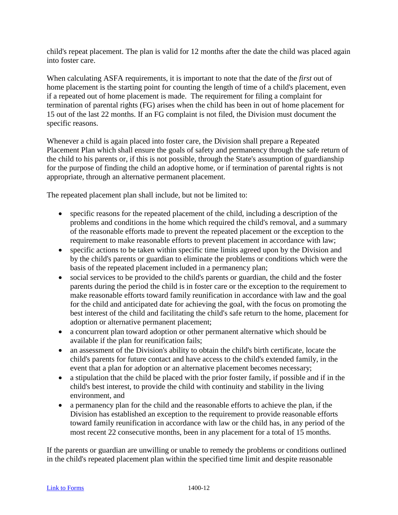child's repeat placement. The plan is valid for 12 months after the date the child was placed again into foster care.

When calculating ASFA requirements, it is important to note that the date of the *first* out of home placement is the starting point for counting the length of time of a child's placement, even if a repeated out of home placement is made. The requirement for filing a complaint for termination of parental rights (FG) arises when the child has been in out of home placement for 15 out of the last 22 months. If an FG complaint is not filed, the Division must document the specific reasons.

Whenever a child is again placed into foster care, the Division shall prepare a Repeated Placement Plan which shall ensure the goals of safety and permanency through the safe return of the child to his parents or, if this is not possible, through the State's assumption of guardianship for the purpose of finding the child an adoptive home, or if termination of parental rights is not appropriate, through an alternative permanent placement.

The repeated placement plan shall include, but not be limited to:

- specific reasons for the repeated placement of the child, including a description of the problems and conditions in the home which required the child's removal, and a summary of the reasonable efforts made to prevent the repeated placement or the exception to the requirement to make reasonable efforts to prevent placement in accordance with law;
- specific actions to be taken within specific time limits agreed upon by the Division and by the child's parents or guardian to eliminate the problems or conditions which were the basis of the repeated placement included in a permanency plan;
- social services to be provided to the child's parents or guardian, the child and the foster parents during the period the child is in foster care or the exception to the requirement to make reasonable efforts toward family reunification in accordance with law and the goal for the child and anticipated date for achieving the goal, with the focus on promoting the best interest of the child and facilitating the child's safe return to the home, placement for adoption or alternative permanent placement;
- a concurrent plan toward adoption or other permanent alternative which should be available if the plan for reunification fails;
- an assessment of the Division's ability to obtain the child's birth certificate, locate the child's parents for future contact and have access to the child's extended family, in the event that a plan for adoption or an alternative placement becomes necessary;
- a stipulation that the child be placed with the prior foster family, if possible and if in the child's best interest, to provide the child with continuity and stability in the living environment, and
- a permanency plan for the child and the reasonable efforts to achieve the plan, if the Division has established an exception to the requirement to provide reasonable efforts toward family reunification in accordance with law or the child has, in any period of the most recent 22 consecutive months, been in any placement for a total of 15 months.

If the parents or guardian are unwilling or unable to remedy the problems or conditions outlined in the child's repeated placement plan within the specified time limit and despite reasonable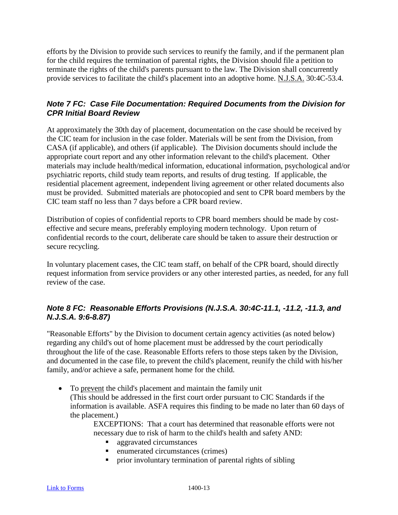efforts by the Division to provide such services to reunify the family, and if the permanent plan for the child requires the termination of parental rights, the Division should file a petition to terminate the rights of the child's parents pursuant to the law. The Division shall concurrently provide services to facilitate the child's placement into an adoptive home. N.J.S.A. 30:4C-53.4.

### *Note 7 FC: Case File Documentation: Required Documents from the Division for CPR Initial Board Review*

At approximately the 30th day of placement, documentation on the case should be received by the CIC team for inclusion in the case folder. Materials will be sent from the Division, from CASA (if applicable), and others (if applicable). The Division documents should include the appropriate court report and any other information relevant to the child's placement. Other materials may include health/medical information, educational information, psychological and/or psychiatric reports, child study team reports, and results of drug testing. If applicable, the residential placement agreement, independent living agreement or other related documents also must be provided. Submitted materials are photocopied and sent to CPR board members by the CIC team staff no less than 7 days before a CPR board review.

Distribution of copies of confidential reports to CPR board members should be made by costeffective and secure means, preferably employing modern technology. Upon return of confidential records to the court, deliberate care should be taken to assure their destruction or secure recycling.

In voluntary placement cases, the CIC team staff, on behalf of the CPR board, should directly request information from service providers or any other interested parties, as needed, for any full review of the case.

## *Note 8 FC: Reasonable Efforts Provisions (N.J.S.A. 30:4C-11.1, -11.2, -11.3, and N.J.S.A. 9:6-8.87)*

"Reasonable Efforts" by the Division to document certain agency activities (as noted below) regarding any child's out of home placement must be addressed by the court periodically throughout the life of the case. Reasonable Efforts refers to those steps taken by the Division, and documented in the case file, to prevent the child's placement, reunify the child with his/her family, and/or achieve a safe, permanent home for the child.

• To prevent the child's placement and maintain the family unit (This should be addressed in the first court order pursuant to CIC Standards if the information is available. ASFA requires this finding to be made no later than 60 days of the placement.)

EXCEPTIONS: That a court has determined that reasonable efforts were not necessary due to risk of harm to the child's health and safety AND:

- aggravated circumstances
- enumerated circumstances (crimes)
- prior involuntary termination of parental rights of sibling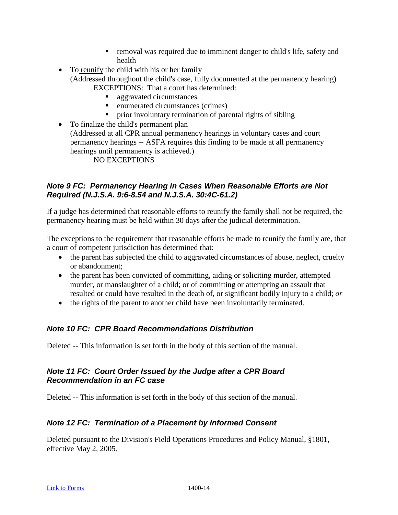- **F** removal was required due to imminent danger to child's life, safety and health
- To reunify the child with his or her family (Addressed throughout the child's case, fully documented at the permanency hearing) EXCEPTIONS: That a court has determined:
	- aggravated circumstances
	- enumerated circumstances (crimes)
	- **Perior** involuntary termination of parental rights of sibling

• To finalize the child's permanent plan (Addressed at all CPR annual permanency hearings in voluntary cases and court permanency hearings -- ASFA requires this finding to be made at all permanency hearings until permanency is achieved.)

NO EXCEPTIONS

## *Note 9 FC: Permanency Hearing in Cases When Reasonable Efforts are Not Required (N.J.S.A. 9:6-8.54 and N.J.S.A. 30:4C-61.2)*

If a judge has determined that reasonable efforts to reunify the family shall not be required, the permanency hearing must be held within 30 days after the judicial determination.

The exceptions to the requirement that reasonable efforts be made to reunify the family are, that a court of competent jurisdiction has determined that:

- the parent has subjected the child to aggravated circumstances of abuse, neglect, cruelty or abandonment;
- the parent has been convicted of committing, aiding or soliciting murder, attempted murder, or manslaughter of a child; or of committing or attempting an assault that resulted or could have resulted in the death of, or significant bodily injury to a child; *or*
- the rights of the parent to another child have been involuntarily terminated.

# *Note 10 FC: CPR Board Recommendations Distribution*

Deleted -- This information is set forth in the body of this section of the manual.

# *Note 11 FC: Court Order Issued by the Judge after a CPR Board Recommendation in an FC case*

Deleted -- This information is set forth in the body of this section of the manual.

# *Note 12 FC: Termination of a Placement by Informed Consent*

Deleted pursuant to the Division's Field Operations Procedures and Policy Manual, §1801, effective May 2, 2005.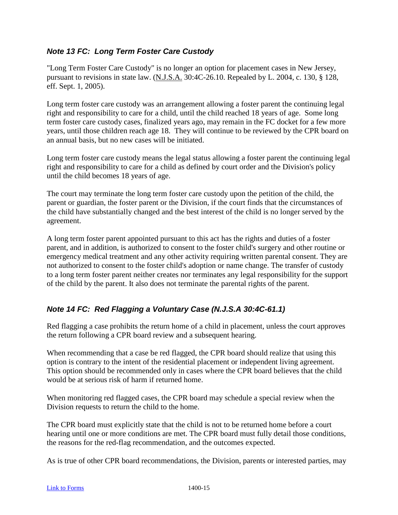# *Note 13 FC: Long Term Foster Care Custody*

"Long Term Foster Care Custody" is no longer an option for placement cases in New Jersey, pursuant to revisions in state law. (N.J.S.A. 30:4C-26.10. Repealed by L. 2004, c. 130, § 128, eff. Sept. 1, 2005).

Long term foster care custody was an arrangement allowing a foster parent the continuing legal right and responsibility to care for a child, until the child reached 18 years of age. Some long term foster care custody cases, finalized years ago, may remain in the FC docket for a few more years, until those children reach age 18. They will continue to be reviewed by the CPR board on an annual basis, but no new cases will be initiated.

Long term foster care custody means the legal status allowing a foster parent the continuing legal right and responsibility to care for a child as defined by court order and the Division's policy until the child becomes 18 years of age.

The court may terminate the long term foster care custody upon the petition of the child, the parent or guardian, the foster parent or the Division, if the court finds that the circumstances of the child have substantially changed and the best interest of the child is no longer served by the agreement.

A long term foster parent appointed pursuant to this act has the rights and duties of a foster parent, and in addition, is authorized to consent to the foster child's surgery and other routine or emergency medical treatment and any other activity requiring written parental consent. They are not authorized to consent to the foster child's adoption or name change. The transfer of custody to a long term foster parent neither creates nor terminates any legal responsibility for the support of the child by the parent. It also does not terminate the parental rights of the parent.

# *Note 14 FC: Red Flagging a Voluntary Case (N.J.S.A 30:4C-61.1)*

Red flagging a case prohibits the return home of a child in placement, unless the court approves the return following a CPR board review and a subsequent hearing.

When recommending that a case be red flagged, the CPR board should realize that using this option is contrary to the intent of the residential placement or independent living agreement. This option should be recommended only in cases where the CPR board believes that the child would be at serious risk of harm if returned home.

When monitoring red flagged cases, the CPR board may schedule a special review when the Division requests to return the child to the home.

The CPR board must explicitly state that the child is not to be returned home before a court hearing until one or more conditions are met. The CPR board must fully detail those conditions, the reasons for the red-flag recommendation, and the outcomes expected.

As is true of other CPR board recommendations, the Division, parents or interested parties, may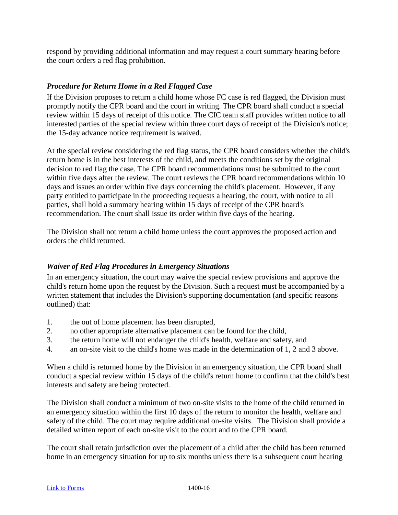respond by providing additional information and may request a court summary hearing before the court orders a red flag prohibition.

### *Procedure for Return Home in a Red Flagged Case*

If the Division proposes to return a child home whose FC case is red flagged, the Division must promptly notify the CPR board and the court in writing. The CPR board shall conduct a special review within 15 days of receipt of this notice. The CIC team staff provides written notice to all interested parties of the special review within three court days of receipt of the Division's notice; the 15-day advance notice requirement is waived.

At the special review considering the red flag status, the CPR board considers whether the child's return home is in the best interests of the child, and meets the conditions set by the original decision to red flag the case. The CPR board recommendations must be submitted to the court within five days after the review. The court reviews the CPR board recommendations within 10 days and issues an order within five days concerning the child's placement. However, if any party entitled to participate in the proceeding requests a hearing, the court, with notice to all parties, shall hold a summary hearing within 15 days of receipt of the CPR board's recommendation. The court shall issue its order within five days of the hearing.

The Division shall not return a child home unless the court approves the proposed action and orders the child returned.

#### *Waiver of Red Flag Procedures in Emergency Situations*

In an emergency situation, the court may waive the special review provisions and approve the child's return home upon the request by the Division. Such a request must be accompanied by a written statement that includes the Division's supporting documentation (and specific reasons outlined) that:

- 1. the out of home placement has been disrupted,
- 2. no other appropriate alternative placement can be found for the child,
- 3. the return home will not endanger the child's health, welfare and safety, and
- 4. an on-site visit to the child's home was made in the determination of 1, 2 and 3 above.

When a child is returned home by the Division in an emergency situation, the CPR board shall conduct a special review within 15 days of the child's return home to confirm that the child's best interests and safety are being protected.

The Division shall conduct a minimum of two on-site visits to the home of the child returned in an emergency situation within the first 10 days of the return to monitor the health, welfare and safety of the child. The court may require additional on-site visits. The Division shall provide a detailed written report of each on-site visit to the court and to the CPR board.

The court shall retain jurisdiction over the placement of a child after the child has been returned home in an emergency situation for up to six months unless there is a subsequent court hearing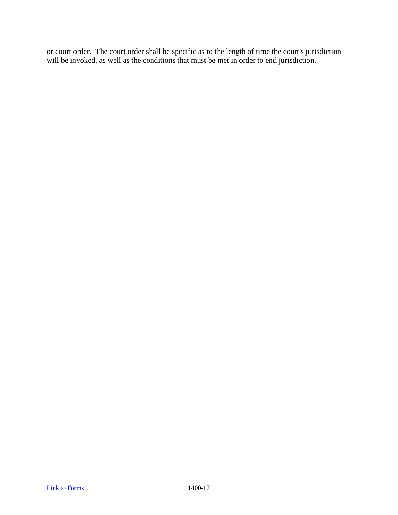or court order. The court order shall be specific as to the length of time the court's jurisdiction will be invoked, as well as the conditions that must be met in order to end jurisdiction.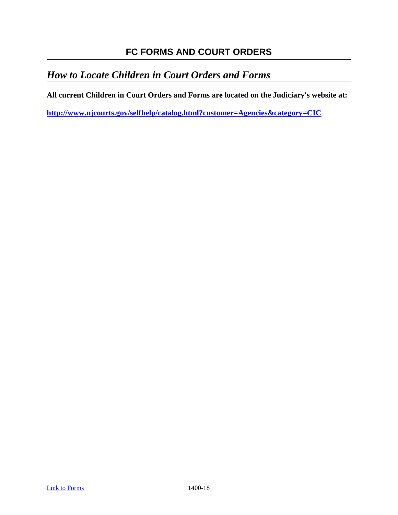# **FC FORMS AND COURT ORDERS**

# *How to Locate Children in Court Orders and Forms*

**All current Children in Court Orders and Forms are located on the Judiciary's website at:** 

**<http://www.njcourts.gov/selfhelp/catalog.html?customer=Agencies&category=CIC>**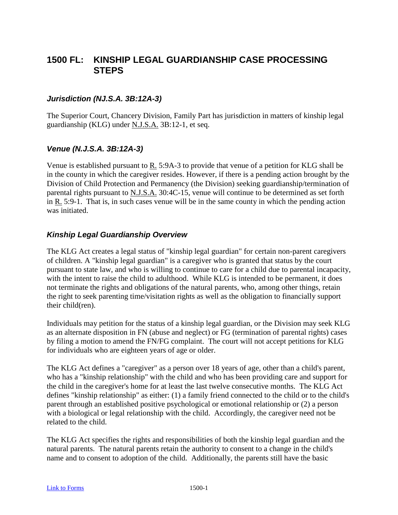# **1500 FL: KINSHIP LEGAL GUARDIANSHIP CASE PROCESSING STEPS**

### *Jurisdiction (NJ.S.A. 3B:12A-3)*

The Superior Court, Chancery Division, Family Part has jurisdiction in matters of kinship legal guardianship (KLG) under N.J.S.A. 3B:12-1, et seq.

#### *Venue (N.J.S.A. 3B:12A-3)*

Venue is established pursuant to R. 5:9A-3 to provide that venue of a petition for KLG shall be in the county in which the caregiver resides. However, if there is a pending action brought by the Division of Child Protection and Permanency (the Division) seeking guardianship/termination of parental rights pursuant to N.J.S.A. 30:4C-15, venue will continue to be determined as set forth in R. 5:9-1. That is, in such cases venue will be in the same county in which the pending action was initiated.

#### *Kinship Legal Guardianship Overview*

The KLG Act creates a legal status of "kinship legal guardian" for certain non-parent caregivers of children. A "kinship legal guardian" is a caregiver who is granted that status by the court pursuant to state law, and who is willing to continue to care for a child due to parental incapacity, with the intent to raise the child to adulthood. While KLG is intended to be permanent, it does not terminate the rights and obligations of the natural parents, who, among other things, retain the right to seek parenting time/visitation rights as well as the obligation to financially support their child(ren).

Individuals may petition for the status of a kinship legal guardian, or the Division may seek KLG as an alternate disposition in FN (abuse and neglect) or FG (termination of parental rights) cases by filing a motion to amend the FN/FG complaint. The court will not accept petitions for KLG for individuals who are eighteen years of age or older.

The KLG Act defines a "caregiver" as a person over 18 years of age, other than a child's parent, who has a "kinship relationship" with the child and who has been providing care and support for the child in the caregiver's home for at least the last twelve consecutive months. The KLG Act defines "kinship relationship" as either: (1) a family friend connected to the child or to the child's parent through an established positive psychological or emotional relationship or (2) a person with a biological or legal relationship with the child. Accordingly, the caregiver need not be related to the child.

The KLG Act specifies the rights and responsibilities of both the kinship legal guardian and the natural parents. The natural parents retain the authority to consent to a change in the child's name and to consent to adoption of the child. Additionally, the parents still have the basic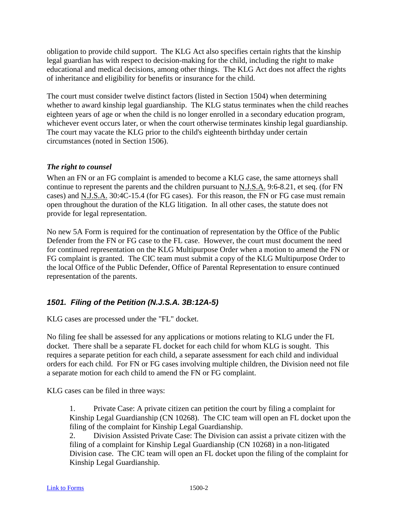obligation to provide child support. The KLG Act also specifies certain rights that the kinship legal guardian has with respect to decision-making for the child, including the right to make educational and medical decisions, among other things. The KLG Act does not affect the rights of inheritance and eligibility for benefits or insurance for the child.

The court must consider twelve distinct factors (listed in Section 1504) when determining whether to award kinship legal guardianship. The KLG status terminates when the child reaches eighteen years of age or when the child is no longer enrolled in a secondary education program, whichever event occurs later, or when the court otherwise terminates kinship legal guardianship. The court may vacate the KLG prior to the child's eighteenth birthday under certain circumstances (noted in Section 1506).

#### *The right to counsel*

When an FN or an FG complaint is amended to become a KLG case, the same attorneys shall continue to represent the parents and the children pursuant to N.J.S.A. 9:6-8.21, et seq. (for FN cases) and N.J.S.A. 30:4C-15.4 (for FG cases). For this reason, the FN or FG case must remain open throughout the duration of the KLG litigation. In all other cases, the statute does not provide for legal representation.

No new 5A Form is required for the continuation of representation by the Office of the Public Defender from the FN or FG case to the FL case. However, the court must document the need for continued representation on the KLG Multipurpose Order when a motion to amend the FN or FG complaint is granted. The CIC team must submit a copy of the KLG Multipurpose Order to the local Office of the Public Defender, Office of Parental Representation to ensure continued representation of the parents.

# *1501. Filing of the Petition (N.J.S.A. 3B:12A-5)*

KLG cases are processed under the "FL" docket.

No filing fee shall be assessed for any applications or motions relating to KLG under the FL docket. There shall be a separate FL docket for each child for whom KLG is sought. This requires a separate petition for each child, a separate assessment for each child and individual orders for each child. For FN or FG cases involving multiple children, the Division need not file a separate motion for each child to amend the FN or FG complaint.

KLG cases can be filed in three ways:

1. Private Case: A private citizen can petition the court by filing a complaint for Kinship Legal Guardianship (CN 10268). The CIC team will open an FL docket upon the filing of the complaint for Kinship Legal Guardianship.

2. Division Assisted Private Case: The Division can assist a private citizen with the filing of a complaint for Kinship Legal Guardianship (CN 10268) in a non-litigated Division case. The CIC team will open an FL docket upon the filing of the complaint for Kinship Legal Guardianship.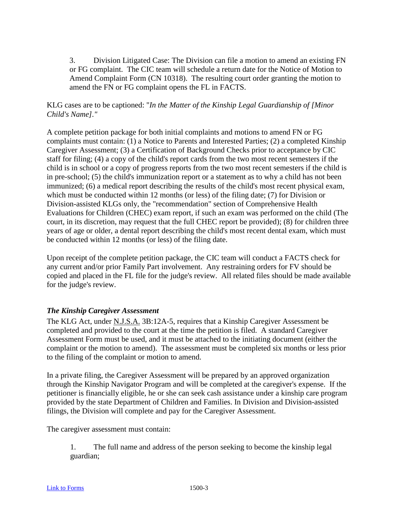3. Division Litigated Case: The Division can file a motion to amend an existing FN or FG complaint. The CIC team will schedule a return date for the Notice of Motion to Amend Complaint Form (CN 10318). The resulting court order granting the motion to amend the FN or FG complaint opens the FL in FACTS.

### KLG cases are to be captioned: "*In the Matter of the Kinship Legal Guardianship of [Minor Child's Name]."*

A complete petition package for both initial complaints and motions to amend FN or FG complaints must contain: (1) a Notice to Parents and Interested Parties; (2) a completed Kinship Caregiver Assessment; (3) a Certification of Background Checks prior to acceptance by CIC staff for filing; (4) a copy of the child's report cards from the two most recent semesters if the child is in school or a copy of progress reports from the two most recent semesters if the child is in pre-school; (5) the child's immunization report or a statement as to why a child has not been immunized; (6) a medical report describing the results of the child's most recent physical exam, which must be conducted within 12 months (or less) of the filing date; (7) for Division or Division-assisted KLGs only, the "recommendation" section of Comprehensive Health Evaluations for Children (CHEC) exam report, if such an exam was performed on the child (The court, in its discretion, may request that the full CHEC report be provided); (8) for children three years of age or older, a dental report describing the child's most recent dental exam, which must be conducted within 12 months (or less) of the filing date.

Upon receipt of the complete petition package, the CIC team will conduct a FACTS check for any current and/or prior Family Part involvement. Any restraining orders for FV should be copied and placed in the FL file for the judge's review. All related files should be made available for the judge's review.

### *The Kinship Caregiver Assessment*

The KLG Act, under N.J.S.A. 3B:12A-5, requires that a Kinship Caregiver Assessment be completed and provided to the court at the time the petition is filed. A standard Caregiver Assessment Form must be used, and it must be attached to the initiating document (either the complaint or the motion to amend). The assessment must be completed six months or less prior to the filing of the complaint or motion to amend.

In a private filing, the Caregiver Assessment will be prepared by an approved organization through the Kinship Navigator Program and will be completed at the caregiver's expense. If the petitioner is financially eligible, he or she can seek cash assistance under a kinship care program provided by the state Department of Children and Families. In Division and Division-assisted filings, the Division will complete and pay for the Caregiver Assessment.

The caregiver assessment must contain:

1. The full name and address of the person seeking to become the kinship legal guardian;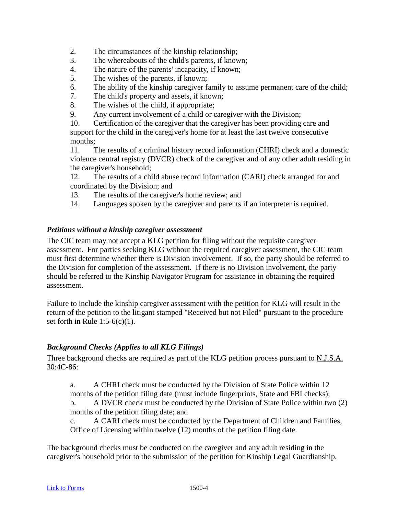- 2. The circumstances of the kinship relationship;
- 3. The whereabouts of the child's parents, if known;
- 4. The nature of the parents' incapacity, if known;
- 5. The wishes of the parents, if known;
- 6. The ability of the kinship caregiver family to assume permanent care of the child;
- 7. The child's property and assets, if known;
- 8. The wishes of the child, if appropriate;
- 9. Any current involvement of a child or caregiver with the Division;

10. Certification of the caregiver that the caregiver has been providing care and support for the child in the caregiver's home for at least the last twelve consecutive months;

11. The results of a criminal history record information (CHRI) check and a domestic violence central registry (DVCR) check of the caregiver and of any other adult residing in the caregiver's household;

12. The results of a child abuse record information (CARI) check arranged for and coordinated by the Division; and

- 13. The results of the caregiver's home review; and
- 14. Languages spoken by the caregiver and parents if an interpreter is required.

#### *Petitions without a kinship caregiver assessment*

The CIC team may not accept a KLG petition for filing without the requisite caregiver assessment. For parties seeking KLG without the required caregiver assessment, the CIC team must first determine whether there is Division involvement. If so, the party should be referred to the Division for completion of the assessment. If there is no Division involvement, the party should be referred to the Kinship Navigator Program for assistance in obtaining the required assessment.

Failure to include the kinship caregiver assessment with the petition for KLG will result in the return of the petition to the litigant stamped "Received but not Filed" pursuant to the procedure set forth in Rule  $1:5-6(c)(1)$ .

#### *Background Checks (Applies to all KLG Filings)*

Three background checks are required as part of the KLG petition process pursuant to N.J.S.A. 30:4C-86:

a. A CHRI check must be conducted by the Division of State Police within 12 months of the petition filing date (must include fingerprints, State and FBI checks); b. A DVCR check must be conducted by the Division of State Police within two (2) months of the petition filing date; and

c. A CARI check must be conducted by the Department of Children and Families, Office of Licensing within twelve (12) months of the petition filing date.

The background checks must be conducted on the caregiver and any adult residing in the caregiver's household prior to the submission of the petition for Kinship Legal Guardianship.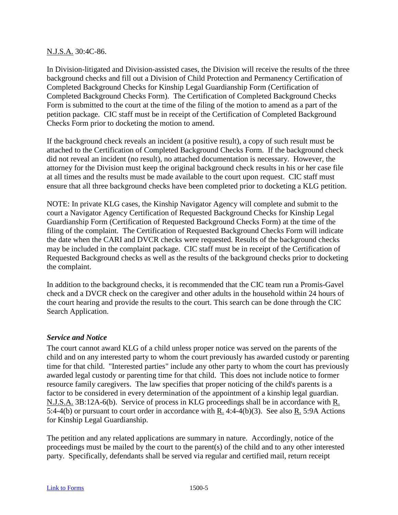#### N.J.S.A. 30:4C-86.

In Division-litigated and Division-assisted cases, the Division will receive the results of the three background checks and fill out a Division of Child Protection and Permanency Certification of Completed Background Checks for Kinship Legal Guardianship Form (Certification of Completed Background Checks Form). The Certification of Completed Background Checks Form is submitted to the court at the time of the filing of the motion to amend as a part of the petition package. CIC staff must be in receipt of the Certification of Completed Background Checks Form prior to docketing the motion to amend.

If the background check reveals an incident (a positive result), a copy of such result must be attached to the Certification of Completed Background Checks Form. If the background check did not reveal an incident (no result), no attached documentation is necessary. However, the attorney for the Division must keep the original background check results in his or her case file at all times and the results must be made available to the court upon request. CIC staff must ensure that all three background checks have been completed prior to docketing a KLG petition.

NOTE: In private KLG cases, the Kinship Navigator Agency will complete and submit to the court a Navigator Agency Certification of Requested Background Checks for Kinship Legal Guardianship Form (Certification of Requested Background Checks Form) at the time of the filing of the complaint. The Certification of Requested Background Checks Form will indicate the date when the CARI and DVCR checks were requested. Results of the background checks may be included in the complaint package. CIC staff must be in receipt of the Certification of Requested Background checks as well as the results of the background checks prior to docketing the complaint.

In addition to the background checks, it is recommended that the CIC team run a Promis-Gavel check and a DVCR check on the caregiver and other adults in the household within 24 hours of the court hearing and provide the results to the court. This search can be done through the CIC Search Application.

#### *Service and Notice*

The court cannot award KLG of a child unless proper notice was served on the parents of the child and on any interested party to whom the court previously has awarded custody or parenting time for that child. "Interested parties" include any other party to whom the court has previously awarded legal custody or parenting time for that child. This does not include notice to former resource family caregivers. The law specifies that proper noticing of the child's parents is a factor to be considered in every determination of the appointment of a kinship legal guardian. N.J.S.A. 3B:12A-6(b). Service of process in KLG proceedings shall be in accordance with R. 5:4-4(b) or pursuant to court order in accordance with R. 4:4-4(b)(3). See also R. 5:9A Actions for Kinship Legal Guardianship.

The petition and any related applications are summary in nature. Accordingly, notice of the proceedings must be mailed by the court to the parent(s) of the child and to any other interested party. Specifically, defendants shall be served via regular and certified mail, return receipt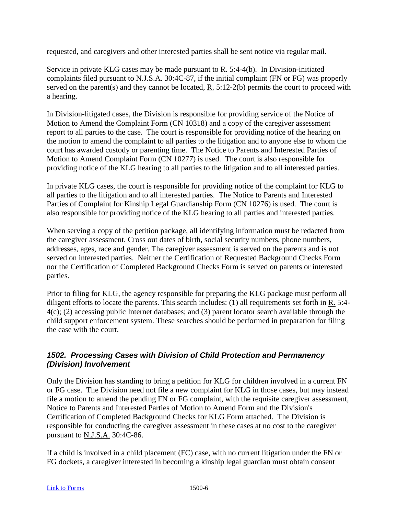requested, and caregivers and other interested parties shall be sent notice via regular mail.

Service in private KLG cases may be made pursuant to R. 5:4-4(b). In Division-initiated complaints filed pursuant to N.J.S.A. 30:4C-87, if the initial complaint (FN or FG) was properly served on the parent(s) and they cannot be located, R. 5:12-2(b) permits the court to proceed with a hearing.

In Division-litigated cases, the Division is responsible for providing service of the Notice of Motion to Amend the Complaint Form (CN 10318) and a copy of the caregiver assessment report to all parties to the case. The court is responsible for providing notice of the hearing on the motion to amend the complaint to all parties to the litigation and to anyone else to whom the court has awarded custody or parenting time. The Notice to Parents and Interested Parties of Motion to Amend Complaint Form (CN 10277) is used. The court is also responsible for providing notice of the KLG hearing to all parties to the litigation and to all interested parties.

In private KLG cases, the court is responsible for providing notice of the complaint for KLG to all parties to the litigation and to all interested parties. The Notice to Parents and Interested Parties of Complaint for Kinship Legal Guardianship Form (CN 10276) is used. The court is also responsible for providing notice of the KLG hearing to all parties and interested parties.

When serving a copy of the petition package, all identifying information must be redacted from the caregiver assessment. Cross out dates of birth, social security numbers, phone numbers, addresses, ages, race and gender. The caregiver assessment is served on the parents and is not served on interested parties. Neither the Certification of Requested Background Checks Form nor the Certification of Completed Background Checks Form is served on parents or interested parties.

Prior to filing for KLG, the agency responsible for preparing the KLG package must perform all diligent efforts to locate the parents. This search includes: (1) all requirements set forth in R. 5:4- 4(c); (2) accessing public Internet databases; and (3) parent locator search available through the child support enforcement system. These searches should be performed in preparation for filing the case with the court.

## *1502. Processing Cases with Division of Child Protection and Permanency (Division) Involvement*

Only the Division has standing to bring a petition for KLG for children involved in a current FN or FG case. The Division need not file a new complaint for KLG in those cases, but may instead file a motion to amend the pending FN or FG complaint, with the requisite caregiver assessment, Notice to Parents and Interested Parties of Motion to Amend Form and the Division's Certification of Completed Background Checks for KLG Form attached. The Division is responsible for conducting the caregiver assessment in these cases at no cost to the caregiver pursuant to N.J.S.A. 30:4C-86.

If a child is involved in a child placement (FC) case, with no current litigation under the FN or FG dockets, a caregiver interested in becoming a kinship legal guardian must obtain consent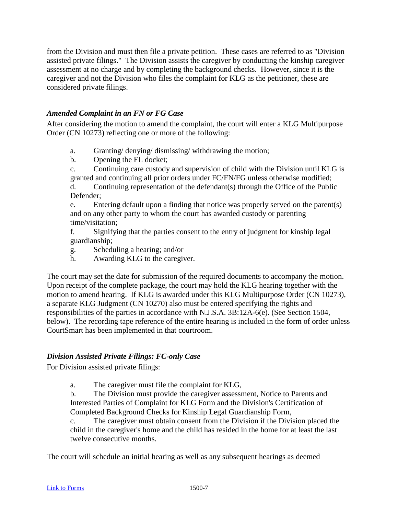from the Division and must then file a private petition. These cases are referred to as "Division assisted private filings." The Division assists the caregiver by conducting the kinship caregiver assessment at no charge and by completing the background checks. However, since it is the caregiver and not the Division who files the complaint for KLG as the petitioner, these are considered private filings.

### *Amended Complaint in an FN or FG Case*

After considering the motion to amend the complaint, the court will enter a KLG Multipurpose Order (CN 10273) reflecting one or more of the following:

- a. Granting/ denying/ dismissing/ withdrawing the motion;
- b. Opening the FL docket;

c. Continuing care custody and supervision of child with the Division until KLG is granted and continuing all prior orders under FC/FN/FG unless otherwise modified;

d. Continuing representation of the defendant(s) through the Office of the Public Defender;

e. Entering default upon a finding that notice was properly served on the parent(s) and on any other party to whom the court has awarded custody or parenting time/visitation;

f. Signifying that the parties consent to the entry of judgment for kinship legal guardianship;

g. Scheduling a hearing; and/or

h. Awarding KLG to the caregiver.

The court may set the date for submission of the required documents to accompany the motion. Upon receipt of the complete package, the court may hold the KLG hearing together with the motion to amend hearing. If KLG is awarded under this KLG Multipurpose Order (CN 10273), a separate KLG Judgment (CN 10270) also must be entered specifying the rights and responsibilities of the parties in accordance with N.J.S.A. 3B:12A-6(e). (See Section 1504, below). The recording tape reference of the entire hearing is included in the form of order unless CourtSmart has been implemented in that courtroom.

### *Division Assisted Private Filings: FC-only Case*

For Division assisted private filings:

a. The caregiver must file the complaint for KLG,

b. The Division must provide the caregiver assessment, Notice to Parents and Interested Parties of Complaint for KLG Form and the Division's Certification of Completed Background Checks for Kinship Legal Guardianship Form,

c. The caregiver must obtain consent from the Division if the Division placed the child in the caregiver's home and the child has resided in the home for at least the last twelve consecutive months.

The court will schedule an initial hearing as well as any subsequent hearings as deemed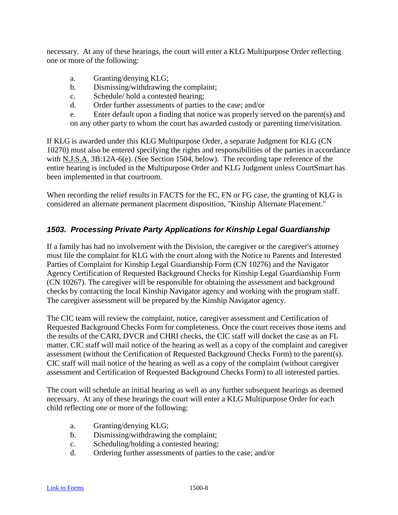necessary. At any of these hearings, the court will enter a KLG Multipurpose Order reflecting one or more of the following:

- a. Granting/denying KLG;
- b. Dismissing/withdrawing the complaint;
- c. Schedule/ hold a contested hearing;
- d. Order further assessments of parties to the case; and/or
- e. Enter default upon a finding that notice was properly served on the parent(s) and on any other party to whom the court has awarded custody or parenting time/visitation.

If KLG is awarded under this KLG Multipurpose Order, a separate Judgment for KLG (CN 10270) must also be entered specifying the rights and responsibilities of the parties in accordance with N.J.S.A. 3B:12A-6(e). (See Section 1504, below). The recording tape reference of the entire hearing is included in the Multipurpose Order and KLG Judgment unless CourtSmart has been implemented in that courtroom.

When recording the relief results in FACTS for the FC, FN or FG case, the granting of KLG is considered an alternate permanent placement disposition, "Kinship Alternate Placement."

## *1503. Processing Private Party Applications for Kinship Legal Guardianship*

If a family has had no involvement with the Division, the caregiver or the caregiver's attorney must file the complaint for KLG with the court along with the Notice to Parents and Interested Parties of Complaint for Kinship Legal Guardianship Form (CN 10276) and the Navigator Agency Certification of Requested Background Checks for Kinship Legal Guardianship Form (CN 10267). The caregiver will be responsible for obtaining the assessment and background checks by contacting the local Kinship Navigator agency and working with the program staff. The caregiver assessment will be prepared by the Kinship Navigator agency.

The CIC team will review the complaint, notice, caregiver assessment and Certification of Requested Background Checks Form for completeness. Once the court receives those items and the results of the CARI, DVCR and CHRI checks, the CIC staff will docket the case as an FL matter. CIC staff will mail notice of the hearing as well as a copy of the complaint and caregiver assessment (without the Certification of Requested Background Checks Form) to the parent(s). CIC staff will mail notice of the hearing as well as a copy of the complaint (without caregiver assessment and Certification of Requested Background Checks Form) to all interested parties.

The court will schedule an initial hearing as well as any further subsequent hearings as deemed necessary. At any of these hearings the court will enter a KLG Multipurpose Order for each child reflecting one or more of the following:

- a. Granting/denying KLG;
- b. Dismissing/withdrawing the complaint;
- c. Scheduling/holding a contested hearing;
- d. Ordering further assessments of parties to the case; and/or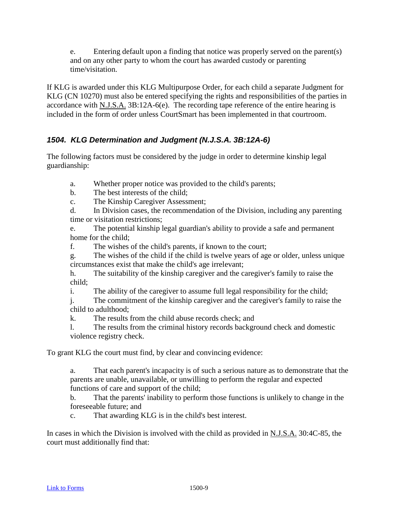e. Entering default upon a finding that notice was properly served on the parent(s) and on any other party to whom the court has awarded custody or parenting time/visitation.

If KLG is awarded under this KLG Multipurpose Order, for each child a separate Judgment for KLG (CN 10270) must also be entered specifying the rights and responsibilities of the parties in accordance with N.J.S.A. 3B:12A-6(e). The recording tape reference of the entire hearing is included in the form of order unless CourtSmart has been implemented in that courtroom.

# *1504. KLG Determination and Judgment (N.J.S.A. 3B:12A-6)*

The following factors must be considered by the judge in order to determine kinship legal guardianship:

- a. Whether proper notice was provided to the child's parents;
- b. The best interests of the child;
- c. The Kinship Caregiver Assessment;

d. In Division cases, the recommendation of the Division, including any parenting time or visitation restrictions;

e. The potential kinship legal guardian's ability to provide a safe and permanent home for the child;

f. The wishes of the child's parents, if known to the court;

g. The wishes of the child if the child is twelve years of age or older, unless unique circumstances exist that make the child's age irrelevant;

h. The suitability of the kinship caregiver and the caregiver's family to raise the child;

i. The ability of the caregiver to assume full legal responsibility for the child;

j. The commitment of the kinship caregiver and the caregiver's family to raise the child to adulthood;

k. The results from the child abuse records check; and

l. The results from the criminal history records background check and domestic violence registry check.

To grant KLG the court must find, by clear and convincing evidence:

a. That each parent's incapacity is of such a serious nature as to demonstrate that the parents are unable, unavailable, or unwilling to perform the regular and expected functions of care and support of the child;

b. That the parents' inability to perform those functions is unlikely to change in the foreseeable future; and

c. That awarding KLG is in the child's best interest.

In cases in which the Division is involved with the child as provided in N.J.S.A. 30:4C-85, the court must additionally find that: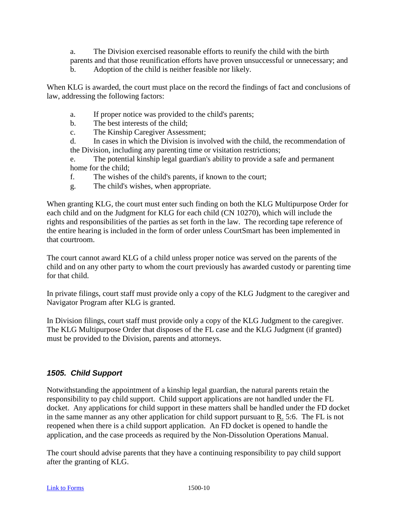a. The Division exercised reasonable efforts to reunify the child with the birth parents and that those reunification efforts have proven unsuccessful or unnecessary; and

b. Adoption of the child is neither feasible nor likely.

When KLG is awarded, the court must place on the record the findings of fact and conclusions of law, addressing the following factors:

- a. If proper notice was provided to the child's parents;
- b. The best interests of the child;
- c. The Kinship Caregiver Assessment;
- d. In cases in which the Division is involved with the child, the recommendation of the Division, including any parenting time or visitation restrictions;

e. The potential kinship legal guardian's ability to provide a safe and permanent home for the child;

- f. The wishes of the child's parents, if known to the court;
- g. The child's wishes, when appropriate.

When granting KLG, the court must enter such finding on both the KLG Multipurpose Order for each child and on the Judgment for KLG for each child (CN 10270), which will include the rights and responsibilities of the parties as set forth in the law. The recording tape reference of the entire hearing is included in the form of order unless CourtSmart has been implemented in that courtroom.

The court cannot award KLG of a child unless proper notice was served on the parents of the child and on any other party to whom the court previously has awarded custody or parenting time for that child.

In private filings, court staff must provide only a copy of the KLG Judgment to the caregiver and Navigator Program after KLG is granted.

In Division filings, court staff must provide only a copy of the KLG Judgment to the caregiver. The KLG Multipurpose Order that disposes of the FL case and the KLG Judgment (if granted) must be provided to the Division, parents and attorneys.

# *1505. Child Support*

Notwithstanding the appointment of a kinship legal guardian, the natural parents retain the responsibility to pay child support. Child support applications are not handled under the FL docket. Any applications for child support in these matters shall be handled under the FD docket in the same manner as any other application for child support pursuant to R. 5:6. The FL is not reopened when there is a child support application. An FD docket is opened to handle the application, and the case proceeds as required by the Non-Dissolution Operations Manual.

The court should advise parents that they have a continuing responsibility to pay child support after the granting of KLG.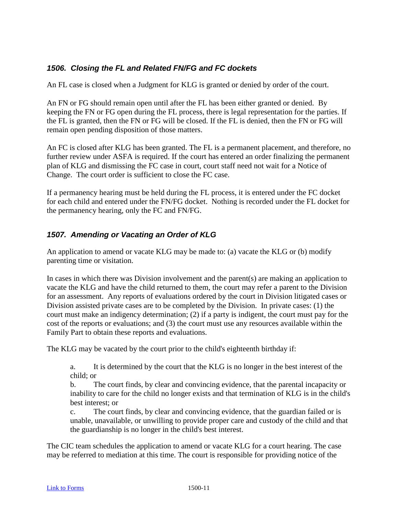# *1506. Closing the FL and Related FN/FG and FC dockets*

An FL case is closed when a Judgment for KLG is granted or denied by order of the court.

An FN or FG should remain open until after the FL has been either granted or denied. By keeping the FN or FG open during the FL process, there is legal representation for the parties. If the FL is granted, then the FN or FG will be closed. If the FL is denied, then the FN or FG will remain open pending disposition of those matters.

An FC is closed after KLG has been granted. The FL is a permanent placement, and therefore, no further review under ASFA is required. If the court has entered an order finalizing the permanent plan of KLG and dismissing the FC case in court, court staff need not wait for a Notice of Change. The court order is sufficient to close the FC case.

If a permanency hearing must be held during the FL process, it is entered under the FC docket for each child and entered under the FN/FG docket. Nothing is recorded under the FL docket for the permanency hearing, only the FC and FN/FG.

# *1507. Amending or Vacating an Order of KLG*

An application to amend or vacate KLG may be made to: (a) vacate the KLG or (b) modify parenting time or visitation.

In cases in which there was Division involvement and the parent(s) are making an application to vacate the KLG and have the child returned to them, the court may refer a parent to the Division for an assessment. Any reports of evaluations ordered by the court in Division litigated cases or Division assisted private cases are to be completed by the Division. In private cases: (1) the court must make an indigency determination; (2) if a party is indigent, the court must pay for the cost of the reports or evaluations; and (3) the court must use any resources available within the Family Part to obtain these reports and evaluations.

The KLG may be vacated by the court prior to the child's eighteenth birthday if:

a. It is determined by the court that the KLG is no longer in the best interest of the child; or

b. The court finds, by clear and convincing evidence, that the parental incapacity or inability to care for the child no longer exists and that termination of KLG is in the child's best interest; or

c. The court finds, by clear and convincing evidence, that the guardian failed or is unable, unavailable, or unwilling to provide proper care and custody of the child and that the guardianship is no longer in the child's best interest.

The CIC team schedules the application to amend or vacate KLG for a court hearing. The case may be referred to mediation at this time. The court is responsible for providing notice of the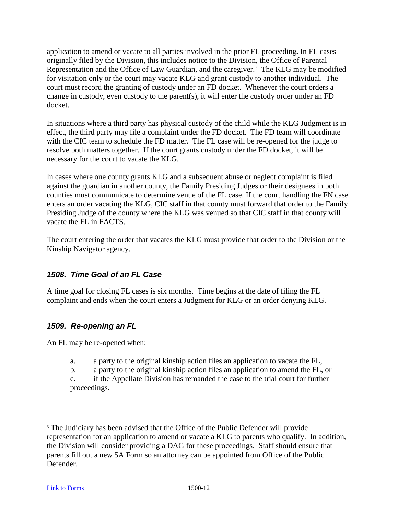application to amend or vacate to all parties involved in the prior FL proceeding**.** In FL cases originally filed by the Division, this includes notice to the Division, the Office of Parental Representation and the Office of Law Guardian, and the caregiver.<sup>[3](#page-55-0)</sup> The KLG may be modified for visitation only or the court may vacate KLG and grant custody to another individual. The court must record the granting of custody under an FD docket. Whenever the court orders a change in custody, even custody to the parent(s), it will enter the custody order under an FD docket.

In situations where a third party has physical custody of the child while the KLG Judgment is in effect, the third party may file a complaint under the FD docket. The FD team will coordinate with the CIC team to schedule the FD matter. The FL case will be re-opened for the judge to resolve both matters together. If the court grants custody under the FD docket, it will be necessary for the court to vacate the KLG.

In cases where one county grants KLG and a subsequent abuse or neglect complaint is filed against the guardian in another county, the Family Presiding Judges or their designees in both counties must communicate to determine venue of the FL case. If the court handling the FN case enters an order vacating the KLG, CIC staff in that county must forward that order to the Family Presiding Judge of the county where the KLG was venued so that CIC staff in that county will vacate the FL in FACTS.

The court entering the order that vacates the KLG must provide that order to the Division or the Kinship Navigator agency.

### *1508. Time Goal of an FL Case*

A time goal for closing FL cases is six months. Time begins at the date of filing the FL complaint and ends when the court enters a Judgment for KLG or an order denying KLG.

#### *1509. Re-opening an FL*

An FL may be re-opened when:

- a. a party to the original kinship action files an application to vacate the FL,
- b. a party to the original kinship action files an application to amend the FL, or

c. if the Appellate Division has remanded the case to the trial court for further proceedings.

<span id="page-55-0"></span><sup>&</sup>lt;sup>3</sup> The Judiciary has been advised that the Office of the Public Defender will provide representation for an application to amend or vacate a KLG to parents who qualify. In addition, the Division will consider providing a DAG for these proceedings. Staff should ensure that parents fill out a new 5A Form so an attorney can be appointed from Office of the Public Defender.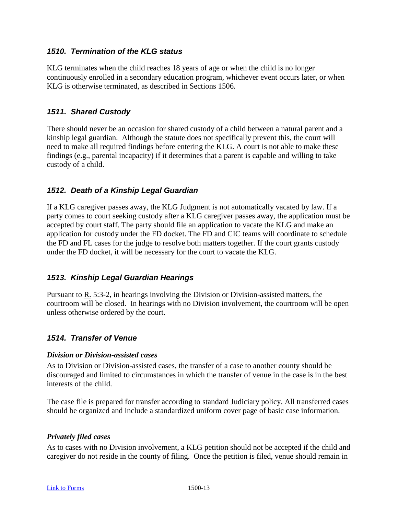#### *1510. Termination of the KLG status*

KLG terminates when the child reaches 18 years of age or when the child is no longer continuously enrolled in a secondary education program, whichever event occurs later, or when KLG is otherwise terminated, as described in Sections 1506*.*

### *1511. Shared Custody*

There should never be an occasion for shared custody of a child between a natural parent and a kinship legal guardian. Although the statute does not specifically prevent this, the court will need to make all required findings before entering the KLG. A court is not able to make these findings (e.g., parental incapacity) if it determines that a parent is capable and willing to take custody of a child.

### *1512. Death of a Kinship Legal Guardian*

If a KLG caregiver passes away, the KLG Judgment is not automatically vacated by law. If a party comes to court seeking custody after a KLG caregiver passes away, the application must be accepted by court staff. The party should file an application to vacate the KLG and make an application for custody under the FD docket. The FD and CIC teams will coordinate to schedule the FD and FL cases for the judge to resolve both matters together. If the court grants custody under the FD docket, it will be necessary for the court to vacate the KLG.

#### *1513. Kinship Legal Guardian Hearings*

Pursuant to R. 5:3-2, in hearings involving the Division or Division-assisted matters, the courtroom will be closed. In hearings with no Division involvement, the courtroom will be open unless otherwise ordered by the court.

### *1514. Transfer of Venue*

#### *Division or Division-assisted cases*

As to Division or Division-assisted cases, the transfer of a case to another county should be discouraged and limited to circumstances in which the transfer of venue in the case is in the best interests of the child.

The case file is prepared for transfer according to standard Judiciary policy. All transferred cases should be organized and include a standardized uniform cover page of basic case information.

#### *Privately filed cases*

As to cases with no Division involvement, a KLG petition should not be accepted if the child and caregiver do not reside in the county of filing. Once the petition is filed, venue should remain in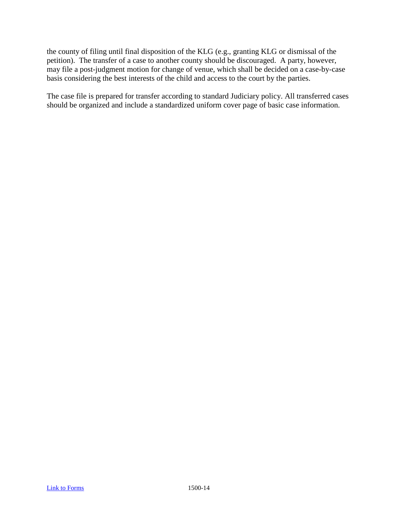the county of filing until final disposition of the KLG (e.g., granting KLG or dismissal of the petition). The transfer of a case to another county should be discouraged. A party, however, may file a post-judgment motion for change of venue, which shall be decided on a case-by-case basis considering the best interests of the child and access to the court by the parties.

The case file is prepared for transfer according to standard Judiciary policy. All transferred cases should be organized and include a standardized uniform cover page of basic case information.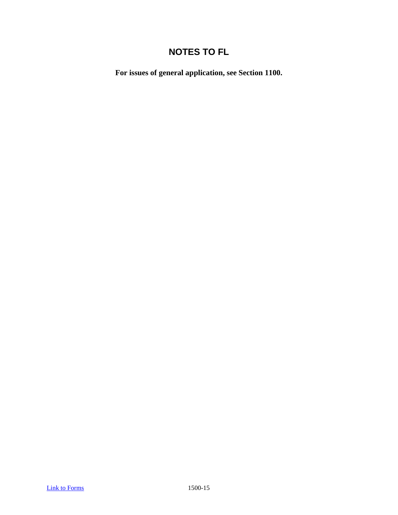# **NOTES TO FL**

**For issues of general application, see Section 1100.**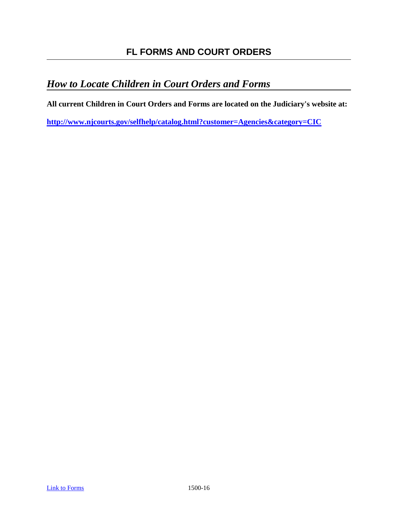# *How to Locate Children in Court Orders and Forms*

**All current Children in Court Orders and Forms are located on the Judiciary's website at:** 

**<http://www.njcourts.gov/selfhelp/catalog.html?customer=Agencies&category=CIC>**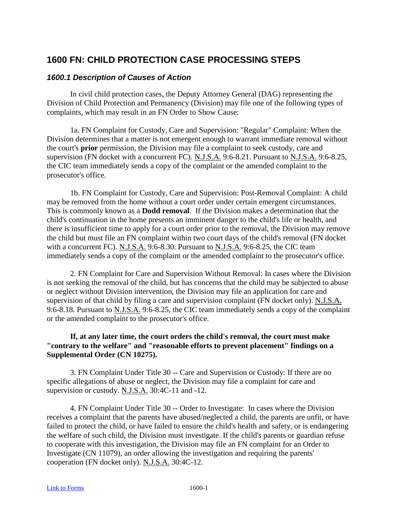# **1600 FN: CHILD PROTECTION CASE PROCESSING STEPS**

#### *1600.1 Description of Causes of Action*

In civil child protection cases, the Deputy Attorney General (DAG) representing the Division of Child Protection and Permanency (Division) may file one of the following types of complaints, which may result in an FN Order to Show Cause:

1a. FN Complaint for Custody, Care and Supervision: "Regular" Complaint: When the Division determines that a matter is not emergent enough to warrant immediate removal without the court's **prior** permission, the Division may file a complaint to seek custody, care and supervision (FN docket with a concurrent FC). N.J.S.A. 9:6-8.21. Pursuant to N.J.S.A. 9:6-8.25, the CIC team immediately sends a copy of the complaint or the amended complaint to the prosecutor's office.

1b. FN Complaint for Custody, Care and Supervision: Post-Removal Complaint: A child may be removed from the home without a court order under certain emergent circumstances. This is commonly known as a **Dodd removal**. If the Division makes a determination that the child's continuation in the home presents an imminent danger to the child's life or health, and there is insufficient time to apply for a court order prior to the removal, the Division may remove the child but must file an FN complaint within two court days of the child's removal (FN docket with a concurrent FC). N.J.S.A. 9:6-8.30. Pursuant to N.J.S.A. 9:6-8.25, the CIC team immediately sends a copy of the complaint or the amended complaint to the prosecutor's office.

2. FN Complaint for Care and Supervision Without Removal: In cases where the Division is not seeking the removal of the child, but has concerns that the child may be subjected to abuse or neglect without Division intervention, the Division may file an application for care and supervision of that child by filing a care and supervision complaint (FN docket only). N.J.S.A. 9:6-8.18. Pursuant to N.J.S.A. 9:6-8.25, the CIC team immediately sends a copy of the complaint or the amended complaint to the prosecutor's office.

#### **If, at any later time, the court orders the child's removal, the court must make "contrary to the welfare" and "reasonable efforts to prevent placement" findings on a Supplemental Order (CN 10275).**

3. FN Complaint Under Title 30 -- Care and Supervision or Custody: If there are no specific allegations of abuse or neglect, the Division may file a complaint for care and supervision or custody. N.J.S.A. 30:4C-11 and -12.

4. FN Complaint Under Title 30 -- Order to Investigate: In cases where the Division receives a complaint that the parents have abused/neglected a child, the parents are unfit, or have failed to protect the child, or have failed to ensure the child's health and safety, or is endangering the welfare of such child, the Division must investigate. If the child's parents or guardian refuse to cooperate with this investigation, the Division may file an FN complaint for an Order to Investigate (CN 11079), an order allowing the investigation and requiring the parents' cooperation (FN docket only). N.J.S.A. 30:4C-12.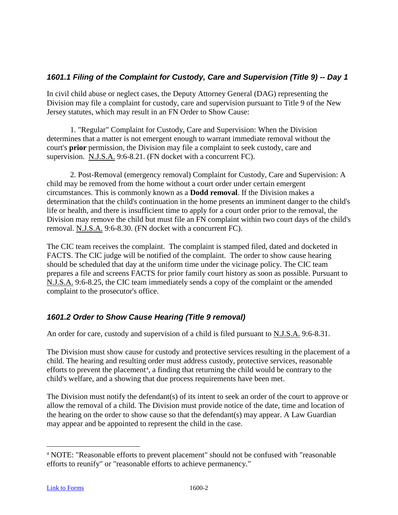# *1601.1 Filing of the Complaint for Custody, Care and Supervision (Title 9) -- Day 1*

In civil child abuse or neglect cases, the Deputy Attorney General (DAG) representing the Division may file a complaint for custody, care and supervision pursuant to Title 9 of the New Jersey statutes, which may result in an FN Order to Show Cause:

1. "Regular" Complaint for Custody, Care and Supervision: When the Division determines that a matter is not emergent enough to warrant immediate removal without the court's **prior** permission, the Division may file a complaint to seek custody, care and supervision. N.J.S.A. 9:6-8.21. (FN docket with a concurrent FC).

2. Post-Removal (emergency removal) Complaint for Custody, Care and Supervision: A child may be removed from the home without a court order under certain emergent circumstances. This is commonly known as a **Dodd removal**. If the Division makes a determination that the child's continuation in the home presents an imminent danger to the child's life or health, and there is insufficient time to apply for a court order prior to the removal, the Division may remove the child but must file an FN complaint within two court days of the child's removal. N.J.S.A. 9:6-8.30. (FN docket with a concurrent FC).

The CIC team receives the complaint. The complaint is stamped filed, dated and docketed in FACTS. The CIC judge will be notified of the complaint. The order to show cause hearing should be scheduled that day at the uniform time under the vicinage policy. The CIC team prepares a file and screens FACTS for prior family court history as soon as possible. Pursuant to N.J.S.A. 9:6-8.25, the CIC team immediately sends a copy of the complaint or the amended complaint to the prosecutor's office.

# *1601.2 Order to Show Cause Hearing (Title 9 removal)*

An order for care, custody and supervision of a child is filed pursuant to N.J.S.A. 9:6-8.31.

The Division must show cause for custody and protective services resulting in the placement of a child. The hearing and resulting order must address custody, protective services, reasonable efforts to prevent the placement<sup>[4](#page-61-0)</sup>, a finding that returning the child would be contrary to the child's welfare, and a showing that due process requirements have been met.

The Division must notify the defendant(s) of its intent to seek an order of the court to approve or allow the removal of a child. The Division must provide notice of the date, time and location of the hearing on the order to show cause so that the defendant(s) may appear. A Law Guardian may appear and be appointed to represent the child in the case.

<span id="page-61-0"></span> <sup>4</sup> NOTE: "Reasonable efforts to prevent placement" should not be confused with "reasonable efforts to reunify" or "reasonable efforts to achieve permanency."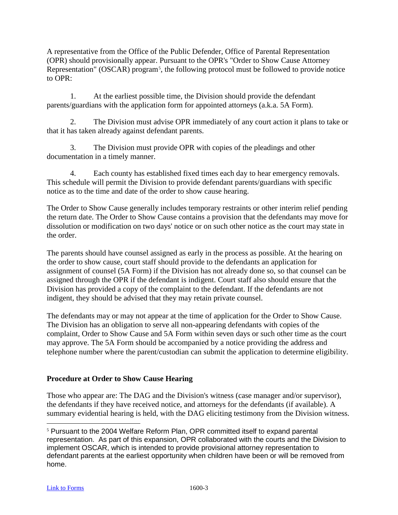A representative from the Office of the Public Defender, Office of Parental Representation (OPR) should provisionally appear. Pursuant to the OPR's "Order to Show Cause Attorney Representation" (OSCAR) program<sup>[5](#page-62-0)</sup>, the following protocol must be followed to provide notice to OPR:

1. At the earliest possible time, the Division should provide the defendant parents/guardians with the application form for appointed attorneys (a.k.a. 5A Form).

2. The Division must advise OPR immediately of any court action it plans to take or that it has taken already against defendant parents.

3. The Division must provide OPR with copies of the pleadings and other documentation in a timely manner.

4. Each county has established fixed times each day to hear emergency removals. This schedule will permit the Division to provide defendant parents/guardians with specific notice as to the time and date of the order to show cause hearing.

The Order to Show Cause generally includes temporary restraints or other interim relief pending the return date. The Order to Show Cause contains a provision that the defendants may move for dissolution or modification on two days' notice or on such other notice as the court may state in the order.

The parents should have counsel assigned as early in the process as possible. At the hearing on the order to show cause, court staff should provide to the defendants an application for assignment of counsel (5A Form) if the Division has not already done so, so that counsel can be assigned through the OPR if the defendant is indigent. Court staff also should ensure that the Division has provided a copy of the complaint to the defendant. If the defendants are not indigent, they should be advised that they may retain private counsel.

The defendants may or may not appear at the time of application for the Order to Show Cause. The Division has an obligation to serve all non-appearing defendants with copies of the complaint, Order to Show Cause and 5A Form within seven days or such other time as the court may approve. The 5A Form should be accompanied by a notice providing the address and telephone number where the parent/custodian can submit the application to determine eligibility.

# **Procedure at Order to Show Cause Hearing**

Those who appear are: The DAG and the Division's witness (case manager and/or supervisor), the defendants if they have received notice, and attorneys for the defendants (if available). A summary evidential hearing is held, with the DAG eliciting testimony from the Division witness.

<span id="page-62-0"></span> <sup>5</sup> Pursuant to the 2004 Welfare Reform Plan, OPR committed itself to expand parental representation. As part of this expansion, OPR collaborated with the courts and the Division to implement OSCAR, which is intended to provide provisional attorney representation to defendant parents at the earliest opportunity when children have been or will be removed from home.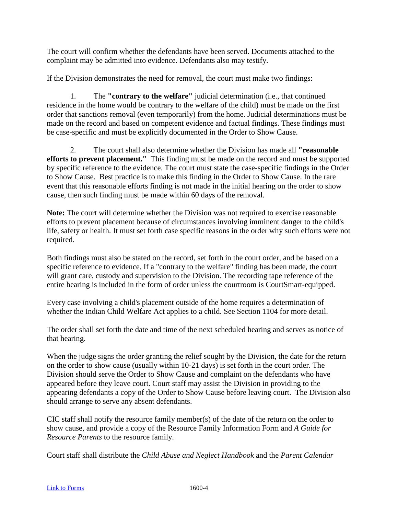The court will confirm whether the defendants have been served. Documents attached to the complaint may be admitted into evidence. Defendants also may testify.

If the Division demonstrates the need for removal, the court must make two findings:

1. The **"contrary to the welfare"** judicial determination (i.e., that continued residence in the home would be contrary to the welfare of the child) must be made on the first order that sanctions removal (even temporarily) from the home. Judicial determinations must be made on the record and based on competent evidence and factual findings. These findings must be case-specific and must be explicitly documented in the Order to Show Cause.

2. The court shall also determine whether the Division has made all **"reasonable efforts to prevent placement."** This finding must be made on the record and must be supported by specific reference to the evidence. The court must state the case-specific findings in the Order to Show Cause. Best practice is to make this finding in the Order to Show Cause. In the rare event that this reasonable efforts finding is not made in the initial hearing on the order to show cause, then such finding must be made within 60 days of the removal.

**Note:** The court will determine whether the Division was not required to exercise reasonable efforts to prevent placement because of circumstances involving imminent danger to the child's life, safety or health. It must set forth case specific reasons in the order why such efforts were not required.

Both findings must also be stated on the record, set forth in the court order, and be based on a specific reference to evidence. If a "contrary to the welfare" finding has been made, the court will grant care, custody and supervision to the Division. The recording tape reference of the entire hearing is included in the form of order unless the courtroom is CourtSmart-equipped.

Every case involving a child's placement outside of the home requires a determination of whether the Indian Child Welfare Act applies to a child. See Section 1104 for more detail.

The order shall set forth the date and time of the next scheduled hearing and serves as notice of that hearing.

When the judge signs the order granting the relief sought by the Division, the date for the return on the order to show cause (usually within 10-21 days) is set forth in the court order. The Division should serve the Order to Show Cause and complaint on the defendants who have appeared before they leave court. Court staff may assist the Division in providing to the appearing defendants a copy of the Order to Show Cause before leaving court. The Division also should arrange to serve any absent defendants.

CIC staff shall notify the resource family member(s) of the date of the return on the order to show cause, and provide a copy of the Resource Family Information Form and *A Guide for Resource Parents* to the resource family.

Court staff shall distribute the *Child Abuse and Neglect Handbook* and the *Parent Calendar*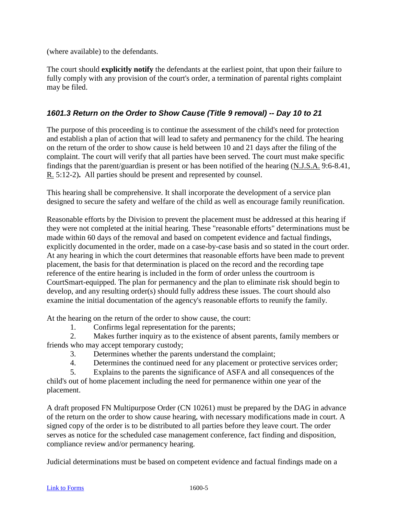(where available) to the defendants.

The court should **explicitly notify** the defendants at the earliest point, that upon their failure to fully comply with any provision of the court's order, a termination of parental rights complaint may be filed.

## *1601.3 Return on the Order to Show Cause (Title 9 removal) -- Day 10 to 21*

The purpose of this proceeding is to continue the assessment of the child's need for protection and establish a plan of action that will lead to safety and permanency for the child. The hearing on the return of the order to show cause is held between 10 and 21 days after the filing of the complaint. The court will verify that all parties have been served. The court must make specific findings that the parent/guardian is present or has been notified of the hearing (N.J.S.A. 9:6-8.41, R. 5:12-2)**.** All parties should be present and represented by counsel.

This hearing shall be comprehensive. It shall incorporate the development of a service plan designed to secure the safety and welfare of the child as well as encourage family reunification.

Reasonable efforts by the Division to prevent the placement must be addressed at this hearing if they were not completed at the initial hearing. These "reasonable efforts" determinations must be made within 60 days of the removal and based on competent evidence and factual findings, explicitly documented in the order, made on a case-by-case basis and so stated in the court order*.* At any hearing in which the court determines that reasonable efforts have been made to prevent placement, the basis for that determination is placed on the record and the recording tape reference of the entire hearing is included in the form of order unless the courtroom is CourtSmart-equipped. The plan for permanency and the plan to eliminate risk should begin to develop, and any resulting order(s) should fully address these issues. The court should also examine the initial documentation of the agency's reasonable efforts to reunify the family.

At the hearing on the return of the order to show cause, the court:

1. Confirms legal representation for the parents;

2. Makes further inquiry as to the existence of absent parents, family members or friends who may accept temporary custody;

- 3. Determines whether the parents understand the complaint;
- 4. Determines the continued need for any placement or protective services order;
- 5. Explains to the parents the significance of ASFA and all consequences of the

child's out of home placement including the need for permanence within one year of the placement.

A draft proposed FN Multipurpose Order (CN 10261) must be prepared by the DAG in advance of the return on the order to show cause hearing, with necessary modifications made in court. A signed copy of the order is to be distributed to all parties before they leave court. The order serves as notice for the scheduled case management conference, fact finding and disposition, compliance review and/or permanency hearing.

Judicial determinations must be based on competent evidence and factual findings made on a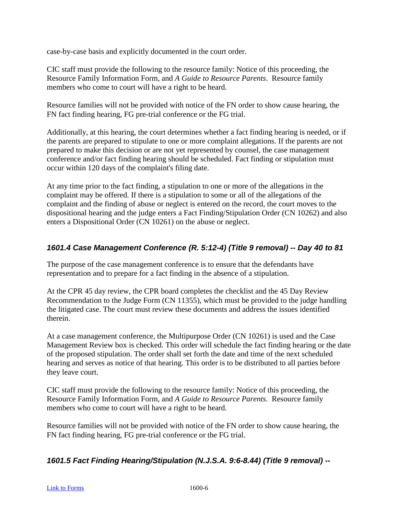case-by-case basis and explicitly documented in the court order.

CIC staff must provide the following to the resource family: Notice of this proceeding, the Resource Family Information Form, and *A Guide to Resource Parents*. Resource family members who come to court will have a right to be heard.

Resource families will not be provided with notice of the FN order to show cause hearing, the FN fact finding hearing, FG pre-trial conference or the FG trial.

Additionally, at this hearing, the court determines whether a fact finding hearing is needed, or if the parents are prepared to stipulate to one or more complaint allegations. If the parents are not prepared to make this decision or are not yet represented by counsel, the case management conference and/or fact finding hearing should be scheduled. Fact finding or stipulation must occur within 120 days of the complaint's filing date.

At any time prior to the fact finding, a stipulation to one or more of the allegations in the complaint may be offered. If there is a stipulation to some or all of the allegations of the complaint and the finding of abuse or neglect is entered on the record, the court moves to the dispositional hearing and the judge enters a Fact Finding/Stipulation Order (CN 10262) and also enters a Dispositional Order (CN 10261) on the abuse or neglect.

# *1601.4 Case Management Conference (R. 5:12-4) (Title 9 removal) -- Day 40 to 81*

The purpose of the case management conference is to ensure that the defendants have representation and to prepare for a fact finding in the absence of a stipulation.

At the CPR 45 day review, the CPR board completes the checklist and the 45 Day Review Recommendation to the Judge Form (CN 11355), which must be provided to the judge handling the litigated case. The court must review these documents and address the issues identified therein.

At a case management conference, the Multipurpose Order (CN 10261) is used and the Case Management Review box is checked. This order will schedule the fact finding hearing or the date of the proposed stipulation. The order shall set forth the date and time of the next scheduled hearing and serves as notice of that hearing. This order is to be distributed to all parties before they leave court.

CIC staff must provide the following to the resource family: Notice of this proceeding, the Resource Family Information Form, and *A Guide to Resource Parents*. Resource family members who come to court will have a right to be heard.

Resource families will not be provided with notice of the FN order to show cause hearing, the FN fact finding hearing, FG pre-trial conference or the FG trial.

# *1601.5 Fact Finding Hearing/Stipulation (N.J.S.A. 9:6-8.44) (Title 9 removal) --*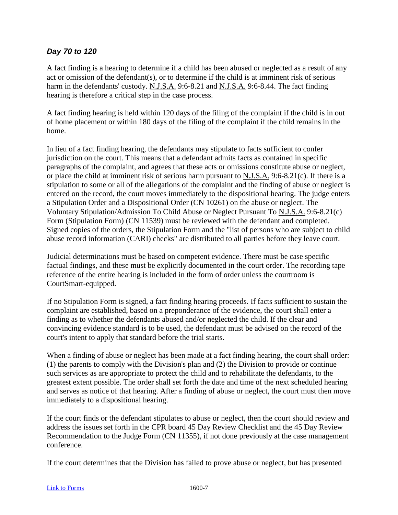## *Day 70 to 120*

A fact finding is a hearing to determine if a child has been abused or neglected as a result of any act or omission of the defendant(s), or to determine if the child is at imminent risk of serious harm in the defendants' custody. N.J.S.A. 9:6-8.21 and N.J.S.A. 9:6-8.44. The fact finding hearing is therefore a critical step in the case process.

A fact finding hearing is held within 120 days of the filing of the complaint if the child is in out of home placement or within 180 days of the filing of the complaint if the child remains in the home.

In lieu of a fact finding hearing, the defendants may stipulate to facts sufficient to confer jurisdiction on the court. This means that a defendant admits facts as contained in specific paragraphs of the complaint, and agrees that these acts or omissions constitute abuse or neglect, or place the child at imminent risk of serious harm pursuant to N.J.S.A. 9:6-8.21(c). If there is a stipulation to some or all of the allegations of the complaint and the finding of abuse or neglect is entered on the record, the court moves immediately to the dispositional hearing. The judge enters a Stipulation Order and a Dispositional Order (CN 10261) on the abuse or neglect. The Voluntary Stipulation/Admission To Child Abuse or Neglect Pursuant To N.J.S.A. 9:6-8.21(c) Form (Stipulation Form) (CN 11539) must be reviewed with the defendant and completed. Signed copies of the orders, the Stipulation Form and the "list of persons who are subject to child abuse record information (CARI) checks" are distributed to all parties before they leave court.

Judicial determinations must be based on competent evidence. There must be case specific factual findings, and these must be explicitly documented in the court order. The recording tape reference of the entire hearing is included in the form of order unless the courtroom is CourtSmart-equipped.

If no Stipulation Form is signed, a fact finding hearing proceeds. If facts sufficient to sustain the complaint are established, based on a preponderance of the evidence, the court shall enter a finding as to whether the defendants abused and/or neglected the child. If the clear and convincing evidence standard is to be used, the defendant must be advised on the record of the court's intent to apply that standard before the trial starts.

When a finding of abuse or neglect has been made at a fact finding hearing, the court shall order: (1) the parents to comply with the Division's plan and (2) the Division to provide or continue such services as are appropriate to protect the child and to rehabilitate the defendants, to the greatest extent possible. The order shall set forth the date and time of the next scheduled hearing and serves as notice of that hearing. After a finding of abuse or neglect, the court must then move immediately to a dispositional hearing.

If the court finds or the defendant stipulates to abuse or neglect, then the court should review and address the issues set forth in the CPR board 45 Day Review Checklist and the 45 Day Review Recommendation to the Judge Form (CN 11355), if not done previously at the case management conference.

If the court determines that the Division has failed to prove abuse or neglect, but has presented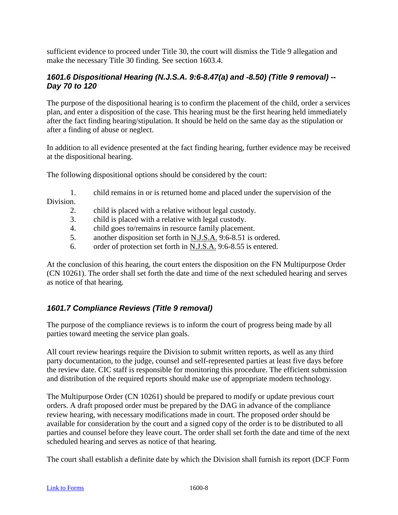sufficient evidence to proceed under Title 30, the court will dismiss the Title 9 allegation and make the necessary Title 30 finding. See section 1603.4.

## *1601.6 Dispositional Hearing (N.J.S.A. 9:6-8.47(a) and -8.50) (Title 9 removal) -- Day 70 to 120*

The purpose of the dispositional hearing is to confirm the placement of the child, order a services plan, and enter a disposition of the case. This hearing must be the first hearing held immediately after the fact finding hearing/stipulation. It should be held on the same day as the stipulation or after a finding of abuse or neglect.

In addition to all evidence presented at the fact finding hearing, further evidence may be received at the dispositional hearing.

The following dispositional options should be considered by the court:

- 1. child remains in or is returned home and placed under the supervision of the Division.
	- 2. child is placed with a relative without legal custody.
	- 3. child is placed with a relative with legal custody.
	- 4. child goes to/remains in resource family placement.
	- 5. another disposition set forth in N.J.S.A. 9:6-8.51 is ordered.
	- 6. order of protection set forth in  $N.J.S.A.$  9:6-8.55 is entered.

At the conclusion of this hearing, the court enters the disposition on the FN Multipurpose Order (CN 10261). The order shall set forth the date and time of the next scheduled hearing and serves as notice of that hearing.

# *1601.7 Compliance Reviews (Title 9 removal)*

The purpose of the compliance reviews is to inform the court of progress being made by all parties toward meeting the service plan goals.

All court review hearings require the Division to submit written reports, as well as any third party documentation, to the judge, counsel and self-represented parties at least five days before the review date. CIC staff is responsible for monitoring this procedure. The efficient submission and distribution of the required reports should make use of appropriate modern technology.

The Multipurpose Order (CN 10261) should be prepared to modify or update previous court orders. A draft proposed order must be prepared by the DAG in advance of the compliance review hearing, with necessary modifications made in court. The proposed order should be available for consideration by the court and a signed copy of the order is to be distributed to all parties and counsel before they leave court. The order shall set forth the date and time of the next scheduled hearing and serves as notice of that hearing.

The court shall establish a definite date by which the Division shall furnish its report (DCF Form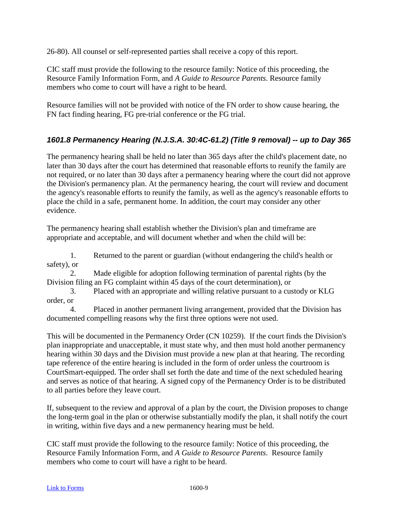26-80). All counsel or self-represented parties shall receive a copy of this report.

CIC staff must provide the following to the resource family: Notice of this proceeding, the Resource Family Information Form, and *A Guide to Resource Parents*. Resource family members who come to court will have a right to be heard.

Resource families will not be provided with notice of the FN order to show cause hearing, the FN fact finding hearing, FG pre-trial conference or the FG trial.

# *1601.8 Permanency Hearing (N.J.S.A. 30:4C-61.2) (Title 9 removal) -- up to Day 365*

The permanency hearing shall be held no later than 365 days after the child's placement date, no later than 30 days after the court has determined that reasonable efforts to reunify the family are not required, or no later than 30 days after a permanency hearing where the court did not approve the Division's permanency plan. At the permanency hearing, the court will review and document the agency's reasonable efforts to reunify the family, as well as the agency's reasonable efforts to place the child in a safe, permanent home. In addition, the court may consider any other evidence.

The permanency hearing shall establish whether the Division's plan and timeframe are appropriate and acceptable, and will document whether and when the child will be:

1. Returned to the parent or guardian (without endangering the child's health or safety), or

2. Made eligible for adoption following termination of parental rights (by the Division filing an FG complaint within 45 days of the court determination), or

3. Placed with an appropriate and willing relative pursuant to a custody or KLG order, or

4. Placed in another permanent living arrangement, provided that the Division has documented compelling reasons why the first three options were not used.

This will be documented in the Permanency Order (CN 10259). If the court finds the Division's plan inappropriate and unacceptable, it must state why, and then must hold another permanency hearing within 30 days and the Division must provide a new plan at that hearing. The recording tape reference of the entire hearing is included in the form of order unless the courtroom is CourtSmart-equipped. The order shall set forth the date and time of the next scheduled hearing and serves as notice of that hearing. A signed copy of the Permanency Order is to be distributed to all parties before they leave court.

If, subsequent to the review and approval of a plan by the court, the Division proposes to change the long-term goal in the plan or otherwise substantially modify the plan, it shall notify the court in writing, within five days and a new permanency hearing must be held.

CIC staff must provide the following to the resource family: Notice of this proceeding, the Resource Family Information Form, and *A Guide to Resource Parents*. Resource family members who come to court will have a right to be heard.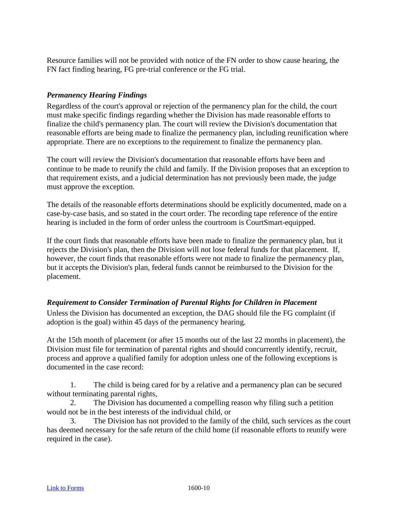Resource families will not be provided with notice of the FN order to show cause hearing, the FN fact finding hearing, FG pre-trial conference or the FG trial.

### *Permanency Hearing Findings*

Regardless of the court's approval or rejection of the permanency plan for the child, the court must make specific findings regarding whether the Division has made reasonable efforts to finalize the child's permanency plan. The court will review the Division's documentation that reasonable efforts are being made to finalize the permanency plan, including reunification where appropriate. There are no exceptions to the requirement to finalize the permanency plan.

The court will review the Division's documentation that reasonable efforts have been and continue to be made to reunify the child and family. If the Division proposes that an exception to that requirement exists, and a judicial determination has not previously been made, the judge must approve the exception.

The details of the reasonable efforts determinations should be explicitly documented, made on a case-by-case basis, and so stated in the court order. The recording tape reference of the entire hearing is included in the form of order unless the courtroom is CourtSmart-equipped.

If the court finds that reasonable efforts have been made to finalize the permanency plan, but it rejects the Division's plan, then the Division will not lose federal funds for that placement. If, however, the court finds that reasonable efforts were not made to finalize the permanency plan, but it accepts the Division's plan, federal funds cannot be reimbursed to the Division for the placement.

#### *Requirement to Consider Termination of Parental Rights for Children in Placement*

Unless the Division has documented an exception, the DAG should file the FG complaint (if adoption is the goal) within 45 days of the permanency hearing.

At the 15th month of placement (or after 15 months out of the last 22 months in placement), the Division must file for termination of parental rights and should concurrently identify, recruit, process and approve a qualified family for adoption unless one of the following exceptions is documented in the case record:

1. The child is being cared for by a relative and a permanency plan can be secured without terminating parental rights,

2. The Division has documented a compelling reason why filing such a petition would not be in the best interests of the individual child, or

The Division has not provided to the family of the child, such services as the court has deemed necessary for the safe return of the child home (if reasonable efforts to reunify were required in the case).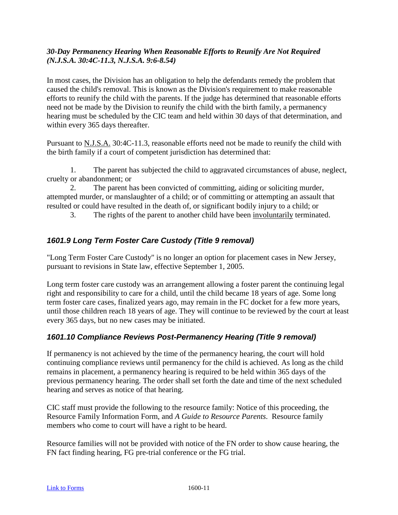### *30-Day Permanency Hearing When Reasonable Efforts to Reunify Are Not Required (N.J.S.A. 30:4C-11.3, N.J.S.A. 9:6-8.54)*

In most cases, the Division has an obligation to help the defendants remedy the problem that caused the child's removal. This is known as the Division's requirement to make reasonable efforts to reunify the child with the parents. If the judge has determined that reasonable efforts need not be made by the Division to reunify the child with the birth family, a permanency hearing must be scheduled by the CIC team and held within 30 days of that determination, and within every 365 days thereafter.

Pursuant to N.J.S.A. 30:4C-11.3, reasonable efforts need not be made to reunify the child with the birth family if a court of competent jurisdiction has determined that:

1. The parent has subjected the child to aggravated circumstances of abuse, neglect, cruelty or abandonment; or

2. The parent has been convicted of committing, aiding or soliciting murder, attempted murder, or manslaughter of a child; or of committing or attempting an assault that resulted or could have resulted in the death of, or significant bodily injury to a child; or

3. The rights of the parent to another child have been involuntarily terminated.

# *1601.9 Long Term Foster Care Custody (Title 9 removal)*

"Long Term Foster Care Custody" is no longer an option for placement cases in New Jersey, pursuant to revisions in State law, effective September 1, 2005.

Long term foster care custody was an arrangement allowing a foster parent the continuing legal right and responsibility to care for a child, until the child became 18 years of age. Some long term foster care cases, finalized years ago, may remain in the FC docket for a few more years, until those children reach 18 years of age. They will continue to be reviewed by the court at least every 365 days, but no new cases may be initiated.

# *1601.10 Compliance Reviews Post-Permanency Hearing (Title 9 removal)*

If permanency is not achieved by the time of the permanency hearing, the court will hold continuing compliance reviews until permanency for the child is achieved. As long as the child remains in placement, a permanency hearing is required to be held within 365 days of the previous permanency hearing. The order shall set forth the date and time of the next scheduled hearing and serves as notice of that hearing.

CIC staff must provide the following to the resource family: Notice of this proceeding, the Resource Family Information Form, and *A Guide to Resource Parents*. Resource family members who come to court will have a right to be heard.

Resource families will not be provided with notice of the FN order to show cause hearing, the FN fact finding hearing, FG pre-trial conference or the FG trial.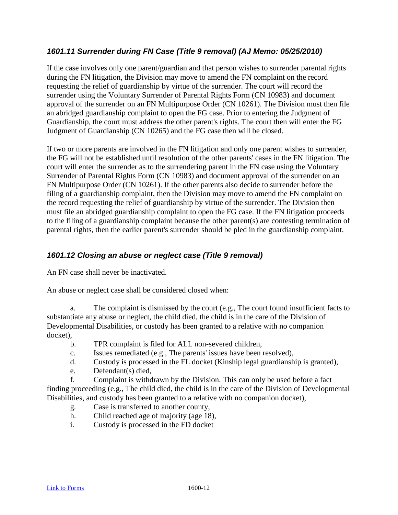## *1601.11 Surrender during FN Case (Title 9 removal) (AJ Memo: 05/25/2010)*

If the case involves only one parent/guardian and that person wishes to surrender parental rights during the FN litigation, the Division may move to amend the FN complaint on the record requesting the relief of guardianship by virtue of the surrender. The court will record the surrender using the Voluntary Surrender of Parental Rights Form (CN 10983) and document approval of the surrender on an FN Multipurpose Order (CN 10261). The Division must then file an abridged guardianship complaint to open the FG case. Prior to entering the Judgment of Guardianship, the court must address the other parent's rights. The court then will enter the FG Judgment of Guardianship (CN 10265) and the FG case then will be closed.

If two or more parents are involved in the FN litigation and only one parent wishes to surrender, the FG will not be established until resolution of the other parents' cases in the FN litigation. The court will enter the surrender as to the surrendering parent in the FN case using the Voluntary Surrender of Parental Rights Form (CN 10983) and document approval of the surrender on an FN Multipurpose Order (CN 10261). If the other parents also decide to surrender before the filing of a guardianship complaint, then the Division may move to amend the FN complaint on the record requesting the relief of guardianship by virtue of the surrender. The Division then must file an abridged guardianship complaint to open the FG case. If the FN litigation proceeds to the filing of a guardianship complaint because the other parent(s) are contesting termination of parental rights, then the earlier parent's surrender should be pled in the guardianship complaint.

### *1601.12 Closing an abuse or neglect case (Title 9 removal)*

An FN case shall never be inactivated.

An abuse or neglect case shall be considered closed when:

a. The complaint is dismissed by the court (e.g., The court found insufficient facts to substantiate any abuse or neglect, the child died, the child is in the care of the Division of Developmental Disabilities, or custody has been granted to a relative with no companion docket),

- b. TPR complaint is filed for ALL non-severed children,
- c. Issues remediated (e.g., The parents' issues have been resolved),
- d. Custody is processed in the FL docket (Kinship legal guardianship is granted),
- e. Defendant(s) died,

f. Complaint is withdrawn by the Division. This can only be used before a fact finding proceeding (e.g., The child died, the child is in the care of the Division of Developmental Disabilities, and custody has been granted to a relative with no companion docket),

- g. Case is transferred to another county,
- h. Child reached age of majority (age 18),
- i. Custody is processed in the FD docket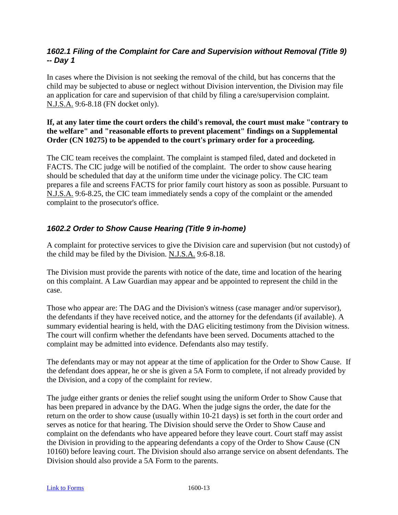## *1602.1 Filing of the Complaint for Care and Supervision without Removal (Title 9) -- Day 1*

In cases where the Division is not seeking the removal of the child, but has concerns that the child may be subjected to abuse or neglect without Division intervention, the Division may file an application for care and supervision of that child by filing a care/supervision complaint. N.J.S.A. 9:6-8.18 (FN docket only).

#### **If, at any later time the court orders the child's removal, the court must make "contrary to the welfare" and "reasonable efforts to prevent placement" findings on a Supplemental Order (CN 10275) to be appended to the court's primary order for a proceeding.**

The CIC team receives the complaint. The complaint is stamped filed, dated and docketed in FACTS. The CIC judge will be notified of the complaint. The order to show cause hearing should be scheduled that day at the uniform time under the vicinage policy. The CIC team prepares a file and screens FACTS for prior family court history as soon as possible. Pursuant to N.J.S.A. 9:6-8.25, the CIC team immediately sends a copy of the complaint or the amended complaint to the prosecutor's office.

## *1602.2 Order to Show Cause Hearing (Title 9 in-home)*

A complaint for protective services to give the Division care and supervision (but not custody) of the child may be filed by the Division. N.J.S.A. 9:6-8.18.

The Division must provide the parents with notice of the date, time and location of the hearing on this complaint. A Law Guardian may appear and be appointed to represent the child in the case.

Those who appear are: The DAG and the Division's witness (case manager and/or supervisor), the defendants if they have received notice, and the attorney for the defendants (if available). A summary evidential hearing is held, with the DAG eliciting testimony from the Division witness. The court will confirm whether the defendants have been served. Documents attached to the complaint may be admitted into evidence. Defendants also may testify.

The defendants may or may not appear at the time of application for the Order to Show Cause. If the defendant does appear, he or she is given a 5A Form to complete, if not already provided by the Division, and a copy of the complaint for review.

The judge either grants or denies the relief sought using the uniform Order to Show Cause that has been prepared in advance by the DAG. When the judge signs the order, the date for the return on the order to show cause (usually within 10-21 days) is set forth in the court order and serves as notice for that hearing. The Division should serve the Order to Show Cause and complaint on the defendants who have appeared before they leave court. Court staff may assist the Division in providing to the appearing defendants a copy of the Order to Show Cause (CN 10160) before leaving court. The Division should also arrange service on absent defendants. The Division should also provide a 5A Form to the parents.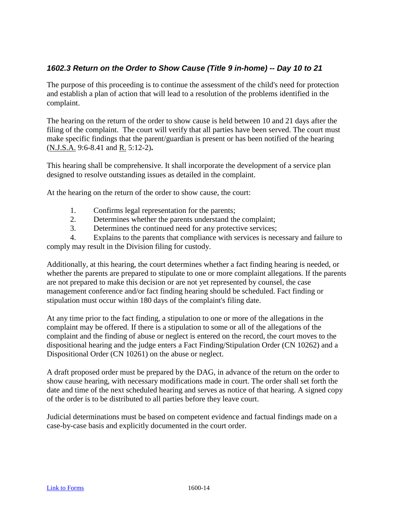## *1602.3 Return on the Order to Show Cause (Title 9 in-home) -- Day 10 to 21*

The purpose of this proceeding is to continue the assessment of the child's need for protection and establish a plan of action that will lead to a resolution of the problems identified in the complaint.

The hearing on the return of the order to show cause is held between 10 and 21 days after the filing of the complaint. The court will verify that all parties have been served. The court must make specific findings that the parent/guardian is present or has been notified of the hearing (N.J.S.A. 9:6-8.41 and R. 5:12-2)**.**

This hearing shall be comprehensive. It shall incorporate the development of a service plan designed to resolve outstanding issues as detailed in the complaint.

At the hearing on the return of the order to show cause, the court:

- 1. Confirms legal representation for the parents;
- 2. Determines whether the parents understand the complaint;
- 3. Determines the continued need for any protective services;

4. Explains to the parents that compliance with services is necessary and failure to comply may result in the Division filing for custody.

Additionally, at this hearing, the court determines whether a fact finding hearing is needed, or whether the parents are prepared to stipulate to one or more complaint allegations. If the parents are not prepared to make this decision or are not yet represented by counsel, the case management conference and/or fact finding hearing should be scheduled. Fact finding or stipulation must occur within 180 days of the complaint's filing date.

At any time prior to the fact finding, a stipulation to one or more of the allegations in the complaint may be offered. If there is a stipulation to some or all of the allegations of the complaint and the finding of abuse or neglect is entered on the record, the court moves to the dispositional hearing and the judge enters a Fact Finding/Stipulation Order (CN 10262) and a Dispositional Order (CN 10261) on the abuse or neglect.

A draft proposed order must be prepared by the DAG, in advance of the return on the order to show cause hearing, with necessary modifications made in court. The order shall set forth the date and time of the next scheduled hearing and serves as notice of that hearing. A signed copy of the order is to be distributed to all parties before they leave court.

Judicial determinations must be based on competent evidence and factual findings made on a case-by-case basis and explicitly documented in the court order.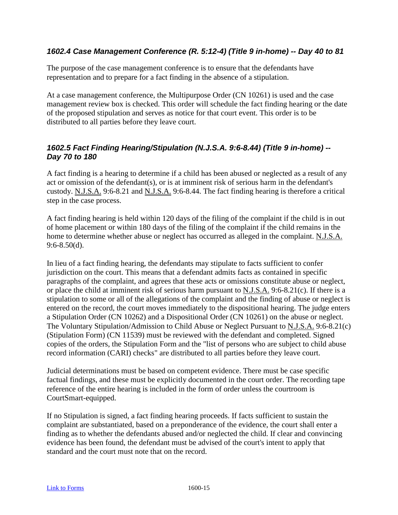## *1602.4 Case Management Conference (R. 5:12-4) (Title 9 in-home) -- Day 40 to 81*

The purpose of the case management conference is to ensure that the defendants have representation and to prepare for a fact finding in the absence of a stipulation.

At a case management conference, the Multipurpose Order (CN 10261) is used and the case management review box is checked. This order will schedule the fact finding hearing or the date of the proposed stipulation and serves as notice for that court event. This order is to be distributed to all parties before they leave court.

## *1602.5 Fact Finding Hearing/Stipulation (N.J.S.A. 9:6-8.44) (Title 9 in-home) -- Day 70 to 180*

A fact finding is a hearing to determine if a child has been abused or neglected as a result of any act or omission of the defendant(s), or is at imminent risk of serious harm in the defendant's custody. N.J.S.A. 9:6-8.21 and N.J.S.A. 9:6-8.44. The fact finding hearing is therefore a critical step in the case process.

A fact finding hearing is held within 120 days of the filing of the complaint if the child is in out of home placement or within 180 days of the filing of the complaint if the child remains in the home to determine whether abuse or neglect has occurred as alleged in the complaint. N.J.S.A. 9:6-8.50(d).

In lieu of a fact finding hearing, the defendants may stipulate to facts sufficient to confer jurisdiction on the court. This means that a defendant admits facts as contained in specific paragraphs of the complaint, and agrees that these acts or omissions constitute abuse or neglect, or place the child at imminent risk of serious harm pursuant to N.J.S.A. 9:6-8.21(c). If there is a stipulation to some or all of the allegations of the complaint and the finding of abuse or neglect is entered on the record, the court moves immediately to the dispositional hearing. The judge enters a Stipulation Order (CN 10262) and a Dispositional Order (CN 10261) on the abuse or neglect. The Voluntary Stipulation/Admission to Child Abuse or Neglect Pursuant to N.J.S.A. 9:6-8.21(c) (Stipulation Form) (CN 11539) must be reviewed with the defendant and completed. Signed copies of the orders, the Stipulation Form and the "list of persons who are subject to child abuse record information (CARI) checks" are distributed to all parties before they leave court.

Judicial determinations must be based on competent evidence. There must be case specific factual findings, and these must be explicitly documented in the court order. The recording tape reference of the entire hearing is included in the form of order unless the courtroom is CourtSmart-equipped.

If no Stipulation is signed, a fact finding hearing proceeds. If facts sufficient to sustain the complaint are substantiated, based on a preponderance of the evidence, the court shall enter a finding as to whether the defendants abused and/or neglected the child. If clear and convincing evidence has been found, the defendant must be advised of the court's intent to apply that standard and the court must note that on the record.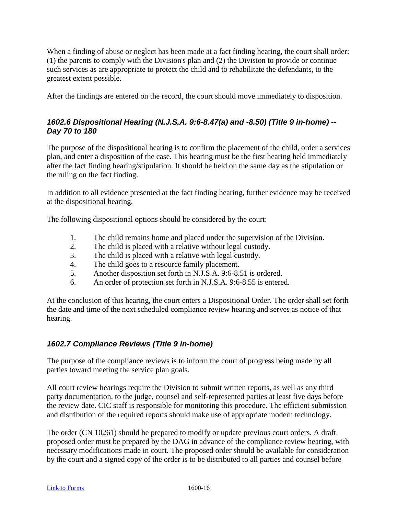When a finding of abuse or neglect has been made at a fact finding hearing, the court shall order: (1) the parents to comply with the Division's plan and (2) the Division to provide or continue such services as are appropriate to protect the child and to rehabilitate the defendants, to the greatest extent possible.

After the findings are entered on the record, the court should move immediately to disposition.

## *1602.6 Dispositional Hearing (N.J.S.A. 9:6-8.47(a) and -8.50) (Title 9 in-home) -- Day 70 to 180*

The purpose of the dispositional hearing is to confirm the placement of the child, order a services plan, and enter a disposition of the case. This hearing must be the first hearing held immediately after the fact finding hearing/stipulation. It should be held on the same day as the stipulation or the ruling on the fact finding.

In addition to all evidence presented at the fact finding hearing, further evidence may be received at the dispositional hearing.

The following dispositional options should be considered by the court:

- 1. The child remains home and placed under the supervision of the Division.
- 2. The child is placed with a relative without legal custody.
- 3. The child is placed with a relative with legal custody.
- 4. The child goes to a resource family placement.
- 5. Another disposition set forth in N.J.S.A. 9:6-8.51 is ordered.
- 6. An order of protection set forth in N.J.S.A. 9:6-8.55 is entered.

At the conclusion of this hearing, the court enters a Dispositional Order. The order shall set forth the date and time of the next scheduled compliance review hearing and serves as notice of that hearing.

#### *1602.7 Compliance Reviews (Title 9 in-home)*

The purpose of the compliance reviews is to inform the court of progress being made by all parties toward meeting the service plan goals.

All court review hearings require the Division to submit written reports, as well as any third party documentation, to the judge, counsel and self-represented parties at least five days before the review date. CIC staff is responsible for monitoring this procedure. The efficient submission and distribution of the required reports should make use of appropriate modern technology.

The order (CN 10261) should be prepared to modify or update previous court orders. A draft proposed order must be prepared by the DAG in advance of the compliance review hearing, with necessary modifications made in court. The proposed order should be available for consideration by the court and a signed copy of the order is to be distributed to all parties and counsel before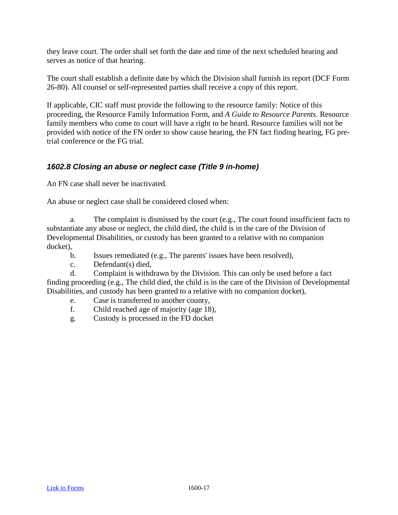they leave court. The order shall set forth the date and time of the next scheduled hearing and serves as notice of that hearing.

The court shall establish a definite date by which the Division shall furnish its report (DCF Form 26-80). All counsel or self-represented parties shall receive a copy of this report.

If applicable, CIC staff must provide the following to the resource family: Notice of this proceeding, the Resource Family Information Form, and *A Guide to Resource Parents*. Resource family members who come to court will have a right to be heard. Resource families will not be provided with notice of the FN order to show cause hearing, the FN fact finding hearing, FG pretrial conference or the FG trial.

#### *1602.8 Closing an abuse or neglect case (Title 9 in-home)*

An FN case shall never be inactivated.

An abuse or neglect case shall be considered closed when:

a. The complaint is dismissed by the court (e.g., The court found insufficient facts to substantiate any abuse or neglect, the child died, the child is in the care of the Division of Developmental Disabilities, or custody has been granted to a relative with no companion docket),

- b. Issues remediated (e.g., The parents' issues have been resolved),
- c. Defendant(s) died,

d. Complaint is withdrawn by the Division. This can only be used before a fact finding proceeding (e.g., The child died, the child is in the care of the Division of Developmental Disabilities, and custody has been granted to a relative with no companion docket),

- e. Case is transferred to another county,
- f. Child reached age of majority (age 18),
- g. Custody is processed in the FD docket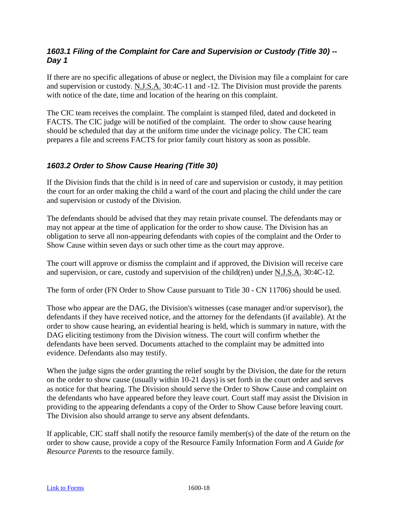## *1603.1 Filing of the Complaint for Care and Supervision or Custody (Title 30) -- Day 1*

If there are no specific allegations of abuse or neglect, the Division may file a complaint for care and supervision or custody. N.J.S.A. 30:4C-11 and -12. The Division must provide the parents with notice of the date, time and location of the hearing on this complaint.

The CIC team receives the complaint. The complaint is stamped filed, dated and docketed in FACTS. The CIC judge will be notified of the complaint. The order to show cause hearing should be scheduled that day at the uniform time under the vicinage policy. The CIC team prepares a file and screens FACTS for prior family court history as soon as possible.

## *1603.2 Order to Show Cause Hearing (Title 30)*

If the Division finds that the child is in need of care and supervision or custody, it may petition the court for an order making the child a ward of the court and placing the child under the care and supervision or custody of the Division.

The defendants should be advised that they may retain private counsel. The defendants may or may not appear at the time of application for the order to show cause. The Division has an obligation to serve all non-appearing defendants with copies of the complaint and the Order to Show Cause within seven days or such other time as the court may approve.

The court will approve or dismiss the complaint and if approved, the Division will receive care and supervision, or care, custody and supervision of the child(ren) under N.J.S.A. 30:4C-12.

The form of order (FN Order to Show Cause pursuant to Title 30 - CN 11706) should be used.

Those who appear are the DAG, the Division's witnesses (case manager and/or supervisor), the defendants if they have received notice, and the attorney for the defendants (if available). At the order to show cause hearing, an evidential hearing is held, which is summary in nature, with the DAG eliciting testimony from the Division witness. The court will confirm whether the defendants have been served. Documents attached to the complaint may be admitted into evidence. Defendants also may testify.

When the judge signs the order granting the relief sought by the Division, the date for the return on the order to show cause (usually within 10-21 days) is set forth in the court order and serves as notice for that hearing. The Division should serve the Order to Show Cause and complaint on the defendants who have appeared before they leave court. Court staff may assist the Division in providing to the appearing defendants a copy of the Order to Show Cause before leaving court. The Division also should arrange to serve any absent defendants.

If applicable, CIC staff shall notify the resource family member(s) of the date of the return on the order to show cause, provide a copy of the Resource Family Information Form and *A Guide for Resource Parents* to the resource family.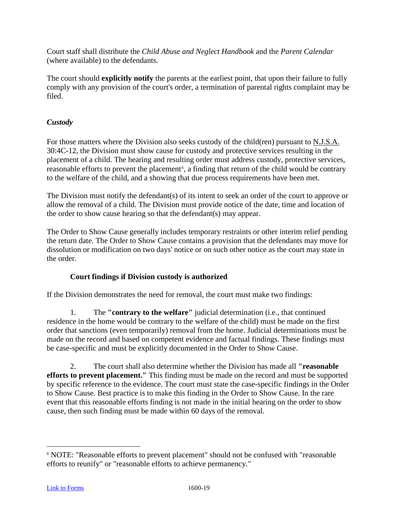Court staff shall distribute the *Child Abuse and Neglect Handbook* and the *Parent Calendar* (where available) to the defendants.

The court should **explicitly notify** the parents at the earliest point, that upon their failure to fully comply with any provision of the court's order, a termination of parental rights complaint may be filed.

## *Custody*

For those matters where the Division also seeks custody of the child(ren) pursuant to N.J.S.A. 30:4C-12, the Division must show cause for custody and protective services resulting in the placement of a child. The hearing and resulting order must address custody, protective services, reasonable efforts to prevent the placement<sup>[6](#page-78-0)</sup>, a finding that return of the child would be contrary to the welfare of the child, and a showing that due process requirements have been met.

The Division must notify the defendant(s) of its intent to seek an order of the court to approve or allow the removal of a child. The Division must provide notice of the date, time and location of the order to show cause hearing so that the defendant(s) may appear.

The Order to Show Cause generally includes temporary restraints or other interim relief pending the return date. The Order to Show Cause contains a provision that the defendants may move for dissolution or modification on two days' notice or on such other notice as the court may state in the order.

#### **Court findings if Division custody is authorized**

If the Division demonstrates the need for removal, the court must make two findings:

1. The **"contrary to the welfare"** judicial determination (i.e., that continued residence in the home would be contrary to the welfare of the child) must be made on the first order that sanctions (even temporarily) removal from the home. Judicial determinations must be made on the record and based on competent evidence and factual findings. These findings must be case-specific and must be explicitly documented in the Order to Show Cause.

2. The court shall also determine whether the Division has made all **"reasonable efforts to prevent placement."** This finding must be made on the record and must be supported by specific reference to the evidence. The court must state the case-specific findings in the Order to Show Cause. Best practice is to make this finding in the Order to Show Cause. In the rare event that this reasonable efforts finding is not made in the initial hearing on the order to show cause, then such finding must be made within 60 days of the removal.

<span id="page-78-0"></span> <sup>6</sup> NOTE: "Reasonable efforts to prevent placement" should not be confused with "reasonable efforts to reunify" or "reasonable efforts to achieve permanency."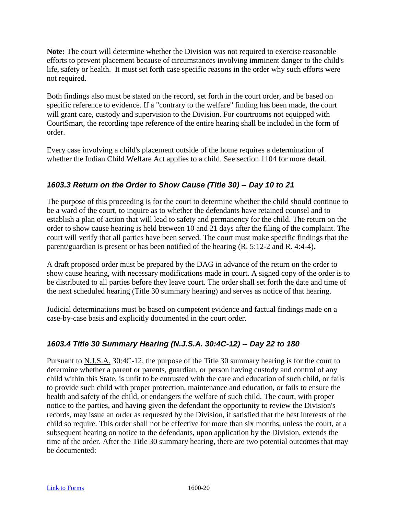**Note:** The court will determine whether the Division was not required to exercise reasonable efforts to prevent placement because of circumstances involving imminent danger to the child's life, safety or health. It must set forth case specific reasons in the order why such efforts were not required.

Both findings also must be stated on the record, set forth in the court order, and be based on specific reference to evidence. If a "contrary to the welfare" finding has been made, the court will grant care, custody and supervision to the Division. For courtrooms not equipped with CourtSmart, the recording tape reference of the entire hearing shall be included in the form of order.

Every case involving a child's placement outside of the home requires a determination of whether the Indian Child Welfare Act applies to a child. See section 1104 for more detail.

## *1603.3 Return on the Order to Show Cause (Title 30) -- Day 10 to 21*

The purpose of this proceeding is for the court to determine whether the child should continue to be a ward of the court, to inquire as to whether the defendants have retained counsel and to establish a plan of action that will lead to safety and permanency for the child. The return on the order to show cause hearing is held between 10 and 21 days after the filing of the complaint. The court will verify that all parties have been served. The court must make specific findings that the parent/guardian is present or has been notified of the hearing (R. 5:12-2 and R. 4:4-4)**.**

A draft proposed order must be prepared by the DAG in advance of the return on the order to show cause hearing, with necessary modifications made in court. A signed copy of the order is to be distributed to all parties before they leave court. The order shall set forth the date and time of the next scheduled hearing (Title 30 summary hearing) and serves as notice of that hearing.

Judicial determinations must be based on competent evidence and factual findings made on a case-by-case basis and explicitly documented in the court order.

## *1603.4 Title 30 Summary Hearing (N.J.S.A. 30:4C-12) -- Day 22 to 180*

Pursuant to <u>N.J.S.A.</u> 30:4C-12, the purpose of the Title 30 summary hearing is for the court to determine whether a parent or parents, guardian, or person having custody and control of any child within this State, is unfit to be entrusted with the care and education of such child, or fails to provide such child with proper protection, maintenance and education, or fails to ensure the health and safety of the child, or endangers the welfare of such child. The court, with proper notice to the parties, and having given the defendant the opportunity to review the Division's records, may issue an order as requested by the Division, if satisfied that the best interests of the child so require. This order shall not be effective for more than six months, unless the court, at a subsequent hearing on notice to the defendants, upon application by the Division, extends the time of the order. After the Title 30 summary hearing, there are two potential outcomes that may be documented: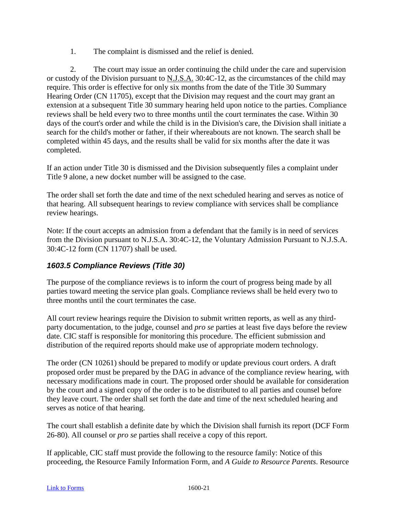1. The complaint is dismissed and the relief is denied.

2. The court may issue an order continuing the child under the care and supervision or custody of the Division pursuant to  $N.J.S.A.$  30:4C-12, as the circumstances of the child may require. This order is effective for only six months from the date of the Title 30 Summary Hearing Order (CN 11705), except that the Division may request and the court may grant an extension at a subsequent Title 30 summary hearing held upon notice to the parties. Compliance reviews shall be held every two to three months until the court terminates the case. Within 30 days of the court's order and while the child is in the Division's care, the Division shall initiate a search for the child's mother or father, if their whereabouts are not known. The search shall be completed within 45 days, and the results shall be valid for six months after the date it was completed.

If an action under Title 30 is dismissed and the Division subsequently files a complaint under Title 9 alone, a new docket number will be assigned to the case.

The order shall set forth the date and time of the next scheduled hearing and serves as notice of that hearing. All subsequent hearings to review compliance with services shall be compliance review hearings.

Note: If the court accepts an admission from a defendant that the family is in need of services from the Division pursuant to N.J.S.A. 30:4C-12, the Voluntary Admission Pursuant to N.J.S.A. 30:4C-12 form (CN 11707) shall be used.

## *1603.5 Compliance Reviews (Title 30)*

The purpose of the compliance reviews is to inform the court of progress being made by all parties toward meeting the service plan goals. Compliance reviews shall be held every two to three months until the court terminates the case.

All court review hearings require the Division to submit written reports, as well as any thirdparty documentation, to the judge, counsel and *pro se* parties at least five days before the review date. CIC staff is responsible for monitoring this procedure. The efficient submission and distribution of the required reports should make use of appropriate modern technology.

The order (CN 10261) should be prepared to modify or update previous court orders. A draft proposed order must be prepared by the DAG in advance of the compliance review hearing, with necessary modifications made in court. The proposed order should be available for consideration by the court and a signed copy of the order is to be distributed to all parties and counsel before they leave court. The order shall set forth the date and time of the next scheduled hearing and serves as notice of that hearing.

The court shall establish a definite date by which the Division shall furnish its report (DCF Form 26-80). All counsel or *pro se* parties shall receive a copy of this report.

If applicable, CIC staff must provide the following to the resource family: Notice of this proceeding, the Resource Family Information Form, and *A Guide to Resource Parents*. Resource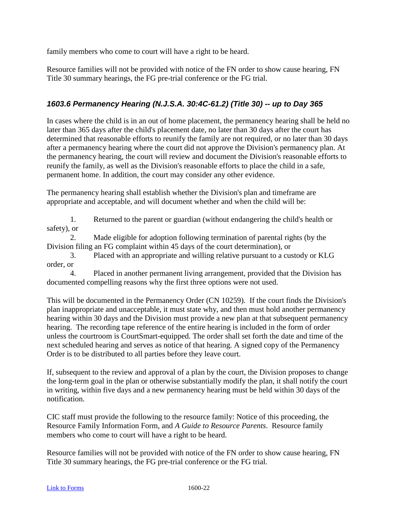family members who come to court will have a right to be heard.

Resource families will not be provided with notice of the FN order to show cause hearing, FN Title 30 summary hearings, the FG pre-trial conference or the FG trial.

## *1603.6 Permanency Hearing (N.J.S.A. 30:4C-61.2) (Title 30) -- up to Day 365*

In cases where the child is in an out of home placement, the permanency hearing shall be held no later than 365 days after the child's placement date, no later than 30 days after the court has determined that reasonable efforts to reunify the family are not required, or no later than 30 days after a permanency hearing where the court did not approve the Division's permanency plan. At the permanency hearing, the court will review and document the Division's reasonable efforts to reunify the family, as well as the Division's reasonable efforts to place the child in a safe, permanent home. In addition, the court may consider any other evidence.

The permanency hearing shall establish whether the Division's plan and timeframe are appropriate and acceptable, and will document whether and when the child will be:

1. Returned to the parent or guardian (without endangering the child's health or safety), or

2. Made eligible for adoption following termination of parental rights (by the Division filing an FG complaint within 45 days of the court determination), or

3. Placed with an appropriate and willing relative pursuant to a custody or KLG order, or

4. Placed in another permanent living arrangement, provided that the Division has documented compelling reasons why the first three options were not used.

This will be documented in the Permanency Order (CN 10259). If the court finds the Division's plan inappropriate and unacceptable, it must state why, and then must hold another permanency hearing within 30 days and the Division must provide a new plan at that subsequent permanency hearing. The recording tape reference of the entire hearing is included in the form of order unless the courtroom is CourtSmart-equipped. The order shall set forth the date and time of the next scheduled hearing and serves as notice of that hearing. A signed copy of the Permanency Order is to be distributed to all parties before they leave court.

If, subsequent to the review and approval of a plan by the court, the Division proposes to change the long-term goal in the plan or otherwise substantially modify the plan, it shall notify the court in writing, within five days and a new permanency hearing must be held within 30 days of the notification.

CIC staff must provide the following to the resource family: Notice of this proceeding, the Resource Family Information Form, and *A Guide to Resource Parents*. Resource family members who come to court will have a right to be heard.

Resource families will not be provided with notice of the FN order to show cause hearing, FN Title 30 summary hearings, the FG pre-trial conference or the FG trial.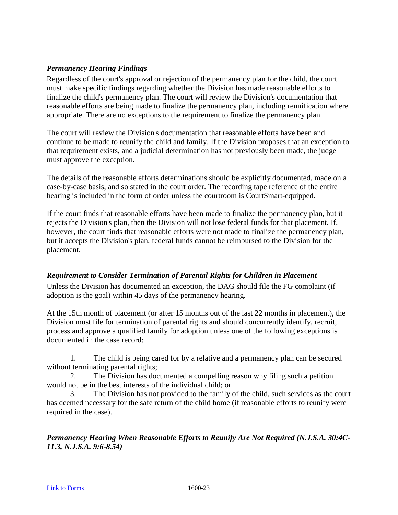#### *Permanency Hearing Findings*

Regardless of the court's approval or rejection of the permanency plan for the child, the court must make specific findings regarding whether the Division has made reasonable efforts to finalize the child's permanency plan. The court will review the Division's documentation that reasonable efforts are being made to finalize the permanency plan, including reunification where appropriate. There are no exceptions to the requirement to finalize the permanency plan.

The court will review the Division's documentation that reasonable efforts have been and continue to be made to reunify the child and family. If the Division proposes that an exception to that requirement exists, and a judicial determination has not previously been made, the judge must approve the exception.

The details of the reasonable efforts determinations should be explicitly documented, made on a case-by-case basis, and so stated in the court order. The recording tape reference of the entire hearing is included in the form of order unless the courtroom is CourtSmart-equipped.

If the court finds that reasonable efforts have been made to finalize the permanency plan, but it rejects the Division's plan, then the Division will not lose federal funds for that placement. If, however, the court finds that reasonable efforts were not made to finalize the permanency plan, but it accepts the Division's plan, federal funds cannot be reimbursed to the Division for the placement.

#### *Requirement to Consider Termination of Parental Rights for Children in Placement*

Unless the Division has documented an exception, the DAG should file the FG complaint (if adoption is the goal) within 45 days of the permanency hearing.

At the 15th month of placement (or after 15 months out of the last 22 months in placement), the Division must file for termination of parental rights and should concurrently identify, recruit, process and approve a qualified family for adoption unless one of the following exceptions is documented in the case record:

1. The child is being cared for by a relative and a permanency plan can be secured without terminating parental rights;

2. The Division has documented a compelling reason why filing such a petition would not be in the best interests of the individual child; or

3. The Division has not provided to the family of the child, such services as the court has deemed necessary for the safe return of the child home (if reasonable efforts to reunify were required in the case).

*Permanency Hearing When Reasonable Efforts to Reunify Are Not Required (N.J.S.A. 30:4C-11.3, N.J.S.A. 9:6-8.54)*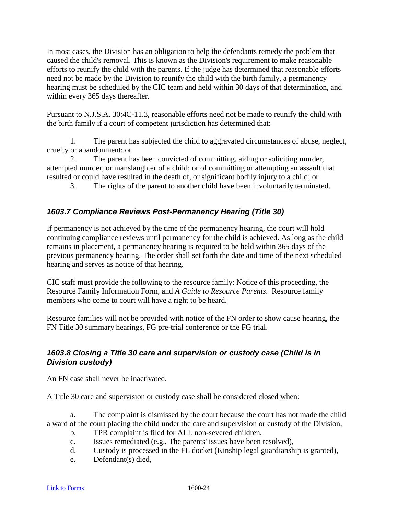In most cases, the Division has an obligation to help the defendants remedy the problem that caused the child's removal. This is known as the Division's requirement to make reasonable efforts to reunify the child with the parents. If the judge has determined that reasonable efforts need not be made by the Division to reunify the child with the birth family, a permanency hearing must be scheduled by the CIC team and held within 30 days of that determination, and within every 365 days thereafter.

Pursuant to N.J.S.A. 30:4C-11.3, reasonable efforts need not be made to reunify the child with the birth family if a court of competent jurisdiction has determined that:

1. The parent has subjected the child to aggravated circumstances of abuse, neglect, cruelty or abandonment; or

2. The parent has been convicted of committing, aiding or soliciting murder, attempted murder, or manslaughter of a child; or of committing or attempting an assault that resulted or could have resulted in the death of, or significant bodily injury to a child; or

3. The rights of the parent to another child have been involuntarily terminated.

## *1603.7 Compliance Reviews Post-Permanency Hearing (Title 30)*

If permanency is not achieved by the time of the permanency hearing, the court will hold continuing compliance reviews until permanency for the child is achieved. As long as the child remains in placement, a permanency hearing is required to be held within 365 days of the previous permanency hearing. The order shall set forth the date and time of the next scheduled hearing and serves as notice of that hearing.

CIC staff must provide the following to the resource family: Notice of this proceeding, the Resource Family Information Form, and *A Guide to Resource Parents*. Resource family members who come to court will have a right to be heard.

Resource families will not be provided with notice of the FN order to show cause hearing, the FN Title 30 summary hearings, FG pre-trial conference or the FG trial.

## *1603.8 Closing a Title 30 care and supervision or custody case (Child is in Division custody)*

An FN case shall never be inactivated.

A Title 30 care and supervision or custody case shall be considered closed when:

a. The complaint is dismissed by the court because the court has not made the child a ward of the court placing the child under the care and supervision or custody of the Division,

- b. TPR complaint is filed for ALL non-severed children,
- c. Issues remediated (e.g., The parents' issues have been resolved),
- d. Custody is processed in the FL docket (Kinship legal guardianship is granted),
- e. Defendant(s) died,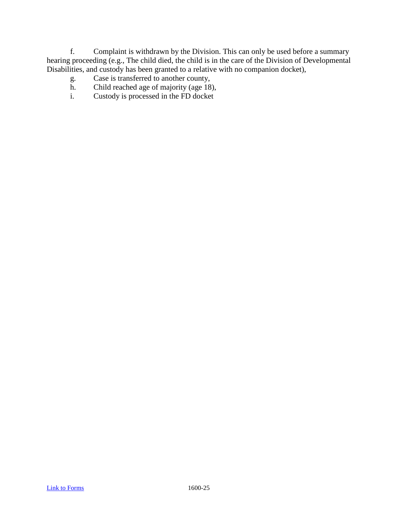f. Complaint is withdrawn by the Division. This can only be used before a summary hearing proceeding (e.g., The child died, the child is in the care of the Division of Developmental Disabilities, and custody has been granted to a relative with no companion docket),

- g. Case is transferred to another county,<br>h. Child reached age of maiority (age 18)
- Child reached age of majority (age 18),
- i. Custody is processed in the FD docket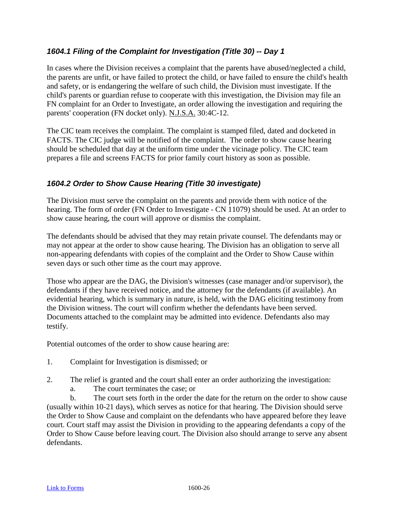## *1604.1 Filing of the Complaint for Investigation (Title 30) -- Day 1*

In cases where the Division receives a complaint that the parents have abused/neglected a child, the parents are unfit, or have failed to protect the child, or have failed to ensure the child's health and safety, or is endangering the welfare of such child, the Division must investigate. If the child's parents or guardian refuse to cooperate with this investigation, the Division may file an FN complaint for an Order to Investigate, an order allowing the investigation and requiring the parents' cooperation (FN docket only). N.J.S.A. 30:4C-12.

The CIC team receives the complaint. The complaint is stamped filed, dated and docketed in FACTS. The CIC judge will be notified of the complaint. The order to show cause hearing should be scheduled that day at the uniform time under the vicinage policy. The CIC team prepares a file and screens FACTS for prior family court history as soon as possible.

## *1604.2 Order to Show Cause Hearing (Title 30 investigate)*

The Division must serve the complaint on the parents and provide them with notice of the hearing. The form of order (FN Order to Investigate - CN 11079) should be used. At an order to show cause hearing, the court will approve or dismiss the complaint.

The defendants should be advised that they may retain private counsel. The defendants may or may not appear at the order to show cause hearing. The Division has an obligation to serve all non-appearing defendants with copies of the complaint and the Order to Show Cause within seven days or such other time as the court may approve.

Those who appear are the DAG, the Division's witnesses (case manager and/or supervisor), the defendants if they have received notice, and the attorney for the defendants (if available). An evidential hearing, which is summary in nature, is held, with the DAG eliciting testimony from the Division witness. The court will confirm whether the defendants have been served. Documents attached to the complaint may be admitted into evidence. Defendants also may testify.

Potential outcomes of the order to show cause hearing are:

- 1. Complaint for Investigation is dismissed; or
- 2. The relief is granted and the court shall enter an order authorizing the investigation:
	- a. The court terminates the case; or

b. The court sets forth in the order the date for the return on the order to show cause (usually within 10-21 days), which serves as notice for that hearing. The Division should serve the Order to Show Cause and complaint on the defendants who have appeared before they leave court. Court staff may assist the Division in providing to the appearing defendants a copy of the Order to Show Cause before leaving court. The Division also should arrange to serve any absent defendants.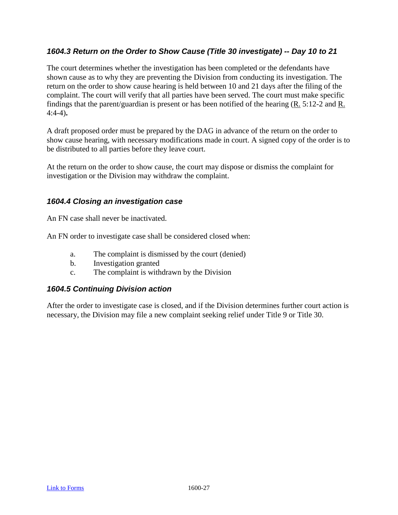## *1604.3 Return on the Order to Show Cause (Title 30 investigate) -- Day 10 to 21*

The court determines whether the investigation has been completed or the defendants have shown cause as to why they are preventing the Division from conducting its investigation. The return on the order to show cause hearing is held between 10 and 21 days after the filing of the complaint. The court will verify that all parties have been served. The court must make specific findings that the parent/guardian is present or has been notified of the hearing (R. 5:12-2 and R. 4:4-4)**.**

A draft proposed order must be prepared by the DAG in advance of the return on the order to show cause hearing, with necessary modifications made in court. A signed copy of the order is to be distributed to all parties before they leave court.

At the return on the order to show cause, the court may dispose or dismiss the complaint for investigation or the Division may withdraw the complaint.

## *1604.4 Closing an investigation case*

An FN case shall never be inactivated.

An FN order to investigate case shall be considered closed when:

- a. The complaint is dismissed by the court (denied)
- b. Investigation granted
- c. The complaint is withdrawn by the Division

#### *1604.5 Continuing Division action*

After the order to investigate case is closed, and if the Division determines further court action is necessary, the Division may file a new complaint seeking relief under Title 9 or Title 30.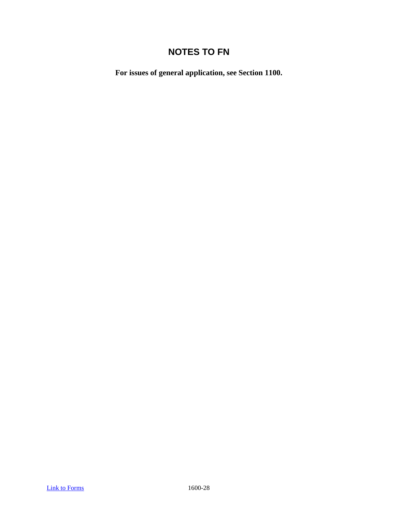# **NOTES TO FN**

**For issues of general application, see Section 1100.**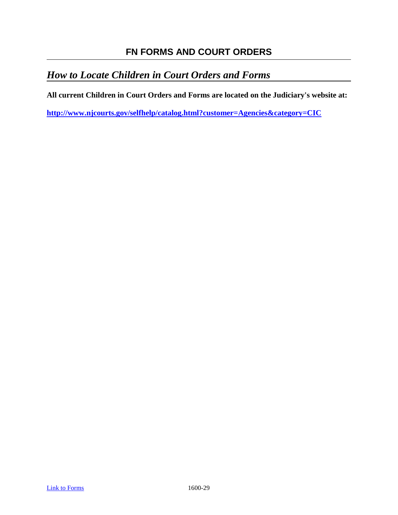# **FN FORMS AND COURT ORDERS**

# *How to Locate Children in Court Orders and Forms*

**All current Children in Court Orders and Forms are located on the Judiciary's website at:** 

**<http://www.njcourts.gov/selfhelp/catalog.html?customer=Agencies&category=CIC>**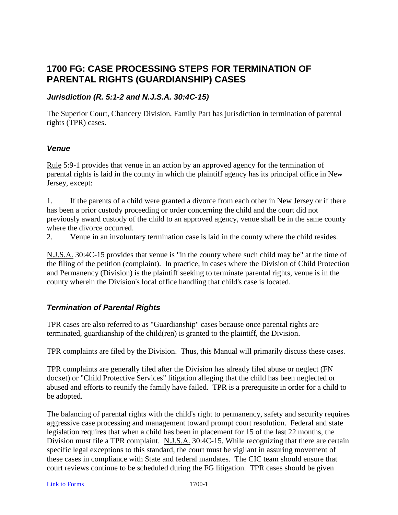## **1700 FG: CASE PROCESSING STEPS FOR TERMINATION OF PARENTAL RIGHTS (GUARDIANSHIP) CASES**

## *Jurisdiction (R. 5:1-2 and N.J.S.A. 30:4C-15)*

The Superior Court, Chancery Division, Family Part has jurisdiction in termination of parental rights (TPR) cases.

#### *Venue*

Rule 5:9-1 provides that venue in an action by an approved agency for the termination of parental rights is laid in the county in which the plaintiff agency has its principal office in New Jersey, except:

1. If the parents of a child were granted a divorce from each other in New Jersey or if there has been a prior custody proceeding or order concerning the child and the court did not previously award custody of the child to an approved agency, venue shall be in the same county where the divorce occurred.

2. Venue in an involuntary termination case is laid in the county where the child resides.

N.J.S.A. 30:4C-15 provides that venue is "in the county where such child may be" at the time of the filing of the petition (complaint). In practice, in cases where the Division of Child Protection and Permanency (Division) is the plaintiff seeking to terminate parental rights, venue is in the county wherein the Division's local office handling that child's case is located.

## *Termination of Parental Rights*

TPR cases are also referred to as "Guardianship" cases because once parental rights are terminated, guardianship of the child(ren) is granted to the plaintiff, the Division.

TPR complaints are filed by the Division. Thus, this Manual will primarily discuss these cases.

TPR complaints are generally filed after the Division has already filed abuse or neglect (FN docket) or "Child Protective Services" litigation alleging that the child has been neglected or abused and efforts to reunify the family have failed. TPR is a prerequisite in order for a child to be adopted.

The balancing of parental rights with the child's right to permanency, safety and security requires aggressive case processing and management toward prompt court resolution. Federal and state legislation requires that when a child has been in placement for 15 of the last 22 months, the Division must file a TPR complaint. N.J.S.A. 30:4C-15. While recognizing that there are certain specific legal exceptions to this standard, the court must be vigilant in assuring movement of these cases in compliance with State and federal mandates. The CIC team should ensure that court reviews continue to be scheduled during the FG litigation. TPR cases should be given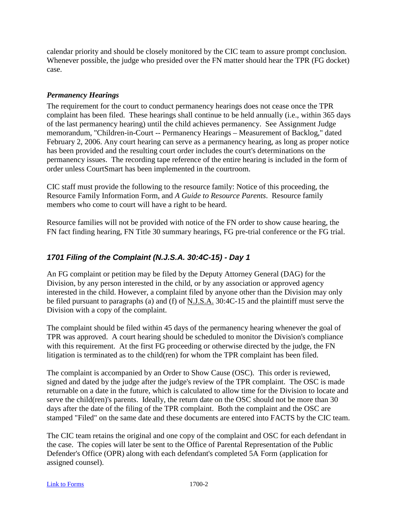calendar priority and should be closely monitored by the CIC team to assure prompt conclusion. Whenever possible, the judge who presided over the FN matter should hear the TPR (FG docket) case.

#### *Permanency Hearings*

The requirement for the court to conduct permanency hearings does not cease once the TPR complaint has been filed. These hearings shall continue to be held annually (i.e., within 365 days of the last permanency hearing) until the child achieves permanency. See Assignment Judge memorandum, "Children-in-Court -- Permanency Hearings – Measurement of Backlog," dated February 2, 2006. Any court hearing can serve as a permanency hearing, as long as proper notice has been provided and the resulting court order includes the court's determinations on the permanency issues. The recording tape reference of the entire hearing is included in the form of order unless CourtSmart has been implemented in the courtroom.

CIC staff must provide the following to the resource family: Notice of this proceeding, the Resource Family Information Form, and *A Guide to Resource Parents*. Resource family members who come to court will have a right to be heard.

Resource families will not be provided with notice of the FN order to show cause hearing, the FN fact finding hearing, FN Title 30 summary hearings, FG pre-trial conference or the FG trial.

## *1701 Filing of the Complaint (N.J.S.A. 30:4C-15) - Day 1*

An FG complaint or petition may be filed by the Deputy Attorney General (DAG) for the Division, by any person interested in the child, or by any association or approved agency interested in the child. However, a complaint filed by anyone other than the Division may only be filed pursuant to paragraphs (a) and (f) of N.J.S.A. 30:4C-15 and the plaintiff must serve the Division with a copy of the complaint.

The complaint should be filed within 45 days of the permanency hearing whenever the goal of TPR was approved. A court hearing should be scheduled to monitor the Division's compliance with this requirement. At the first FG proceeding or otherwise directed by the judge, the FN litigation is terminated as to the child(ren) for whom the TPR complaint has been filed.

The complaint is accompanied by an Order to Show Cause (OSC). This order is reviewed, signed and dated by the judge after the judge's review of the TPR complaint. The OSC is made returnable on a date in the future, which is calculated to allow time for the Division to locate and serve the child(ren)'s parents. Ideally, the return date on the OSC should not be more than 30 days after the date of the filing of the TPR complaint. Both the complaint and the OSC are stamped "Filed" on the same date and these documents are entered into FACTS by the CIC team.

The CIC team retains the original and one copy of the complaint and OSC for each defendant in the case. The copies will later be sent to the Office of Parental Representation of the Public Defender's Office (OPR) along with each defendant's completed 5A Form (application for assigned counsel).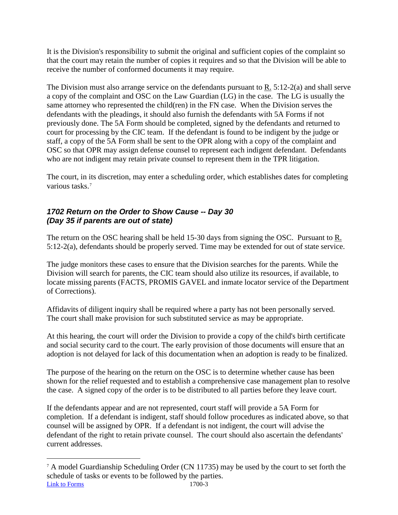It is the Division's responsibility to submit the original and sufficient copies of the complaint so that the court may retain the number of copies it requires and so that the Division will be able to receive the number of conformed documents it may require.

The Division must also arrange service on the defendants pursuant to R. 5:12-2(a) and shall serve a copy of the complaint and OSC on the Law Guardian (LG) in the case. The LG is usually the same attorney who represented the child(ren) in the FN case. When the Division serves the defendants with the pleadings, it should also furnish the defendants with 5A Forms if not previously done. The 5A Form should be completed, signed by the defendants and returned to court for processing by the CIC team. If the defendant is found to be indigent by the judge or staff, a copy of the 5A Form shall be sent to the OPR along with a copy of the complaint and OSC so that OPR may assign defense counsel to represent each indigent defendant. Defendants who are not indigent may retain private counsel to represent them in the TPR litigation.

The court, in its discretion, may enter a scheduling order, which establishes dates for completing various tasks.[7](#page-91-0)

## *1702 Return on the Order to Show Cause -- Day 30 (Day 35 if parents are out of state)*

The return on the OSC hearing shall be held 15-30 days from signing the OSC. Pursuant to R. 5:12-2(a), defendants should be properly served. Time may be extended for out of state service.

The judge monitors these cases to ensure that the Division searches for the parents. While the Division will search for parents, the CIC team should also utilize its resources, if available, to locate missing parents (FACTS, PROMIS GAVEL and inmate locator service of the Department of Corrections).

Affidavits of diligent inquiry shall be required where a party has not been personally served. The court shall make provision for such substituted service as may be appropriate.

At this hearing, the court will order the Division to provide a copy of the child's birth certificate and social security card to the court. The early provision of those documents will ensure that an adoption is not delayed for lack of this documentation when an adoption is ready to be finalized.

The purpose of the hearing on the return on the OSC is to determine whether cause has been shown for the relief requested and to establish a comprehensive case management plan to resolve the case. A signed copy of the order is to be distributed to all parties before they leave court.

If the defendants appear and are not represented, court staff will provide a 5A Form for completion. If a defendant is indigent, staff should follow procedures as indicated above, so that counsel will be assigned by OPR. If a defendant is not indigent, the court will advise the defendant of the right to retain private counsel. The court should also ascertain the defendants' current addresses.

<span id="page-91-0"></span>[Link to Forms](http://www.njcourts.gov/selfhelp/catalog.html?customer=Agencies&category=CIC) 1700-3 7 <sup>A</sup> model Guardianship Scheduling Order (CN 11735) may be used by the court to set forth the schedule of tasks or events to be followed by the parties.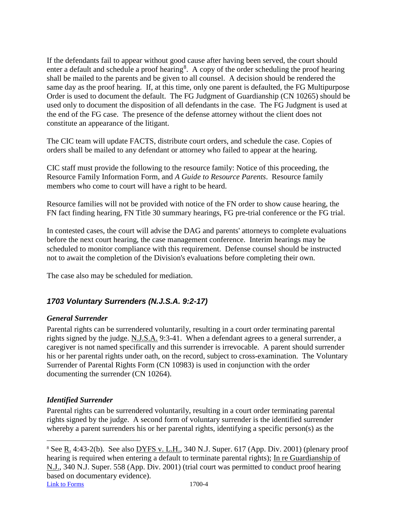If the defendants fail to appear without good cause after having been served, the court should enter a default and schedule a proof hearing<sup>[8](#page-92-0)</sup>. A copy of the order scheduling the proof hearing shall be mailed to the parents and be given to all counsel. A decision should be rendered the same day as the proof hearing. If, at this time, only one parent is defaulted, the FG Multipurpose Order is used to document the default. The FG Judgment of Guardianship (CN 10265) should be used only to document the disposition of all defendants in the case. The FG Judgment is used at the end of the FG case. The presence of the defense attorney without the client does not constitute an appearance of the litigant.

The CIC team will update FACTS, distribute court orders, and schedule the case. Copies of orders shall be mailed to any defendant or attorney who failed to appear at the hearing.

CIC staff must provide the following to the resource family: Notice of this proceeding, the Resource Family Information Form, and *A Guide to Resource Parents*. Resource family members who come to court will have a right to be heard.

Resource families will not be provided with notice of the FN order to show cause hearing, the FN fact finding hearing, FN Title 30 summary hearings, FG pre-trial conference or the FG trial.

In contested cases, the court will advise the DAG and parents' attorneys to complete evaluations before the next court hearing, the case management conference. Interim hearings may be scheduled to monitor compliance with this requirement. Defense counsel should be instructed not to await the completion of the Division's evaluations before completing their own.

The case also may be scheduled for mediation.

## *1703 Voluntary Surrenders (N.J.S.A. 9:2-17)*

## *General Surrender*

Parental rights can be surrendered voluntarily, resulting in a court order terminating parental rights signed by the judge. N.J.S.A. 9:3-41. When a defendant agrees to a general surrender, a caregiver is not named specifically and this surrender is irrevocable. A parent should surrender his or her parental rights under oath, on the record, subject to cross-examination. The Voluntary Surrender of Parental Rights Form (CN 10983) is used in conjunction with the order documenting the surrender (CN 10264).

## *Identified Surrender*

Parental rights can be surrendered voluntarily, resulting in a court order terminating parental rights signed by the judge. A second form of voluntary surrender is the identified surrender whereby a parent surrenders his or her parental rights, identifying a specific person(s) as the

<span id="page-92-0"></span>[Link to Forms](http://www.njcourts.gov/selfhelp/catalog.html?customer=Agencies&category=CIC) 1700-4 8 See R. 4:43-2(b). See also DYFS v. L.H., 340 N.J. Super. 617 (App. Div. 2001) (plenary proof hearing is required when entering a default to terminate parental rights); In re Guardianship of N.J., 340 N.J. Super. 558 (App. Div. 2001) (trial court was permitted to conduct proof hearing based on documentary evidence).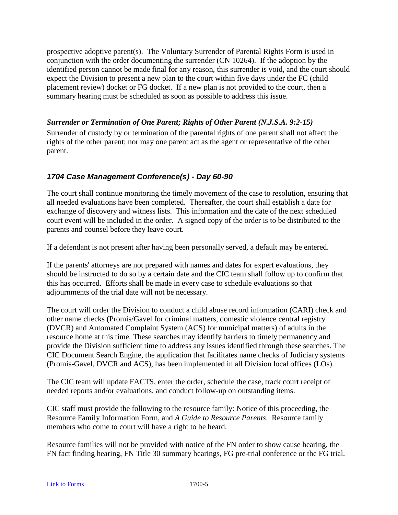prospective adoptive parent(s). The Voluntary Surrender of Parental Rights Form is used in conjunction with the order documenting the surrender (CN 10264). If the adoption by the identified person cannot be made final for any reason, this surrender is void, and the court should expect the Division to present a new plan to the court within five days under the FC (child placement review) docket or FG docket. If a new plan is not provided to the court, then a summary hearing must be scheduled as soon as possible to address this issue.

## *Surrender or Termination of One Parent; Rights of Other Parent (N.J.S.A. 9:2-15)*

Surrender of custody by or termination of the parental rights of one parent shall not affect the rights of the other parent; nor may one parent act as the agent or representative of the other parent.

## *1704 Case Management Conference(s) - Day 60-90*

The court shall continue monitoring the timely movement of the case to resolution, ensuring that all needed evaluations have been completed. Thereafter, the court shall establish a date for exchange of discovery and witness lists. This information and the date of the next scheduled court event will be included in the order. A signed copy of the order is to be distributed to the parents and counsel before they leave court.

If a defendant is not present after having been personally served, a default may be entered.

If the parents' attorneys are not prepared with names and dates for expert evaluations, they should be instructed to do so by a certain date and the CIC team shall follow up to confirm that this has occurred. Efforts shall be made in every case to schedule evaluations so that adjournments of the trial date will not be necessary.

The court will order the Division to conduct a child abuse record information (CARI) check and other name checks (Promis/Gavel for criminal matters, domestic violence central registry (DVCR) and Automated Complaint System (ACS) for municipal matters) of adults in the resource home at this time. These searches may identify barriers to timely permanency and provide the Division sufficient time to address any issues identified through these searches. The CIC Document Search Engine, the application that facilitates name checks of Judiciary systems (Promis-Gavel, DVCR and ACS), has been implemented in all Division local offices (LOs).

The CIC team will update FACTS, enter the order, schedule the case, track court receipt of needed reports and/or evaluations, and conduct follow-up on outstanding items.

CIC staff must provide the following to the resource family: Notice of this proceeding, the Resource Family Information Form, and *A Guide to Resource Parents*. Resource family members who come to court will have a right to be heard.

Resource families will not be provided with notice of the FN order to show cause hearing, the FN fact finding hearing, FN Title 30 summary hearings, FG pre-trial conference or the FG trial.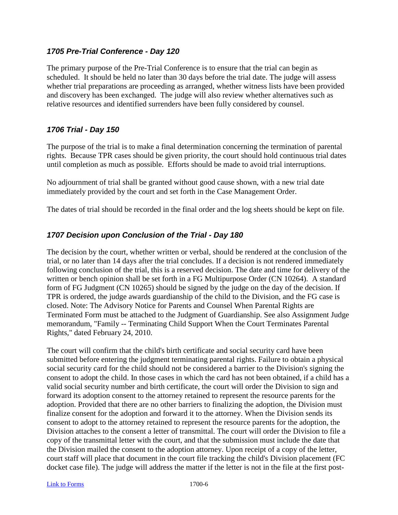#### *1705 Pre-Trial Conference - Day 120*

The primary purpose of the Pre-Trial Conference is to ensure that the trial can begin as scheduled. It should be held no later than 30 days before the trial date. The judge will assess whether trial preparations are proceeding as arranged, whether witness lists have been provided and discovery has been exchanged. The judge will also review whether alternatives such as relative resources and identified surrenders have been fully considered by counsel.

## *1706 Trial - Day 150*

The purpose of the trial is to make a final determination concerning the termination of parental rights. Because TPR cases should be given priority, the court should hold continuous trial dates until completion as much as possible. Efforts should be made to avoid trial interruptions.

No adjournment of trial shall be granted without good cause shown, with a new trial date immediately provided by the court and set forth in the Case Management Order.

The dates of trial should be recorded in the final order and the log sheets should be kept on file.

## *1707 Decision upon Conclusion of the Trial - Day 180*

The decision by the court, whether written or verbal, should be rendered at the conclusion of the trial, or no later than 14 days after the trial concludes. If a decision is not rendered immediately following conclusion of the trial, this is a reserved decision. The date and time for delivery of the written or bench opinion shall be set forth in a FG Multipurpose Order (CN 10264). A standard form of FG Judgment (CN 10265) should be signed by the judge on the day of the decision. If TPR is ordered, the judge awards guardianship of the child to the Division, and the FG case is closed. Note: The Advisory Notice for Parents and Counsel When Parental Rights are Terminated Form must be attached to the Judgment of Guardianship. See also Assignment Judge memorandum, "Family -- Terminating Child Support When the Court Terminates Parental Rights," dated February 24, 2010.

The court will confirm that the child's birth certificate and social security card have been submitted before entering the judgment terminating parental rights. Failure to obtain a physical social security card for the child should not be considered a barrier to the Division's signing the consent to adopt the child. In those cases in which the card has not been obtained, if a child has a valid social security number and birth certificate, the court will order the Division to sign and forward its adoption consent to the attorney retained to represent the resource parents for the adoption. Provided that there are no other barriers to finalizing the adoption, the Division must finalize consent for the adoption and forward it to the attorney. When the Division sends its consent to adopt to the attorney retained to represent the resource parents for the adoption, the Division attaches to the consent a letter of transmittal. The court will order the Division to file a copy of the transmittal letter with the court, and that the submission must include the date that the Division mailed the consent to the adoption attorney. Upon receipt of a copy of the letter, court staff will place that document in the court file tracking the child's Division placement (FC docket case file). The judge will address the matter if the letter is not in the file at the first post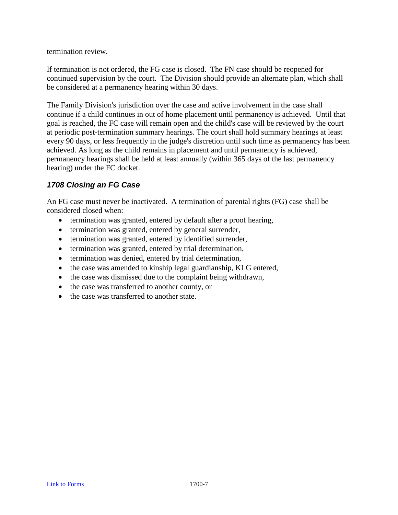termination review.

If termination is not ordered, the FG case is closed. The FN case should be reopened for continued supervision by the court. The Division should provide an alternate plan, which shall be considered at a permanency hearing within 30 days.

The Family Division's jurisdiction over the case and active involvement in the case shall continue if a child continues in out of home placement until permanency is achieved. Until that goal is reached, the FC case will remain open and the child's case will be reviewed by the court at periodic post-termination summary hearings. The court shall hold summary hearings at least every 90 days, or less frequently in the judge's discretion until such time as permanency has been achieved. As long as the child remains in placement and until permanency is achieved, permanency hearings shall be held at least annually (within 365 days of the last permanency hearing) under the FC docket.

## *1708 Closing an FG Case*

An FG case must never be inactivated. A termination of parental rights (FG) case shall be considered closed when:

- termination was granted, entered by default after a proof hearing,
- termination was granted, entered by general surrender,
- termination was granted, entered by identified surrender,
- termination was granted, entered by trial determination,
- termination was denied, entered by trial determination,
- the case was amended to kinship legal guardianship, KLG entered,
- the case was dismissed due to the complaint being withdrawn,
- the case was transferred to another county, or
- the case was transferred to another state.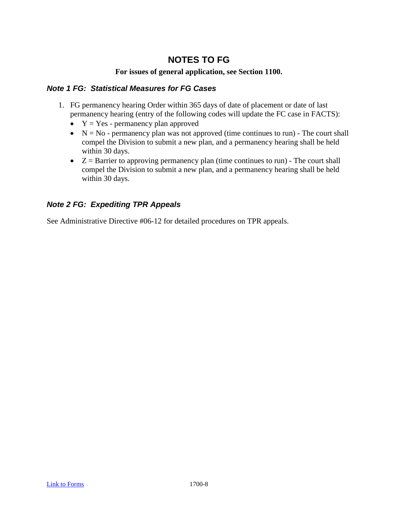# **NOTES TO FG**

#### **For issues of general application, see Section 1100.**

#### *Note 1 FG: Statistical Measures for FG Cases*

- 1. FG permanency hearing Order within 365 days of date of placement or date of last permanency hearing (entry of the following codes will update the FC case in FACTS):
	- $Y = Yes$  permanency plan approved
	- $N = No$  permanency plan was not approved (time continues to run) The court shall compel the Division to submit a new plan, and a permanency hearing shall be held within 30 days.
	- $\bullet$   $Z =$  Barrier to approving permanency plan (time continues to run) The court shall compel the Division to submit a new plan, and a permanency hearing shall be held within 30 days.

## *Note 2 FG: Expediting TPR Appeals*

See Administrative Directive #06-12 for detailed procedures on TPR appeals.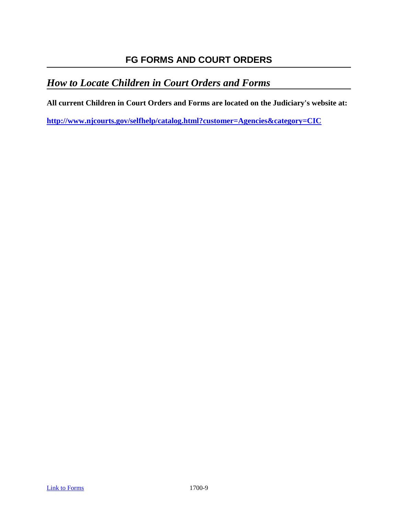# **FG FORMS AND COURT ORDERS**

# *How to Locate Children in Court Orders and Forms*

**All current Children in Court Orders and Forms are located on the Judiciary's website at:** 

**<http://www.njcourts.gov/selfhelp/catalog.html?customer=Agencies&category=CIC>**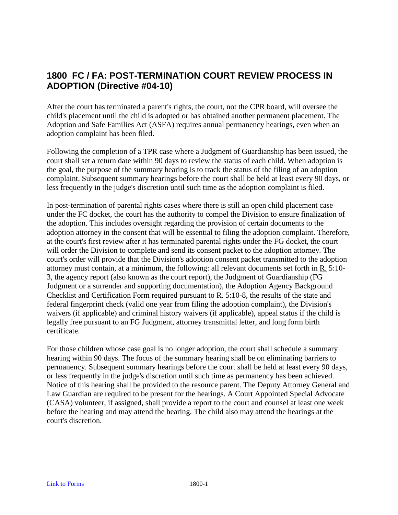# **1800 FC / FA: POST-TERMINATION COURT REVIEW PROCESS IN ADOPTION (Directive #04-10)**

After the court has terminated a parent's rights, the court, not the CPR board, will oversee the child's placement until the child is adopted or has obtained another permanent placement. The Adoption and Safe Families Act (ASFA) requires annual permanency hearings, even when an adoption complaint has been filed.

Following the completion of a TPR case where a Judgment of Guardianship has been issued, the court shall set a return date within 90 days to review the status of each child. When adoption is the goal, the purpose of the summary hearing is to track the status of the filing of an adoption complaint. Subsequent summary hearings before the court shall be held at least every 90 days, or less frequently in the judge's discretion until such time as the adoption complaint is filed.

In post-termination of parental rights cases where there is still an open child placement case under the FC docket, the court has the authority to compel the Division to ensure finalization of the adoption. This includes oversight regarding the provision of certain documents to the adoption attorney in the consent that will be essential to filing the adoption complaint. Therefore, at the court's first review after it has terminated parental rights under the FG docket, the court will order the Division to complete and send its consent packet to the adoption attorney. The court's order will provide that the Division's adoption consent packet transmitted to the adoption attorney must contain, at a minimum, the following: all relevant documents set forth in R. 5:10- 3, the agency report (also known as the court report), the Judgment of Guardianship (FG Judgment or a surrender and supporting documentation), the Adoption Agency Background Checklist and Certification Form required pursuant to R. 5:10-8, the results of the state and federal fingerprint check (valid one year from filing the adoption complaint), the Division's waivers (if applicable) and criminal history waivers (if applicable), appeal status if the child is legally free pursuant to an FG Judgment, attorney transmittal letter, and long form birth certificate.

For those children whose case goal is no longer adoption, the court shall schedule a summary hearing within 90 days. The focus of the summary hearing shall be on eliminating barriers to permanency. Subsequent summary hearings before the court shall be held at least every 90 days, or less frequently in the judge's discretion until such time as permanency has been achieved. Notice of this hearing shall be provided to the resource parent. The Deputy Attorney General and Law Guardian are required to be present for the hearings. A Court Appointed Special Advocate (CASA) volunteer, if assigned, shall provide a report to the court and counsel at least one week before the hearing and may attend the hearing. The child also may attend the hearings at the court's discretion.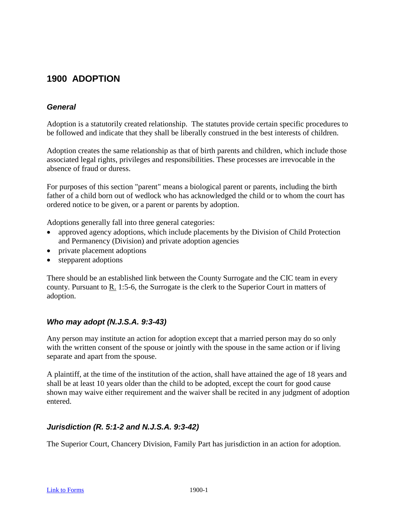# **1900 ADOPTION**

## *General*

Adoption is a statutorily created relationship. The statutes provide certain specific procedures to be followed and indicate that they shall be liberally construed in the best interests of children.

Adoption creates the same relationship as that of birth parents and children, which include those associated legal rights, privileges and responsibilities. These processes are irrevocable in the absence of fraud or duress.

For purposes of this section "parent" means a biological parent or parents, including the birth father of a child born out of wedlock who has acknowledged the child or to whom the court has ordered notice to be given, or a parent or parents by adoption.

Adoptions generally fall into three general categories:

- approved agency adoptions, which include placements by the Division of Child Protection and Permanency (Division) and private adoption agencies
- private placement adoptions
- stepparent adoptions

There should be an established link between the County Surrogate and the CIC team in every county. Pursuant to R. 1:5-6, the Surrogate is the clerk to the Superior Court in matters of adoption.

#### *Who may adopt (N.J.S.A. 9:3-43)*

Any person may institute an action for adoption except that a married person may do so only with the written consent of the spouse or jointly with the spouse in the same action or if living separate and apart from the spouse.

A plaintiff, at the time of the institution of the action, shall have attained the age of 18 years and shall be at least 10 years older than the child to be adopted, except the court for good cause shown may waive either requirement and the waiver shall be recited in any judgment of adoption entered.

#### *Jurisdiction (R. 5:1-2 and N.J.S.A. 9:3-42)*

The Superior Court, Chancery Division, Family Part has jurisdiction in an action for adoption.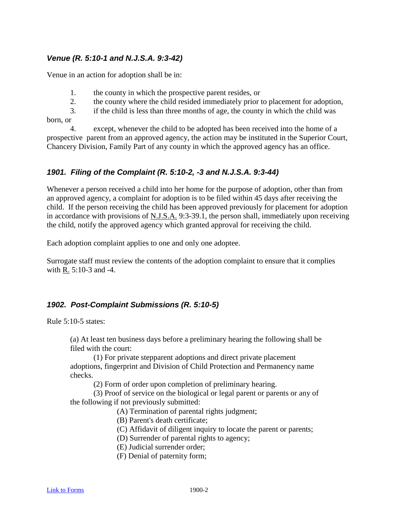#### *Venue (R. 5:10-1 and N.J.S.A. 9:3-42)*

Venue in an action for adoption shall be in:

- 1. the county in which the prospective parent resides, or
- 2. the county where the child resided immediately prior to placement for adoption,

3. if the child is less than three months of age, the county in which the child was born, or

4. except, whenever the child to be adopted has been received into the home of a prospective parent from an approved agency, the action may be instituted in the Superior Court, Chancery Division, Family Part of any county in which the approved agency has an office.

#### *1901. Filing of the Complaint (R. 5:10-2, -3 and N.J.S.A. 9:3-44)*

Whenever a person received a child into her home for the purpose of adoption, other than from an approved agency, a complaint for adoption is to be filed within 45 days after receiving the child. If the person receiving the child has been approved previously for placement for adoption in accordance with provisions of N.J.S.A. 9:3-39.1, the person shall, immediately upon receiving the child, notify the approved agency which granted approval for receiving the child.

Each adoption complaint applies to one and only one adoptee.

Surrogate staff must review the contents of the adoption complaint to ensure that it complies with R. 5:10-3 and -4.

## *1902. Post-Complaint Submissions (R. 5:10-5)*

Rule 5:10-5 states:

(a) At least ten business days before a preliminary hearing the following shall be filed with the court:

(1) For private stepparent adoptions and direct private placement adoptions, fingerprint and Division of Child Protection and Permanency name checks.

(2) Form of order upon completion of preliminary hearing.

(3) Proof of service on the biological or legal parent or parents or any of the following if not previously submitted:

(A) Termination of parental rights judgment;

(B) Parent's death certificate;

(C) Affidavit of diligent inquiry to locate the parent or parents;

(D) Surrender of parental rights to agency;

(E) Judicial surrender order;

(F) Denial of paternity form;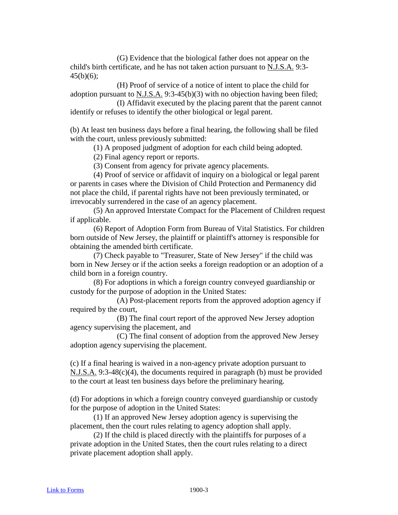(G) Evidence that the biological father does not appear on the child's birth certificate, and he has not taken action pursuant to N.J.S.A. 9:3-  $45(b)(6)$ ;

(H) Proof of service of a notice of intent to place the child for adoption pursuant to N.J.S.A. 9:3-45(b)(3) with no objection having been filed; (I) Affidavit executed by the placing parent that the parent cannot

identify or refuses to identify the other biological or legal parent.

(b) At least ten business days before a final hearing, the following shall be filed with the court, unless previously submitted:

(1) A proposed judgment of adoption for each child being adopted.

(2) Final agency report or reports.

(3) Consent from agency for private agency placements.

(4) Proof of service or affidavit of inquiry on a biological or legal parent or parents in cases where the Division of Child Protection and Permanency did not place the child, if parental rights have not been previously terminated, or irrevocably surrendered in the case of an agency placement.

(5) An approved Interstate Compact for the Placement of Children request if applicable.

(6) Report of Adoption Form from Bureau of Vital Statistics. For children born outside of New Jersey, the plaintiff or plaintiff's attorney is responsible for obtaining the amended birth certificate.

(7) Check payable to "Treasurer, State of New Jersey" if the child was born in New Jersey or if the action seeks a foreign readoption or an adoption of a child born in a foreign country.

(8) For adoptions in which a foreign country conveyed guardianship or custody for the purpose of adoption in the United States:

(A) Post-placement reports from the approved adoption agency if required by the court,

(B) The final court report of the approved New Jersey adoption agency supervising the placement, and

(C) The final consent of adoption from the approved New Jersey adoption agency supervising the placement.

(c) If a final hearing is waived in a non-agency private adoption pursuant to N.J.S.A. 9:3-48(c)(4), the documents required in paragraph (b) must be provided to the court at least ten business days before the preliminary hearing.

(d) For adoptions in which a foreign country conveyed guardianship or custody for the purpose of adoption in the United States:

(1) If an approved New Jersey adoption agency is supervising the placement, then the court rules relating to agency adoption shall apply.

(2) If the child is placed directly with the plaintiffs for purposes of a private adoption in the United States, then the court rules relating to a direct private placement adoption shall apply.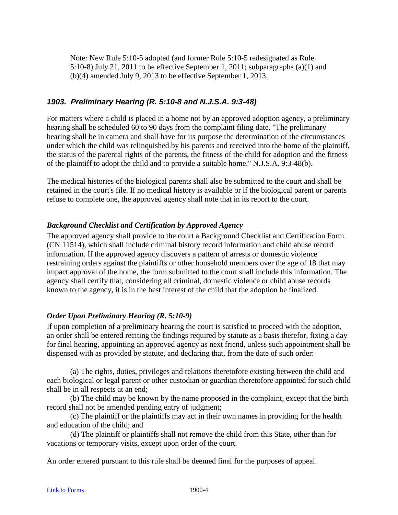Note: New Rule 5:10-5 adopted (and former Rule 5:10-5 redesignated as Rule 5:10-8) July 21, 2011 to be effective September 1, 2011; subparagraphs (a)(1) and (b)(4) amended July 9, 2013 to be effective September 1, 2013.

## *1903. Preliminary Hearing (R. 5:10-8 and N.J.S.A. 9:3-48)*

For matters where a child is placed in a home not by an approved adoption agency, a preliminary hearing shall be scheduled 60 to 90 days from the complaint filing date. "The preliminary hearing shall be in camera and shall have for its purpose the determination of the circumstances under which the child was relinquished by his parents and received into the home of the plaintiff, the status of the parental rights of the parents, the fitness of the child for adoption and the fitness of the plaintiff to adopt the child and to provide a suitable home." N.J.S.A. 9:3-48(b).

The medical histories of the biological parents shall also be submitted to the court and shall be retained in the court's file. If no medical history is available or if the biological parent or parents refuse to complete one, the approved agency shall note that in its report to the court.

#### *Background Checklist and Certification by Approved Agency*

The approved agency shall provide to the court a Background Checklist and Certification Form (CN 11514), which shall include criminal history record information and child abuse record information. If the approved agency discovers a pattern of arrests or domestic violence restraining orders against the plaintiffs or other household members over the age of 18 that may impact approval of the home, the form submitted to the court shall include this information. The agency shall certify that, considering all criminal, domestic violence or child abuse records known to the agency, it is in the best interest of the child that the adoption be finalized.

#### *Order Upon Preliminary Hearing (R. 5:10-9)*

If upon completion of a preliminary hearing the court is satisfied to proceed with the adoption, an order shall be entered reciting the findings required by statute as a basis therefor, fixing a day for final hearing, appointing an approved agency as next friend, unless such appointment shall be dispensed with as provided by statute, and declaring that, from the date of such order:

(a) The rights, duties, privileges and relations theretofore existing between the child and each biological or legal parent or other custodian or guardian theretofore appointed for such child shall be in all respects at an end;

(b) The child may be known by the name proposed in the complaint, except that the birth record shall not be amended pending entry of judgment;

(c) The plaintiff or the plaintiffs may act in their own names in providing for the health and education of the child; and

(d) The plaintiff or plaintiffs shall not remove the child from this State, other than for vacations or temporary visits, except upon order of the court.

An order entered pursuant to this rule shall be deemed final for the purposes of appeal.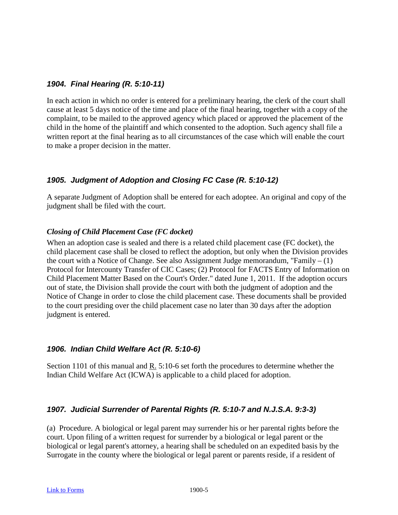#### *1904. Final Hearing (R. 5:10-11)*

In each action in which no order is entered for a preliminary hearing, the clerk of the court shall cause at least 5 days notice of the time and place of the final hearing, together with a copy of the complaint, to be mailed to the approved agency which placed or approved the placement of the child in the home of the plaintiff and which consented to the adoption. Such agency shall file a written report at the final hearing as to all circumstances of the case which will enable the court to make a proper decision in the matter.

#### *1905. Judgment of Adoption and Closing FC Case (R. 5:10-12)*

A separate Judgment of Adoption shall be entered for each adoptee. An original and copy of the judgment shall be filed with the court.

#### *Closing of Child Placement Case (FC docket)*

When an adoption case is sealed and there is a related child placement case (FC docket), the child placement case shall be closed to reflect the adoption, but only when the Division provides the court with a Notice of Change. See also Assignment Judge memorandum, "Family  $- (1)$ Protocol for Intercounty Transfer of CIC Cases; (2) Protocol for FACTS Entry of Information on Child Placement Matter Based on the Court's Order." dated June 1, 2011. If the adoption occurs out of state, the Division shall provide the court with both the judgment of adoption and the Notice of Change in order to close the child placement case. These documents shall be provided to the court presiding over the child placement case no later than 30 days after the adoption judgment is entered.

#### *1906. Indian Child Welfare Act (R. 5:10-6)*

Section 1101 of this manual and R. 5:10-6 set forth the procedures to determine whether the Indian Child Welfare Act (ICWA) is applicable to a child placed for adoption.

#### *1907. Judicial Surrender of Parental Rights (R. 5:10-7 and N.J.S.A. 9:3-3)*

(a) Procedure. A biological or legal parent may surrender his or her parental rights before the court. Upon filing of a written request for surrender by a biological or legal parent or the biological or legal parent's attorney, a hearing shall be scheduled on an expedited basis by the Surrogate in the county where the biological or legal parent or parents reside, if a resident of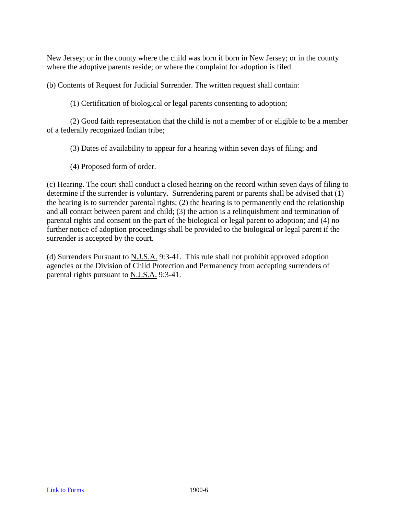New Jersey; or in the county where the child was born if born in New Jersey; or in the county where the adoptive parents reside; or where the complaint for adoption is filed.

(b) Contents of Request for Judicial Surrender. The written request shall contain:

(1) Certification of biological or legal parents consenting to adoption;

(2) Good faith representation that the child is not a member of or eligible to be a member of a federally recognized Indian tribe;

(3) Dates of availability to appear for a hearing within seven days of filing; and

(4) Proposed form of order.

(c) Hearing. The court shall conduct a closed hearing on the record within seven days of filing to determine if the surrender is voluntary. Surrendering parent or parents shall be advised that (1) the hearing is to surrender parental rights; (2) the hearing is to permanently end the relationship and all contact between parent and child; (3) the action is a relinquishment and termination of parental rights and consent on the part of the biological or legal parent to adoption; and (4) no further notice of adoption proceedings shall be provided to the biological or legal parent if the surrender is accepted by the court.

(d) Surrenders Pursuant to N.J.S.A. 9:3-41. This rule shall not prohibit approved adoption agencies or the Division of Child Protection and Permanency from accepting surrenders of parental rights pursuant to N.J.S.A. 9:3-41.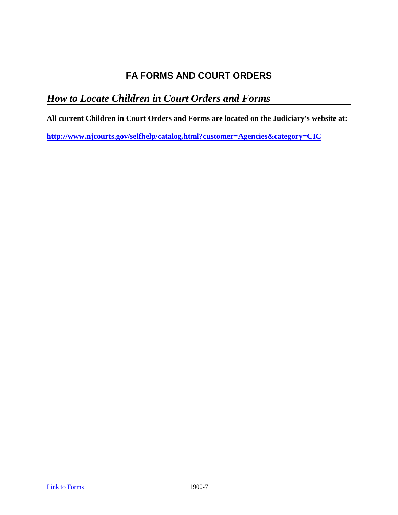# *How to Locate Children in Court Orders and Forms*

**All current Children in Court Orders and Forms are located on the Judiciary's website at:** 

**<http://www.njcourts.gov/selfhelp/catalog.html?customer=Agencies&category=CIC>**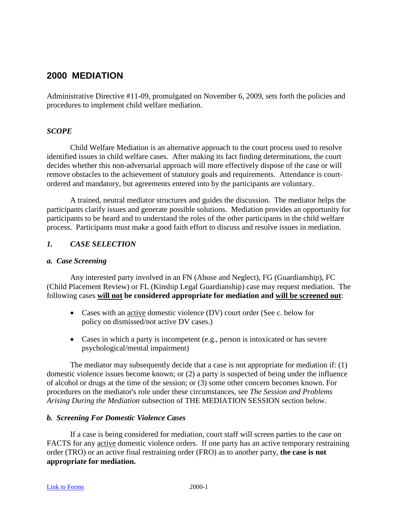## **2000 MEDIATION**

Administrative Directive #11-09, promulgated on November 6, 2009, sets forth the policies and procedures to implement child welfare mediation.

#### *SCOPE*

Child Welfare Mediation is an alternative approach to the court process used to resolve identified issues in child welfare cases. After making its fact finding determinations, the court decides whether this non-adversarial approach will more effectively dispose of the case or will remove obstacles to the achievement of statutory goals and requirements. Attendance is courtordered and mandatory, but agreements entered into by the participants are voluntary.

A trained, neutral mediator structures and guides the discussion. The mediator helps the participants clarify issues and generate possible solutions. Mediation provides an opportunity for participants to be heard and to understand the roles of the other participants in the child welfare process. Participants must make a good faith effort to discuss and resolve issues in mediation.

#### *1. CASE SELECTION*

#### *a. Case Screening*

Any interested party involved in an FN (Abuse and Neglect), FG (Guardianship), FC (Child Placement Review) or FL (Kinship Legal Guardianship) case may request mediation. The following cases **will not be considered appropriate for mediation and will be screened out**:

- Cases with an <u>active</u> domestic violence (DV) court order (See c. below for policy on dismissed/not active DV cases.)
- Cases in which a party is incompetent (e.g., person is intoxicated or has severe psychological/mental impairment)

The mediator may subsequently decide that a case is not appropriate for mediation if: (1) domestic violence issues become known; or (2) a party is suspected of being under the influence of alcohol or drugs at the time of the session; or (3) some other concern becomes known. For procedures on the mediator's role under these circumstances, see *The Session and Problems Arising During the Mediation* subsection of THE MEDIATION SESSION section below.

#### *b. Screening For Domestic Violence Cases*

If a case is being considered for mediation, court staff will screen parties to the case on FACTS for any active domestic violence orders. If one party has an active temporary restraining order (TRO) or an active final restraining order (FRO) as to another party, **the case is not appropriate for mediation.**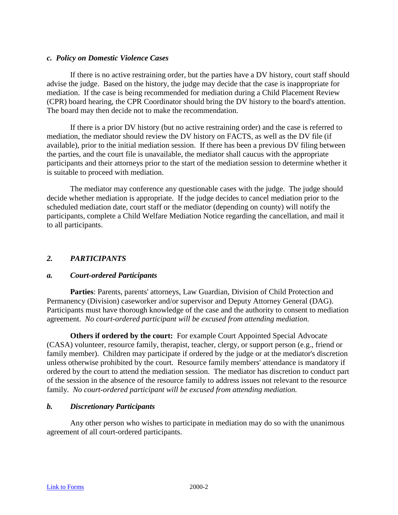#### *c. Policy on Domestic Violence Cases*

If there is no active restraining order, but the parties have a DV history, court staff should advise the judge. Based on the history, the judge may decide that the case is inappropriate for mediation. If the case is being recommended for mediation during a Child Placement Review (CPR) board hearing, the CPR Coordinator should bring the DV history to the board's attention. The board may then decide not to make the recommendation.

If there is a prior DV history (but no active restraining order) and the case is referred to mediation, the mediator should review the DV history on FACTS, as well as the DV file (if available), prior to the initial mediation session. If there has been a previous DV filing between the parties, and the court file is unavailable, the mediator shall caucus with the appropriate participants and their attorneys prior to the start of the mediation session to determine whether it is suitable to proceed with mediation.

The mediator may conference any questionable cases with the judge. The judge should decide whether mediation is appropriate. If the judge decides to cancel mediation prior to the scheduled mediation date, court staff or the mediator (depending on county) will notify the participants, complete a Child Welfare Mediation Notice regarding the cancellation, and mail it to all participants.

#### *2. PARTICIPANTS*

#### *a. Court-ordered Participants*

**Parties**: Parents, parents' attorneys, Law Guardian, Division of Child Protection and Permanency (Division) caseworker and/or supervisor and Deputy Attorney General (DAG). Participants must have thorough knowledge of the case and the authority to consent to mediation agreement. *No court-ordered participant will be excused from attending mediation.*

**Others if ordered by the court:** For example Court Appointed Special Advocate (CASA) volunteer, resource family, therapist, teacher, clergy, or support person (e.g., friend or family member). Children may participate if ordered by the judge or at the mediator's discretion unless otherwise prohibited by the court. Resource family members' attendance is mandatory if ordered by the court to attend the mediation session. The mediator has discretion to conduct part of the session in the absence of the resource family to address issues not relevant to the resource family. *No court-ordered participant will be excused from attending mediation.*

#### *b. Discretionary Participants*

Any other person who wishes to participate in mediation may do so with the unanimous agreement of all court-ordered participants.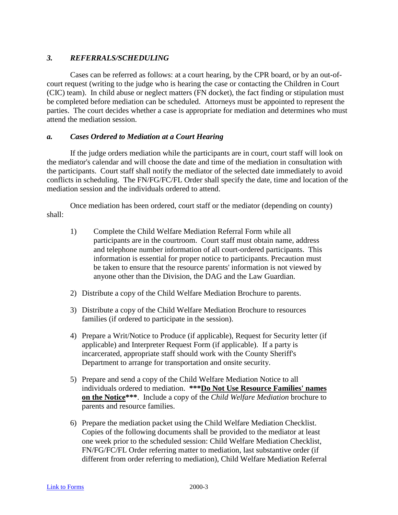# *3. REFERRALS/SCHEDULING*

Cases can be referred as follows: at a court hearing, by the CPR board, or by an out-ofcourt request (writing to the judge who is hearing the case or contacting the Children in Court (CIC) team). In child abuse or neglect matters (FN docket), the fact finding or stipulation must be completed before mediation can be scheduled. Attorneys must be appointed to represent the parties. The court decides whether a case is appropriate for mediation and determines who must attend the mediation session.

#### *a. Cases Ordered to Mediation at a Court Hearing*

If the judge orders mediation while the participants are in court, court staff will look on the mediator's calendar and will choose the date and time of the mediation in consultation with the participants. Court staff shall notify the mediator of the selected date immediately to avoid conflicts in scheduling. The FN/FG/FC/FL Order shall specify the date, time and location of the mediation session and the individuals ordered to attend.

Once mediation has been ordered, court staff or the mediator (depending on county) shall:

- 1) Complete the Child Welfare Mediation Referral Form while all participants are in the courtroom. Court staff must obtain name, address and telephone number information of all court-ordered participants. This information is essential for proper notice to participants. Precaution must be taken to ensure that the resource parents' information is not viewed by anyone other than the Division, the DAG and the Law Guardian.
- 2) Distribute a copy of the Child Welfare Mediation Brochure to parents.
- 3) Distribute a copy of the Child Welfare Mediation Brochure to resources families (if ordered to participate in the session).
- 4) Prepare a Writ/Notice to Produce (if applicable), Request for Security letter (if applicable) and Interpreter Request Form (if applicable). If a party is incarcerated, appropriate staff should work with the County Sheriff's Department to arrange for transportation and onsite security.
- 5) Prepare and send a copy of the Child Welfare Mediation Notice to all individuals ordered to mediation. **\*\*\*Do Not Use Resource Families' names on the Notice\*\*\***. Include a copy of the *Child Welfare Mediation* brochure to parents and resource families.
- 6) Prepare the mediation packet using the Child Welfare Mediation Checklist. Copies of the following documents shall be provided to the mediator at least one week prior to the scheduled session: Child Welfare Mediation Checklist, FN/FG/FC/FL Order referring matter to mediation, last substantive order (if different from order referring to mediation), Child Welfare Mediation Referral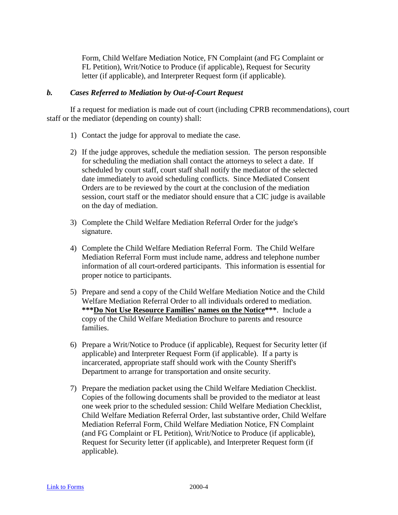Form, Child Welfare Mediation Notice, FN Complaint (and FG Complaint or FL Petition), Writ/Notice to Produce (if applicable), Request for Security letter (if applicable), and Interpreter Request form (if applicable).

#### *b. Cases Referred to Mediation by Out-of-Court Request*

If a request for mediation is made out of court (including CPRB recommendations), court staff or the mediator (depending on county) shall:

- 1) Contact the judge for approval to mediate the case.
- 2) If the judge approves, schedule the mediation session. The person responsible for scheduling the mediation shall contact the attorneys to select a date. If scheduled by court staff, court staff shall notify the mediator of the selected date immediately to avoid scheduling conflicts. Since Mediated Consent Orders are to be reviewed by the court at the conclusion of the mediation session, court staff or the mediator should ensure that a CIC judge is available on the day of mediation.
- 3) Complete the Child Welfare Mediation Referral Order for the judge's signature.
- 4) Complete the Child Welfare Mediation Referral Form. The Child Welfare Mediation Referral Form must include name, address and telephone number information of all court-ordered participants. This information is essential for proper notice to participants.
- 5) Prepare and send a copy of the Child Welfare Mediation Notice and the Child Welfare Mediation Referral Order to all individuals ordered to mediation. **\*\*\*Do Not Use Resource Families' names on the Notice\*\*\***. Include a copy of the Child Welfare Mediation Brochure to parents and resource families.
- 6) Prepare a Writ/Notice to Produce (if applicable), Request for Security letter (if applicable) and Interpreter Request Form (if applicable). If a party is incarcerated, appropriate staff should work with the County Sheriff's Department to arrange for transportation and onsite security.
- 7) Prepare the mediation packet using the Child Welfare Mediation Checklist. Copies of the following documents shall be provided to the mediator at least one week prior to the scheduled session: Child Welfare Mediation Checklist, Child Welfare Mediation Referral Order, last substantive order, Child Welfare Mediation Referral Form, Child Welfare Mediation Notice, FN Complaint (and FG Complaint or FL Petition), Writ/Notice to Produce (if applicable), Request for Security letter (if applicable), and Interpreter Request form (if applicable).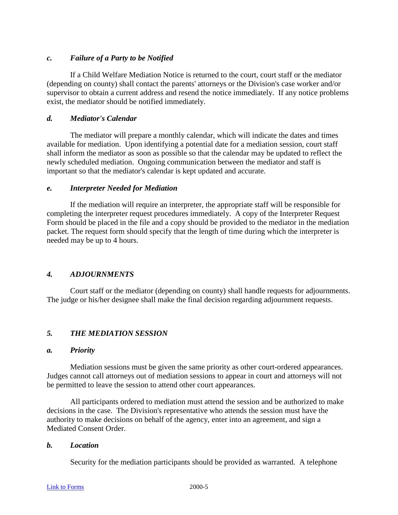## *c. Failure of a Party to be Notified*

If a Child Welfare Mediation Notice is returned to the court, court staff or the mediator (depending on county) shall contact the parents' attorneys or the Division's case worker and/or supervisor to obtain a current address and resend the notice immediately. If any notice problems exist, the mediator should be notified immediately.

## *d. Mediator's Calendar*

The mediator will prepare a monthly calendar, which will indicate the dates and times available for mediation. Upon identifying a potential date for a mediation session, court staff shall inform the mediator as soon as possible so that the calendar may be updated to reflect the newly scheduled mediation. Ongoing communication between the mediator and staff is important so that the mediator's calendar is kept updated and accurate.

#### *e. Interpreter Needed for Mediation*

If the mediation will require an interpreter, the appropriate staff will be responsible for completing the interpreter request procedures immediately. A copy of the Interpreter Request Form should be placed in the file and a copy should be provided to the mediator in the mediation packet. The request form should specify that the length of time during which the interpreter is needed may be up to 4 hours.

# *4. ADJOURNMENTS*

Court staff or the mediator (depending on county) shall handle requests for adjournments. The judge or his/her designee shall make the final decision regarding adjournment requests.

# *5. THE MEDIATION SESSION*

#### *a. Priority*

Mediation sessions must be given the same priority as other court-ordered appearances. Judges cannot call attorneys out of mediation sessions to appear in court and attorneys will not be permitted to leave the session to attend other court appearances.

All participants ordered to mediation must attend the session and be authorized to make decisions in the case. The Division's representative who attends the session must have the authority to make decisions on behalf of the agency, enter into an agreement, and sign a Mediated Consent Order.

#### *b. Location*

Security for the mediation participants should be provided as warranted. A telephone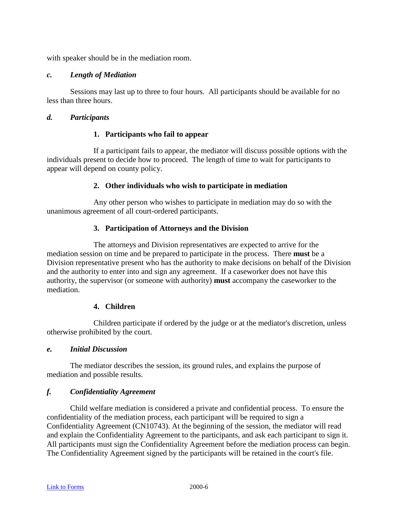with speaker should be in the mediation room.

#### *c. Length of Mediation*

Sessions may last up to three to four hours. All participants should be available for no less than three hours.

#### *d. Participants*

#### **1. Participants who fail to appear**

If a participant fails to appear, the mediator will discuss possible options with the individuals present to decide how to proceed. The length of time to wait for participants to appear will depend on county policy.

#### **2. Other individuals who wish to participate in mediation**

Any other person who wishes to participate in mediation may do so with the unanimous agreement of all court-ordered participants.

## **3. Participation of Attorneys and the Division**

The attorneys and Division representatives are expected to arrive for the mediation session on time and be prepared to participate in the process. There **must** be a Division representative present who has the authority to make decisions on behalf of the Division and the authority to enter into and sign any agreement. If a caseworker does not have this authority, the supervisor (or someone with authority) **must** accompany the caseworker to the mediation.

#### **4. Children**

Children participate if ordered by the judge or at the mediator's discretion, unless otherwise prohibited by the court.

#### *e. Initial Discussion*

The mediator describes the session, its ground rules, and explains the purpose of mediation and possible results.

#### *f. Confidentiality Agreement*

Child welfare mediation is considered a private and confidential process. To ensure the confidentiality of the mediation process, each participant will be required to sign a Confidentiality Agreement (CN10743). At the beginning of the session, the mediator will read and explain the Confidentiality Agreement to the participants, and ask each participant to sign it. All participants must sign the Confidentiality Agreement before the mediation process can begin. The Confidentiality Agreement signed by the participants will be retained in the court's file.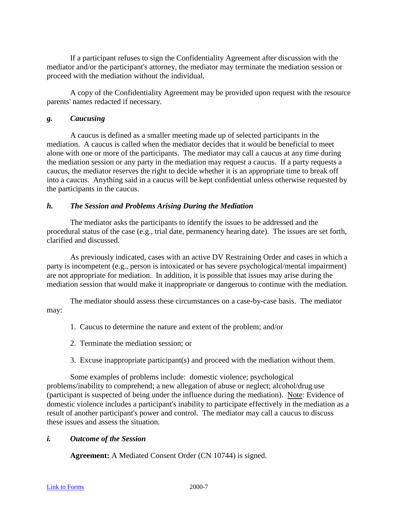If a participant refuses to sign the Confidentiality Agreement after discussion with the mediator and/or the participant's attorney, the mediator may terminate the mediation session or proceed with the mediation without the individual.

A copy of the Confidentiality Agreement may be provided upon request with the resource parents' names redacted if necessary.

## *g. Caucusing*

A caucus is defined as a smaller meeting made up of selected participants in the mediation. A caucus is called when the mediator decides that it would be beneficial to meet alone with one or more of the participants. The mediator may call a caucus at any time during the mediation session or any party in the mediation may request a caucus. If a party requests a caucus, the mediator reserves the right to decide whether it is an appropriate time to break off into a caucus. Anything said in a caucus will be kept confidential unless otherwise requested by the participants in the caucus.

## *h. The Session and Problems Arising During the Mediation*

The mediator asks the participants to identify the issues to be addressed and the procedural status of the case (e.g., trial date, permanency hearing date). The issues are set forth, clarified and discussed.

As previously indicated, cases with an active DV Restraining Order and cases in which a party is incompetent (e.g., person is intoxicated or has severe psychological/mental impairment) are not appropriate for mediation. In addition, it is possible that issues may arise during the mediation session that would make it inappropriate or dangerous to continue with the mediation.

The mediator should assess these circumstances on a case-by-case basis. The mediator may:

- 1. Caucus to determine the nature and extent of the problem; and/or
- 2. Terminate the mediation session; or
- 3. Excuse inappropriate participant(s) and proceed with the mediation without them.

Some examples of problems include: domestic violence; psychological problems/inability to comprehend; a new allegation of abuse or neglect; alcohol/drug use (participant is suspected of being under the influence during the mediation). Note: Evidence of domestic violence includes a participant's inability to participate effectively in the mediation as a result of another participant's power and control. The mediator may call a caucus to discuss these issues and assess the situation.

# *i. Outcome of the Session*

**Agreement:** A Mediated Consent Order (CN 10744) is signed.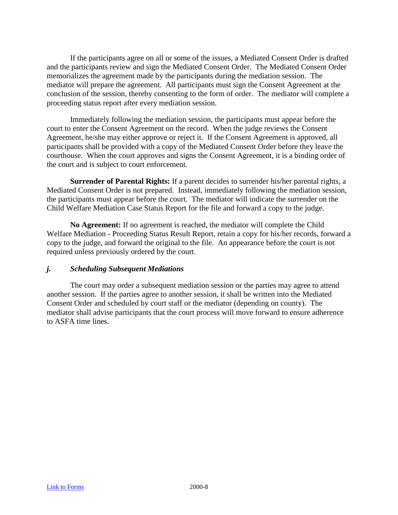If the participants agree on all or some of the issues, a Mediated Consent Order is drafted and the participants review and sign the Mediated Consent Order. The Mediated Consent Order memorializes the agreement made by the participants during the mediation session. The mediator will prepare the agreement. All participants must sign the Consent Agreement at the conclusion of the session, thereby consenting to the form of order. The mediator will complete a proceeding status report after every mediation session.

Immediately following the mediation session, the participants must appear before the court to enter the Consent Agreement on the record. When the judge reviews the Consent Agreement, he/she may either approve or reject it. If the Consent Agreement is approved, all participants shall be provided with a copy of the Mediated Consent Order before they leave the courthouse. When the court approves and signs the Consent Agreement, it is a binding order of the court and is subject to court enforcement.

**Surrender of Parental Rights:** If a parent decides to surrender his/her parental rights, a Mediated Consent Order is not prepared. Instead, immediately following the mediation session, the participants must appear before the court. The mediator will indicate the surrender on the Child Welfare Mediation Case Status Report for the file and forward a copy to the judge.

**No Agreement:** If no agreement is reached, the mediator will complete the Child Welfare Mediation - Proceeding Status Result Report, retain a copy for his/her records, forward a copy to the judge, and forward the original to the file. An appearance before the court is not required unless previously ordered by the court.

#### *j. Scheduling Subsequent Mediations*

The court may order a subsequent mediation session or the parties may agree to attend another session. If the parties agree to another session, it shall be written into the Mediated Consent Order and scheduled by court staff or the mediator (depending on county). The mediator shall advise participants that the court process will move forward to ensure adherence to ASFA time lines.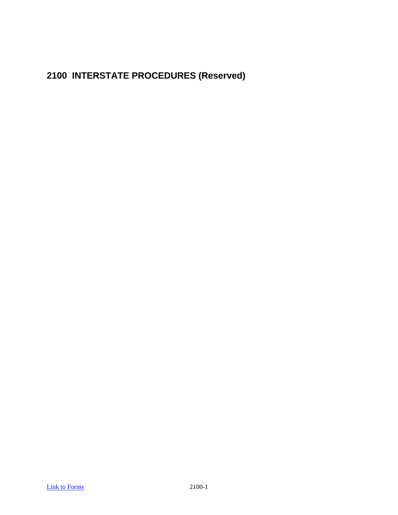**2100 INTERSTATE PROCEDURES (Reserved)**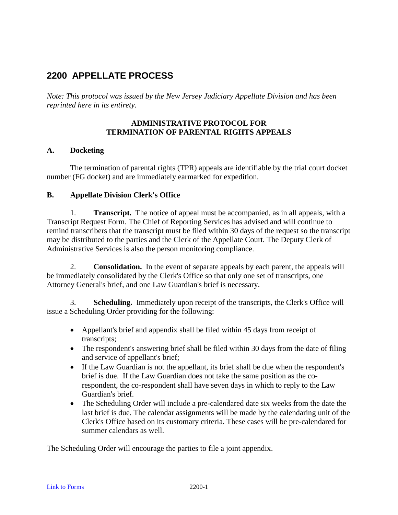# **2200 APPELLATE PROCESS**

*Note: This protocol was issued by the New Jersey Judiciary Appellate Division and has been reprinted here in its entirety.*

#### **ADMINISTRATIVE PROTOCOL FOR TERMINATION OF PARENTAL RIGHTS APPEALS**

## **A. Docketing**

The termination of parental rights (TPR) appeals are identifiable by the trial court docket number (FG docket) and are immediately earmarked for expedition.

#### **B. Appellate Division Clerk's Office**

1. **Transcript.** The notice of appeal must be accompanied, as in all appeals, with a Transcript Request Form. The Chief of Reporting Services has advised and will continue to remind transcribers that the transcript must be filed within 30 days of the request so the transcript may be distributed to the parties and the Clerk of the Appellate Court. The Deputy Clerk of Administrative Services is also the person monitoring compliance.

2. **Consolidation.** In the event of separate appeals by each parent, the appeals will be immediately consolidated by the Clerk's Office so that only one set of transcripts, one Attorney General's brief, and one Law Guardian's brief is necessary.

3. **Scheduling.** Immediately upon receipt of the transcripts, the Clerk's Office will issue a Scheduling Order providing for the following:

- Appellant's brief and appendix shall be filed within 45 days from receipt of transcripts;
- The respondent's answering brief shall be filed within 30 days from the date of filing and service of appellant's brief;
- If the Law Guardian is not the appellant, its brief shall be due when the respondent's brief is due. If the Law Guardian does not take the same position as the corespondent, the co-respondent shall have seven days in which to reply to the Law Guardian's brief.
- The Scheduling Order will include a pre-calendared date six weeks from the date the last brief is due. The calendar assignments will be made by the calendaring unit of the Clerk's Office based on its customary criteria. These cases will be pre-calendared for summer calendars as well.

The Scheduling Order will encourage the parties to file a joint appendix.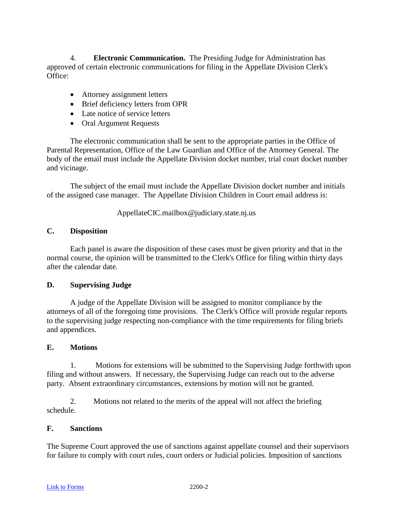4. **Electronic Communication.** The Presiding Judge for Administration has approved of certain electronic communications for filing in the Appellate Division Clerk's Office:

- Attorney assignment letters
- Brief deficiency letters from OPR
- Late notice of service letters
- Oral Argument Requests

The electronic communication shall be sent to the appropriate parties in the Office of Parental Representation, Office of the Law Guardian and Office of the Attorney General. The body of the email must include the Appellate Division docket number, trial court docket number and vicinage.

The subject of the email must include the Appellate Division docket number and initials of the assigned case manager. The Appellate Division Children in Court email address is:

AppellateCIC.mailbox@judiciary.state.nj.us

# **C. Disposition**

Each panel is aware the disposition of these cases must be given priority and that in the normal course, the opinion will be transmitted to the Clerk's Office for filing within thirty days after the calendar date.

# **D. Supervising Judge**

A judge of the Appellate Division will be assigned to monitor compliance by the attorneys of all of the foregoing time provisions. The Clerk's Office will provide regular reports to the supervising judge respecting non-compliance with the time requirements for filing briefs and appendices.

#### **E. Motions**

1. Motions for extensions will be submitted to the Supervising Judge forthwith upon filing and without answers. If necessary, the Supervising Judge can reach out to the adverse party. Absent extraordinary circumstances, extensions by motion will not be granted.

2. Motions not related to the merits of the appeal will not affect the briefing schedule.

#### **F. Sanctions**

The Supreme Court approved the use of sanctions against appellate counsel and their supervisors for failure to comply with court rules, court orders or Judicial policies. Imposition of sanctions